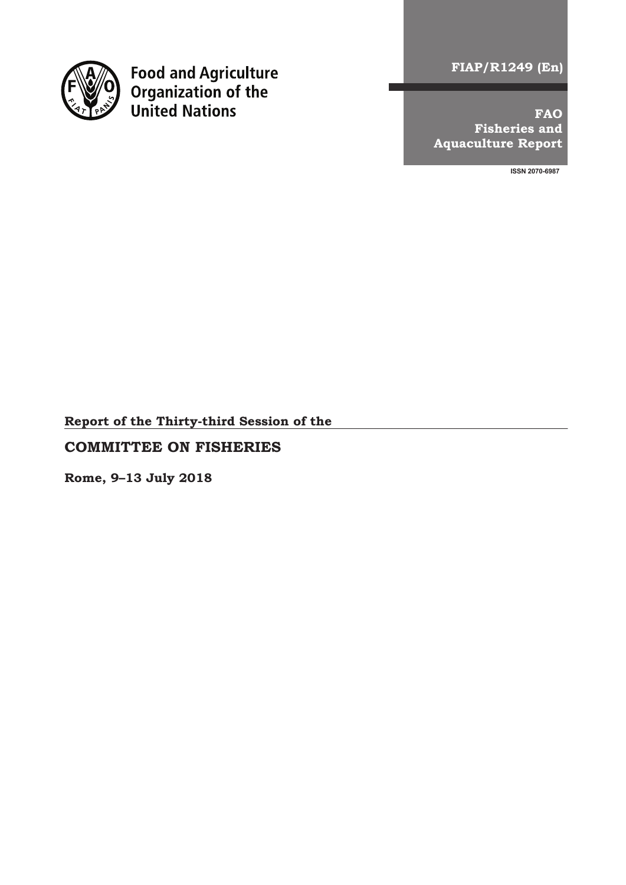

**Food and Agriculture<br>Organization of the<br>United Nations** 

**FIAP/R1249 (En)** 

**FAO Fisheries and Aquaculture Report**

**ISSN 2070-6987** 

**Report of the Thirty-third Session of the** 

**COMMITTEE ON FISHERIES** 

**Rome, 9–13 July 2018**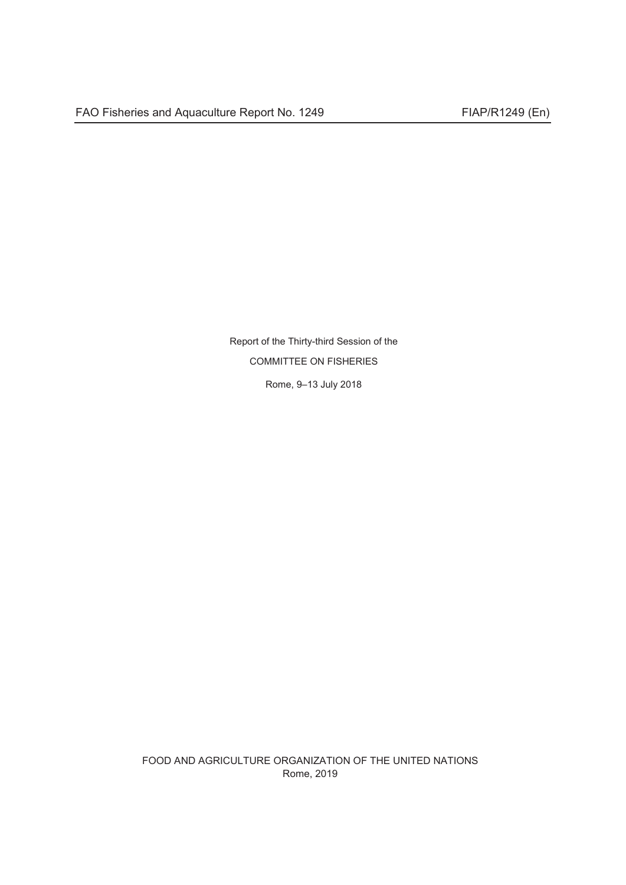Report of the Thirty-third Session of the COMMITTEE ON FISHERIES Rome, 9–13 July 2018

FOOD AND AGRICULTURE ORGANIZATION OF THE UNITED NATIONS Rome, 2019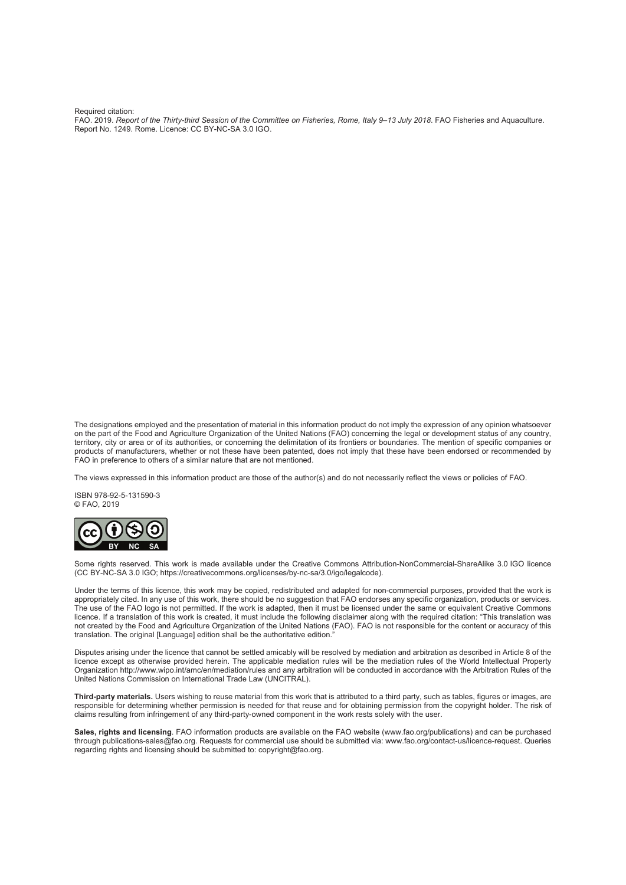Required citation:

FAO. 2019. *Report of the Thirty-third Session of the Committee on Fisheries, Rome, Italy 9–13 July 2018*. FAO Fisheries and Aquaculture. Report No. 1249. Rome. Licence: CC BY-NC-SA 3.0 IGO.

The designations employed and the presentation of material in this information product do not imply the expression of any opinion whatsoever on the part of the Food and Agriculture Organization of the United Nations (FAO) concerning the legal or development status of any country, territory, city or area or of its authorities, or concerning the delimitation of its frontiers or boundaries. The mention of specific companies or products of manufacturers, whether or not these have been patented, does not imply that these have been endorsed or recommended by FAO in preference to others of a similar nature that are not mentioned.

The views expressed in this information product are those of the author(s) and do not necessarily reflect the views or policies of FAO.

ISBN 978-92-5-131590-3 © FAO, 2019



Some rights reserved. This work is made available under the Creative Commons Attribution-NonCommercial-ShareAlike 3.0 IGO licence (CC BY-NC-SA 3.0 IGO; https://creativecommons.org/licenses/by-nc-sa/3.0/igo/legalcode).

Under the terms of this licence, this work may be copied, redistributed and adapted for non-commercial purposes, provided that the work is appropriately cited. In any use of this work, there should be no suggestion that FAO endorses any specific organization, products or services. The use of the FAO logo is not permitted. If the work is adapted, then it must be licensed under the same or equivalent Creative Commons licence. If a translation of this work is created, it must include the following disclaimer along with the required citation: "This translation was not created by the Food and Agriculture Organization of the United Nations (FAO). FAO is not responsible for the content or accuracy of this translation. The original [Language] edition shall be the authoritative edition.

Disputes arising under the licence that cannot be settled amicably will be resolved by mediation and arbitration as described in Article 8 of the licence except as otherwise provided herein. The applicable mediation rules will be the mediation rules of the World Intellectual Property Organization http://www.wipo.int/amc/en/mediation/rules and any arbitration will be conducted in accordance with the Arbitration Rules of the United Nations Commission on International Trade Law (UNCITRAL).

**Third-party materials.** Users wishing to reuse material from this work that is attributed to a third party, such as tables, figures or images, are responsible for determining whether permission is needed for that reuse and for obtaining permission from the copyright holder. The risk of claims resulting from infringement of any third-party-owned component in the work rests solely with the user.

**Sales, rights and licensing**. FAO information products are available on the FAO website (www.fao.org/publications) and can be purchased through publications-sales@fao.org. Requests for commercial use should be submitted via: www.fao.org/contact-us/licence-request. Queries regarding rights and licensing should be submitted to: copyright@fao.org.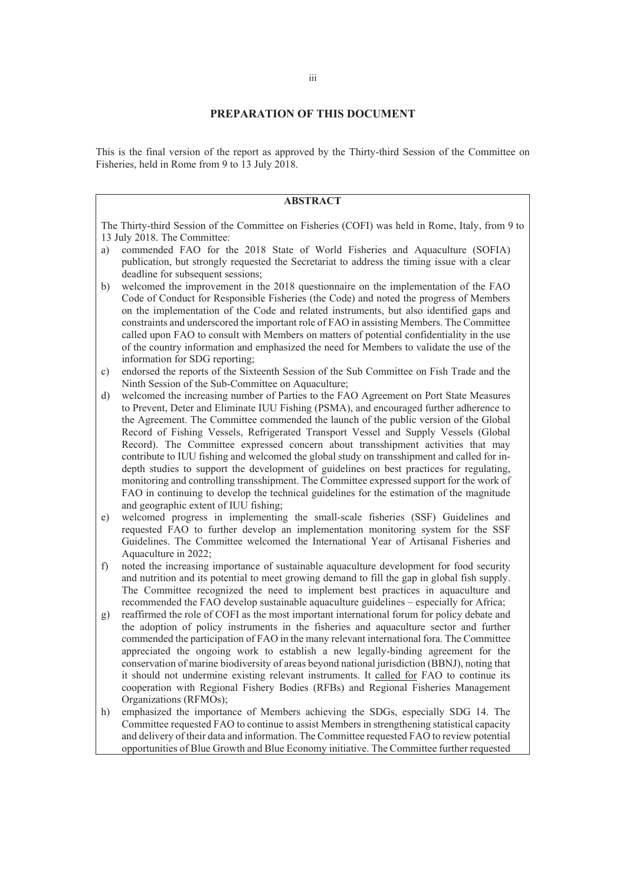## **PREPARATION OF THIS DOCUMENT**

This is the final version of the report as approved by the Thirty-third Session of the Committee on Fisheries, held in Rome from 9 to 13 July 2018.

## **ABSTRACT**

The Thirty-third Session of the Committee on Fisheries (COFI) was held in Rome, Italy, from 9 to 13 July 2018. The Committee:

- a) commended FAO for the 2018 State of World Fisheries and Aquaculture (SOFIA) publication, but strongly requested the Secretariat to address the timing issue with a clear deadline for subsequent sessions;
- b) welcomed the improvement in the 2018 questionnaire on the implementation of the FAO Code of Conduct for Responsible Fisheries (the Code) and noted the progress of Members on the implementation of the Code and related instruments, but also identified gaps and constraints and underscored the important role of FAO in assisting Members. The Committee called upon FAO to consult with Members on matters of potential confidentiality in the use of the country information and emphasized the need for Members to validate the use of the information for SDG reporting;
- c) endorsed the reports of the Sixteenth Session of the Sub Committee on Fish Trade and the Ninth Session of the Sub-Committee on Aquaculture;
- d) welcomed the increasing number of Parties to the FAO Agreement on Port State Measures to Prevent, Deter and Eliminate IUU Fishing (PSMA), and encouraged further adherence to the Agreement. The Committee commended the launch of the public version of the Global Record of Fishing Vessels, Refrigerated Transport Vessel and Supply Vessels (Global Record). The Committee expressed concern about transshipment activities that may contribute to IUU fishing and welcomed the global study on transshipment and called for indepth studies to support the development of guidelines on best practices for regulating, monitoring and controlling transshipment. The Committee expressed support for the work of FAO in continuing to develop the technical guidelines for the estimation of the magnitude and geographic extent of IUU fishing;
- e) welcomed progress in implementing the small-scale fisheries (SSF) Guidelines and requested FAO to further develop an implementation monitoring system for the SSF Guidelines. The Committee welcomed the International Year of Artisanal Fisheries and Aquaculture in 2022;
- f) noted the increasing importance of sustainable aquaculture development for food security and nutrition and its potential to meet growing demand to fill the gap in global fish supply. The Committee recognized the need to implement best practices in aquaculture and recommended the FAO develop sustainable aquaculture guidelines – especially for Africa;
- g) reaffirmed the role of COFI as the most important international forum for policy debate and the adoption of policy instruments in the fisheries and aquaculture sector and further commended the participation of FAO in the many relevant international fora. The Committee appreciated the ongoing work to establish a new legally-binding agreement for the conservation of marine biodiversity of areas beyond national jurisdiction (BBNJ), noting that it should not undermine existing relevant instruments. It called for FAO to continue its cooperation with Regional Fishery Bodies (RFBs) and Regional Fisheries Management Organizations (RFMOs);
- h) emphasized the importance of Members achieving the SDGs, especially SDG 14. The Committee requested FAO to continue to assist Members in strengthening statistical capacity and delivery of their data and information. The Committee requested FAO to review potential opportunities of Blue Growth and Blue Economy initiative. The Committee further requested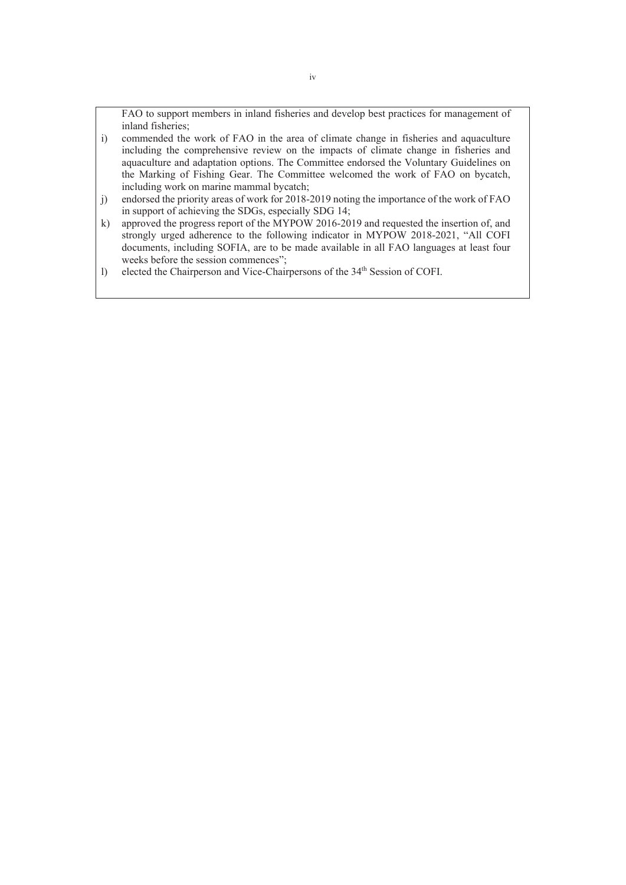FAO to support members in inland fisheries and develop best practices for management of inland fisheries;

- i) commended the work of FAO in the area of climate change in fisheries and aquaculture including the comprehensive review on the impacts of climate change in fisheries and aquaculture and adaptation options. The Committee endorsed the Voluntary Guidelines on the Marking of Fishing Gear. The Committee welcomed the work of FAO on bycatch, including work on marine mammal bycatch;
- j) endorsed the priority areas of work for 2018-2019 noting the importance of the work of FAO in support of achieving the SDGs, especially SDG 14;
- k) approved the progress report of the MYPOW 2016-2019 and requested the insertion of, and strongly urged adherence to the following indicator in MYPOW 2018-2021, "All COFI documents, including SOFIA, are to be made available in all FAO languages at least four weeks before the session commences";
- l) elected the Chairperson and Vice-Chairpersons of the 34th Session of COFI.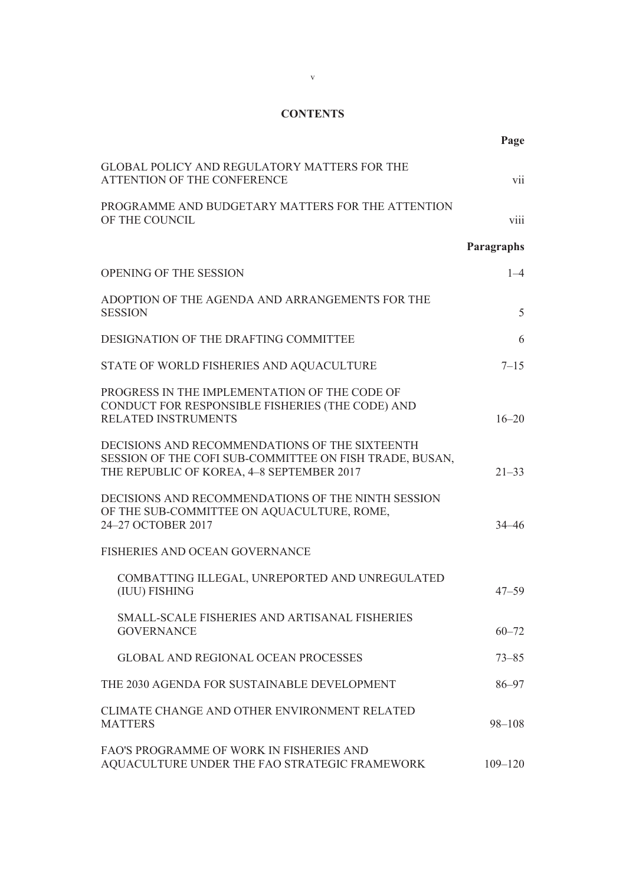# **CONTENTS**

|                                                                                                                                                        | Page              |
|--------------------------------------------------------------------------------------------------------------------------------------------------------|-------------------|
| GLOBAL POLICY AND REGULATORY MATTERS FOR THE<br>ATTENTION OF THE CONFERENCE                                                                            | VII.              |
| PROGRAMME AND BUDGETARY MATTERS FOR THE ATTENTION<br>OF THE COUNCIL                                                                                    | viii              |
|                                                                                                                                                        | <b>Paragraphs</b> |
| <b>OPENING OF THE SESSION</b>                                                                                                                          | $1 - 4$           |
| ADOPTION OF THE AGENDA AND ARRANGEMENTS FOR THE<br><b>SESSION</b>                                                                                      | 5                 |
| DESIGNATION OF THE DRAFTING COMMITTEE                                                                                                                  | 6                 |
| STATE OF WORLD FISHERIES AND AQUACULTURE                                                                                                               | $7 - 15$          |
| PROGRESS IN THE IMPLEMENTATION OF THE CODE OF<br>CONDUCT FOR RESPONSIBLE FISHERIES (THE CODE) AND<br><b>RELATED INSTRUMENTS</b>                        | $16 - 20$         |
| DECISIONS AND RECOMMENDATIONS OF THE SIXTEENTH<br>SESSION OF THE COFI SUB-COMMITTEE ON FISH TRADE, BUSAN,<br>THE REPUBLIC OF KOREA, 4-8 SEPTEMBER 2017 | $21 - 33$         |
| DECISIONS AND RECOMMENDATIONS OF THE NINTH SESSION<br>OF THE SUB-COMMITTEE ON AQUACULTURE, ROME,<br>24-27 OCTOBER 2017                                 | $34 - 46$         |
| FISHERIES AND OCEAN GOVERNANCE                                                                                                                         |                   |
| COMBATTING ILLEGAL, UNREPORTED AND UNREGULATED<br>(IUU) FISHING                                                                                        | $47 - 59$         |
| SMALL-SCALE FISHERIES AND ARTISANAL FISHERIES<br><b>GOVERNANCE</b>                                                                                     | $60 - 72$         |
| <b>GLOBAL AND REGIONAL OCEAN PROCESSES</b>                                                                                                             | $73 - 85$         |
| THE 2030 AGENDA FOR SUSTAINABLE DEVELOPMENT                                                                                                            | $86 - 97$         |
| CLIMATE CHANGE AND OTHER ENVIRONMENT RELATED<br><b>MATTERS</b>                                                                                         | $98 - 108$        |
| FAO'S PROGRAMME OF WORK IN FISHERIES AND<br>AQUACULTURE UNDER THE FAO STRATEGIC FRAMEWORK                                                              | $109 - 120$       |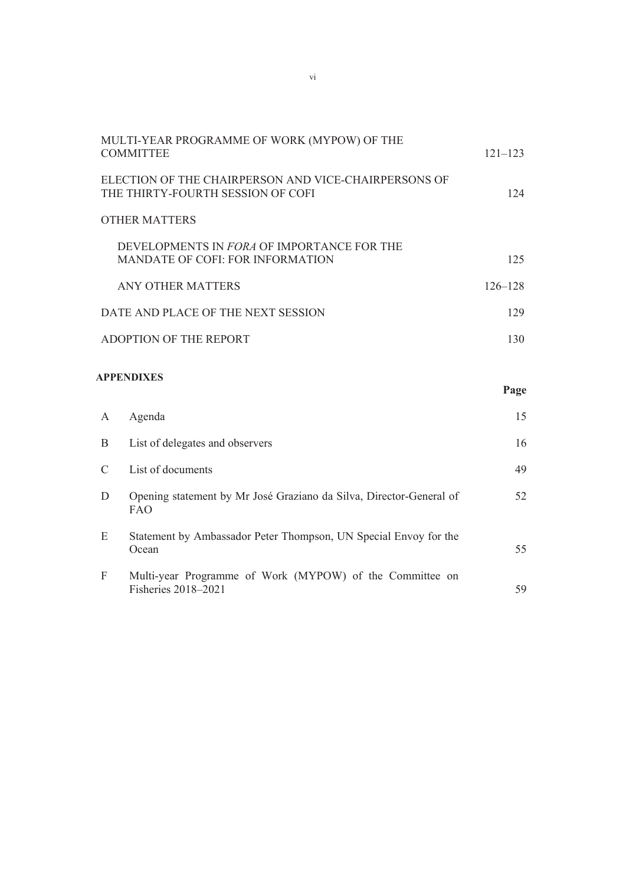| MULTI-YEAR PROGRAMME OF WORK (MYPOW) OF THE<br><b>COMMITTEE</b>                           | $121 - 123$ |
|-------------------------------------------------------------------------------------------|-------------|
| ELECTION OF THE CHAIRPERSON AND VICE-CHAIRPERSONS OF<br>THE THIRTY-FOURTH SESSION OF COFI | 124         |
| <b>OTHER MATTERS</b>                                                                      |             |
| DEVELOPMENTS IN FORA OF IMPORTANCE FOR THE<br><b>MANDATE OF COFI: FOR INFORMATION</b>     | 125         |
| ANY OTHER MATTERS                                                                         | $126 - 128$ |
| DATE AND PLACE OF THE NEXT SESSION                                                        | 129.        |
| ADOPTION OF THE REPORT                                                                    | 130         |

# **APPENDIXES**

|   |                                                                                 | Page |
|---|---------------------------------------------------------------------------------|------|
| A | Agenda                                                                          | 15   |
| B | List of delegates and observers                                                 | 16   |
| C | List of documents                                                               | 49   |
| D | Opening statement by Mr José Graziano da Silva, Director-General of<br>FAO      | 52   |
| E | Statement by Ambassador Peter Thompson, UN Special Envoy for the<br>Ocean       | 55   |
| F | Multi-year Programme of Work (MYPOW) of the Committee on<br>Fisheries 2018–2021 | 59   |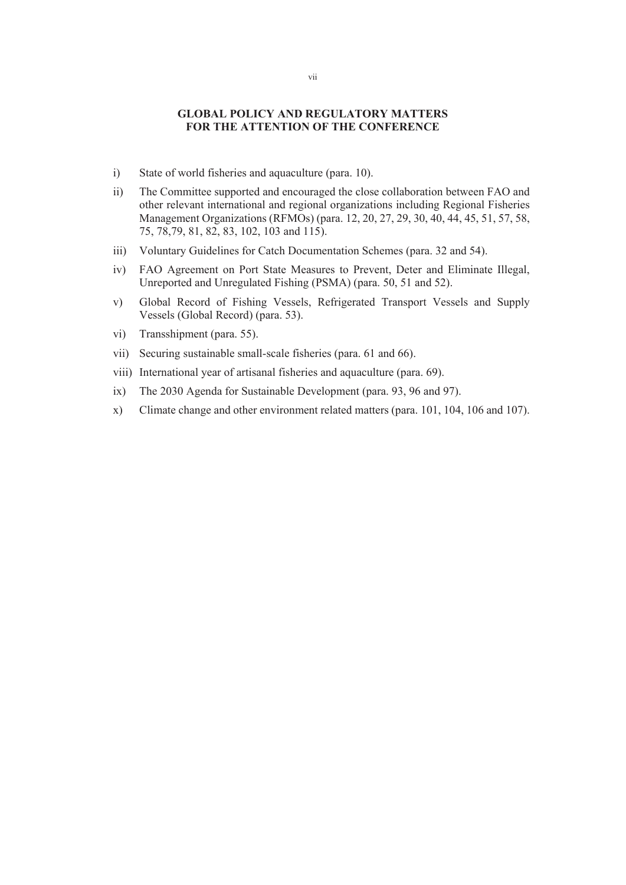# **GLOBAL POLICY AND REGULATORY MATTERS FOR THE ATTENTION OF THE CONFERENCE**

- i) State of world fisheries and aquaculture (para. 10).
- ii) The Committee supported and encouraged the close collaboration between FAO and other relevant international and regional organizations including Regional Fisheries Management Organizations (RFMOs) (para. 12, 20, 27, 29, 30, 40, 44, 45, 51, 57, 58, 75, 78,79, 81, 82, 83, 102, 103 and 115).
- iii) Voluntary Guidelines for Catch Documentation Schemes (para. 32 and 54).
- iv) FAO Agreement on Port State Measures to Prevent, Deter and Eliminate Illegal, Unreported and Unregulated Fishing (PSMA) (para. 50, 51 and 52).
- v) Global Record of Fishing Vessels, Refrigerated Transport Vessels and Supply Vessels (Global Record) (para. 53).
- vi) Transshipment (para. 55).
- vii) Securing sustainable small-scale fisheries (para. 61 and 66).
- viii) International year of artisanal fisheries and aquaculture (para. 69).
- ix) The 2030 Agenda for Sustainable Development (para. 93, 96 and 97).
- x) Climate change and other environment related matters (para. 101, 104, 106 and 107).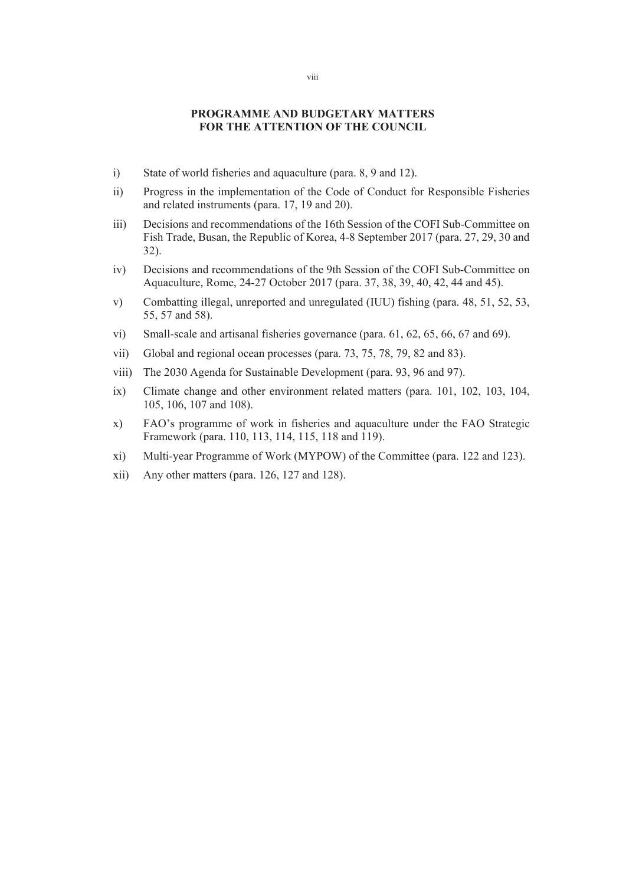## **PROGRAMME AND BUDGETARY MATTERS FOR THE ATTENTION OF THE COUNCIL**

- i) State of world fisheries and aquaculture (para. 8, 9 and 12).
- ii) Progress in the implementation of the Code of Conduct for Responsible Fisheries and related instruments (para. 17, 19 and 20).
- iii) Decisions and recommendations of the 16th Session of the COFI Sub-Committee on Fish Trade, Busan, the Republic of Korea, 4-8 September 2017 (para. 27, 29, 30 and 32).
- iv) Decisions and recommendations of the 9th Session of the COFI Sub-Committee on Aquaculture, Rome, 24-27 October 2017 (para. 37, 38, 39, 40, 42, 44 and 45).
- v) Combatting illegal, unreported and unregulated (IUU) fishing (para. 48, 51, 52, 53, 55, 57 and 58).
- vi) Small-scale and artisanal fisheries governance (para. 61, 62, 65, 66, 67 and 69).
- vii) Global and regional ocean processes (para. 73, 75, 78, 79, 82 and 83).
- viii) The 2030 Agenda for Sustainable Development (para. 93, 96 and 97).
- ix) Climate change and other environment related matters (para. 101, 102, 103, 104, 105, 106, 107 and 108).
- x) FAO's programme of work in fisheries and aquaculture under the FAO Strategic Framework (para. 110, 113, 114, 115, 118 and 119).
- xi) Multi-year Programme of Work (MYPOW) of the Committee (para. 122 and 123).
- xii) Any other matters (para. 126, 127 and 128).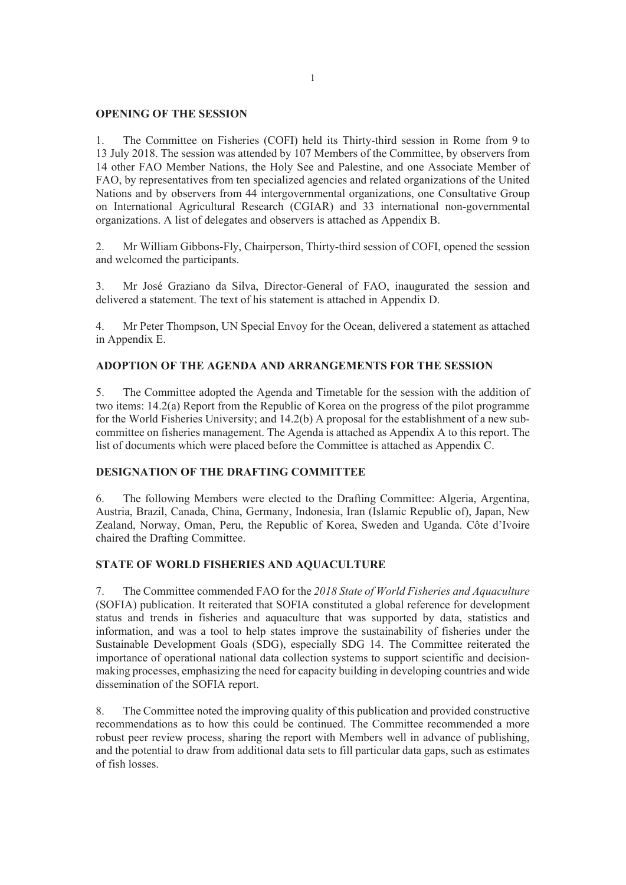## **OPENING OF THE SESSION**

1. The Committee on Fisheries (COFI) held its Thirty-third session in Rome from 9 to 13 July 2018. The session was attended by 107 Members of the Committee, by observers from 14 other FAO Member Nations, the Holy See and Palestine, and one Associate Member of FAO, by representatives from ten specialized agencies and related organizations of the United Nations and by observers from 44 intergovernmental organizations, one Consultative Group on International Agricultural Research (CGIAR) and 33 international non-governmental organizations. A list of delegates and observers is attached as Appendix B.

2. Mr William Gibbons-Fly, Chairperson, Thirty-third session of COFI, opened the session and welcomed the participants.

3. Mr José Graziano da Silva, Director-General of FAO, inaugurated the session and delivered a statement. The text of his statement is attached in Appendix D.

4. Mr Peter Thompson, UN Special Envoy for the Ocean, delivered a statement as attached in Appendix E.

## **ADOPTION OF THE AGENDA AND ARRANGEMENTS FOR THE SESSION**

5. The Committee adopted the Agenda and Timetable for the session with the addition of two items: 14.2(a) Report from the Republic of Korea on the progress of the pilot programme for the World Fisheries University; and 14.2(b) A proposal for the establishment of a new subcommittee on fisheries management. The Agenda is attached as Appendix A to this report. The list of documents which were placed before the Committee is attached as Appendix C.

## **DESIGNATION OF THE DRAFTING COMMITTEE**

6. The following Members were elected to the Drafting Committee: Algeria, Argentina, Austria, Brazil, Canada, China, Germany, Indonesia, Iran (Islamic Republic of), Japan, New Zealand, Norway, Oman, Peru, the Republic of Korea, Sweden and Uganda. Côte d'Ivoire chaired the Drafting Committee.

## **STATE OF WORLD FISHERIES AND AQUACULTURE**

7. The Committee commended FAO for the *2018 State of World Fisheries and Aquaculture* (SOFIA) publication. It reiterated that SOFIA constituted a global reference for development status and trends in fisheries and aquaculture that was supported by data, statistics and information, and was a tool to help states improve the sustainability of fisheries under the Sustainable Development Goals (SDG), especially SDG 14. The Committee reiterated the importance of operational national data collection systems to support scientific and decisionmaking processes, emphasizing the need for capacity building in developing countries and wide dissemination of the SOFIA report.

8. The Committee noted the improving quality of this publication and provided constructive recommendations as to how this could be continued. The Committee recommended a more robust peer review process, sharing the report with Members well in advance of publishing, and the potential to draw from additional data sets to fill particular data gaps, such as estimates of fish losses.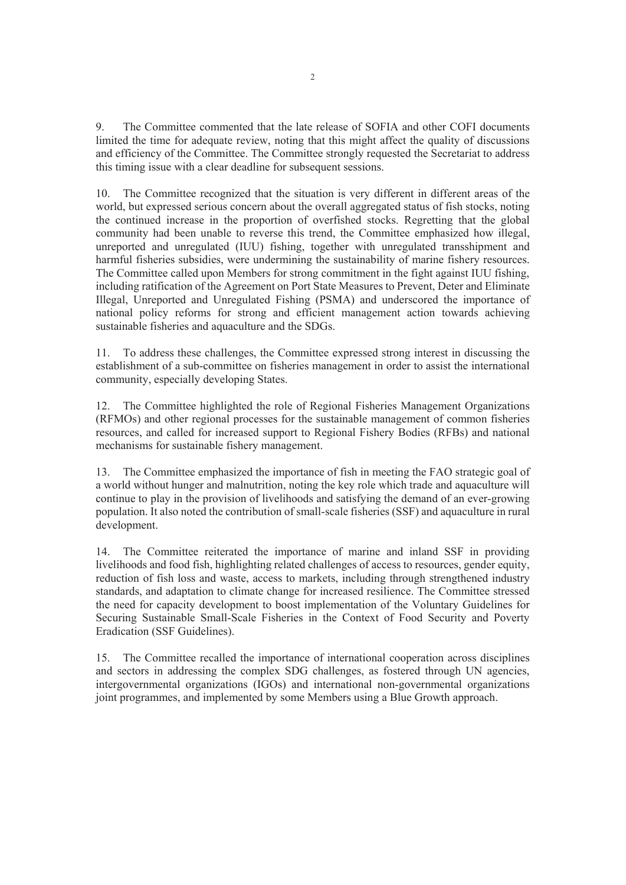9. The Committee commented that the late release of SOFIA and other COFI documents limited the time for adequate review, noting that this might affect the quality of discussions and efficiency of the Committee. The Committee strongly requested the Secretariat to address this timing issue with a clear deadline for subsequent sessions.

10. The Committee recognized that the situation is very different in different areas of the world, but expressed serious concern about the overall aggregated status of fish stocks, noting the continued increase in the proportion of overfished stocks. Regretting that the global community had been unable to reverse this trend, the Committee emphasized how illegal, unreported and unregulated (IUU) fishing, together with unregulated transshipment and harmful fisheries subsidies, were undermining the sustainability of marine fishery resources. The Committee called upon Members for strong commitment in the fight against IUU fishing, including ratification of the Agreement on Port State Measures to Prevent, Deter and Eliminate Illegal, Unreported and Unregulated Fishing (PSMA) and underscored the importance of national policy reforms for strong and efficient management action towards achieving sustainable fisheries and aquaculture and the SDGs.

11. To address these challenges, the Committee expressed strong interest in discussing the establishment of a sub-committee on fisheries management in order to assist the international community, especially developing States.

12. The Committee highlighted the role of Regional Fisheries Management Organizations (RFMOs) and other regional processes for the sustainable management of common fisheries resources, and called for increased support to Regional Fishery Bodies (RFBs) and national mechanisms for sustainable fishery management.

13. The Committee emphasized the importance of fish in meeting the FAO strategic goal of a world without hunger and malnutrition, noting the key role which trade and aquaculture will continue to play in the provision of livelihoods and satisfying the demand of an ever-growing population. It also noted the contribution of small-scale fisheries (SSF) and aquaculture in rural development.

14. The Committee reiterated the importance of marine and inland SSF in providing livelihoods and food fish, highlighting related challenges of access to resources, gender equity, reduction of fish loss and waste, access to markets, including through strengthened industry standards, and adaptation to climate change for increased resilience. The Committee stressed the need for capacity development to boost implementation of the Voluntary Guidelines for Securing Sustainable Small-Scale Fisheries in the Context of Food Security and Poverty Eradication (SSF Guidelines).

15. The Committee recalled the importance of international cooperation across disciplines and sectors in addressing the complex SDG challenges, as fostered through UN agencies, intergovernmental organizations (IGOs) and international non-governmental organizations joint programmes, and implemented by some Members using a Blue Growth approach.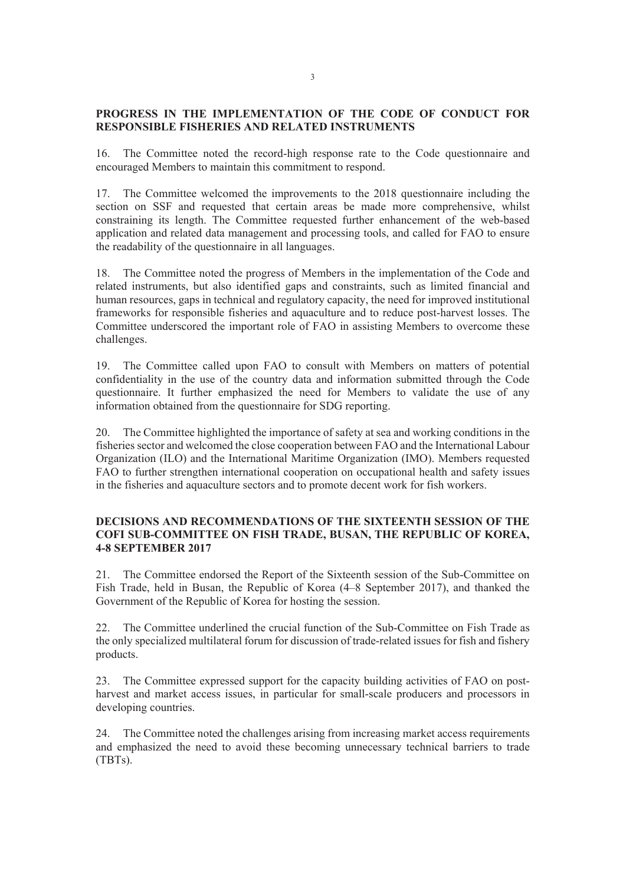# **PROGRESS IN THE IMPLEMENTATION OF THE CODE OF CONDUCT FOR RESPONSIBLE FISHERIES AND RELATED INSTRUMENTS**

16. The Committee noted the record-high response rate to the Code questionnaire and encouraged Members to maintain this commitment to respond.

17. The Committee welcomed the improvements to the 2018 questionnaire including the section on SSF and requested that certain areas be made more comprehensive, whilst constraining its length. The Committee requested further enhancement of the web-based application and related data management and processing tools, and called for FAO to ensure the readability of the questionnaire in all languages.

18. The Committee noted the progress of Members in the implementation of the Code and related instruments, but also identified gaps and constraints, such as limited financial and human resources, gaps in technical and regulatory capacity, the need for improved institutional frameworks for responsible fisheries and aquaculture and to reduce post-harvest losses. The Committee underscored the important role of FAO in assisting Members to overcome these challenges.

19. The Committee called upon FAO to consult with Members on matters of potential confidentiality in the use of the country data and information submitted through the Code questionnaire. It further emphasized the need for Members to validate the use of any information obtained from the questionnaire for SDG reporting.

20. The Committee highlighted the importance of safety at sea and working conditions in the fisheries sector and welcomed the close cooperation between FAO and the International Labour Organization (ILO) and the International Maritime Organization (IMO). Members requested FAO to further strengthen international cooperation on occupational health and safety issues in the fisheries and aquaculture sectors and to promote decent work for fish workers.

## **DECISIONS AND RECOMMENDATIONS OF THE SIXTEENTH SESSION OF THE COFI SUB-COMMITTEE ON FISH TRADE, BUSAN, THE REPUBLIC OF KOREA, 4-8 SEPTEMBER 2017**

21. The Committee endorsed the Report of the Sixteenth session of the Sub-Committee on Fish Trade, held in Busan, the Republic of Korea (4–8 September 2017), and thanked the Government of the Republic of Korea for hosting the session.

22. The Committee underlined the crucial function of the Sub-Committee on Fish Trade as the only specialized multilateral forum for discussion of trade-related issues for fish and fishery products.

23. The Committee expressed support for the capacity building activities of FAO on postharvest and market access issues, in particular for small-scale producers and processors in developing countries.

24. The Committee noted the challenges arising from increasing market access requirements and emphasized the need to avoid these becoming unnecessary technical barriers to trade (TBTs).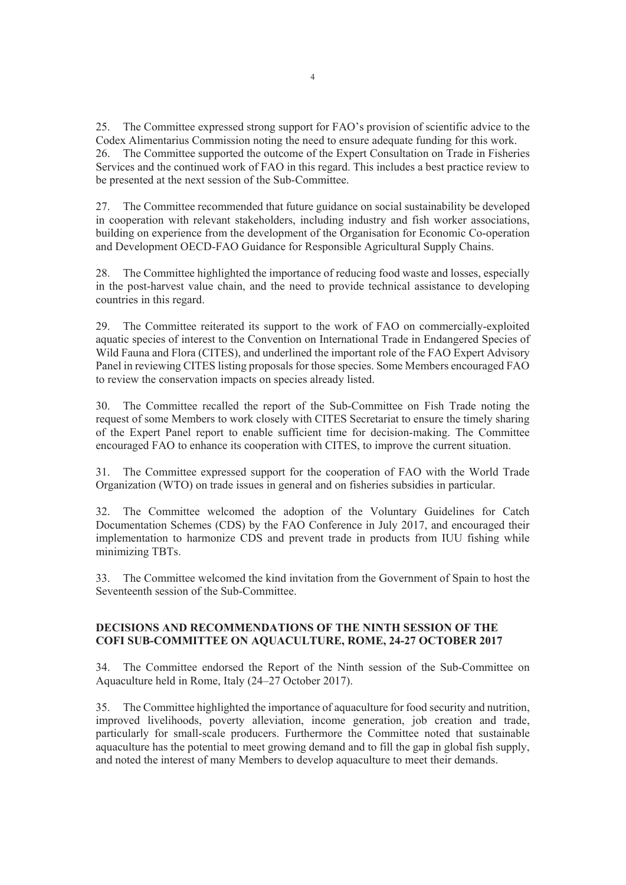25. The Committee expressed strong support for FAO's provision of scientific advice to the Codex Alimentarius Commission noting the need to ensure adequate funding for this work. 26. The Committee supported the outcome of the Expert Consultation on Trade in Fisheries Services and the continued work of FAO in this regard. This includes a best practice review to be presented at the next session of the Sub-Committee.

27. The Committee recommended that future guidance on social sustainability be developed in cooperation with relevant stakeholders, including industry and fish worker associations, building on experience from the development of the Organisation for Economic Co-operation and Development OECD-FAO Guidance for Responsible Agricultural Supply Chains.

28. The Committee highlighted the importance of reducing food waste and losses, especially in the post-harvest value chain, and the need to provide technical assistance to developing countries in this regard.

29. The Committee reiterated its support to the work of FAO on commercially-exploited aquatic species of interest to the Convention on International Trade in Endangered Species of Wild Fauna and Flora (CITES), and underlined the important role of the FAO Expert Advisory Panel in reviewing CITES listing proposals for those species. Some Members encouraged FAO to review the conservation impacts on species already listed.

30. The Committee recalled the report of the Sub-Committee on Fish Trade noting the request of some Members to work closely with CITES Secretariat to ensure the timely sharing of the Expert Panel report to enable sufficient time for decision-making. The Committee encouraged FAO to enhance its cooperation with CITES, to improve the current situation.

31. The Committee expressed support for the cooperation of FAO with the World Trade Organization (WTO) on trade issues in general and on fisheries subsidies in particular.

32. The Committee welcomed the adoption of the Voluntary Guidelines for Catch Documentation Schemes (CDS) by the FAO Conference in July 2017, and encouraged their implementation to harmonize CDS and prevent trade in products from IUU fishing while minimizing TBTs.

33. The Committee welcomed the kind invitation from the Government of Spain to host the Seventeenth session of the Sub-Committee.

# **DECISIONS AND RECOMMENDATIONS OF THE NINTH SESSION OF THE COFI SUB-COMMITTEE ON AQUACULTURE, ROME, 24-27 OCTOBER 2017**

34. The Committee endorsed the Report of the Ninth session of the Sub-Committee on Aquaculture held in Rome, Italy (24–27 October 2017).

35. The Committee highlighted the importance of aquaculture for food security and nutrition, improved livelihoods, poverty alleviation, income generation, job creation and trade, particularly for small-scale producers. Furthermore the Committee noted that sustainable aquaculture has the potential to meet growing demand and to fill the gap in global fish supply, and noted the interest of many Members to develop aquaculture to meet their demands.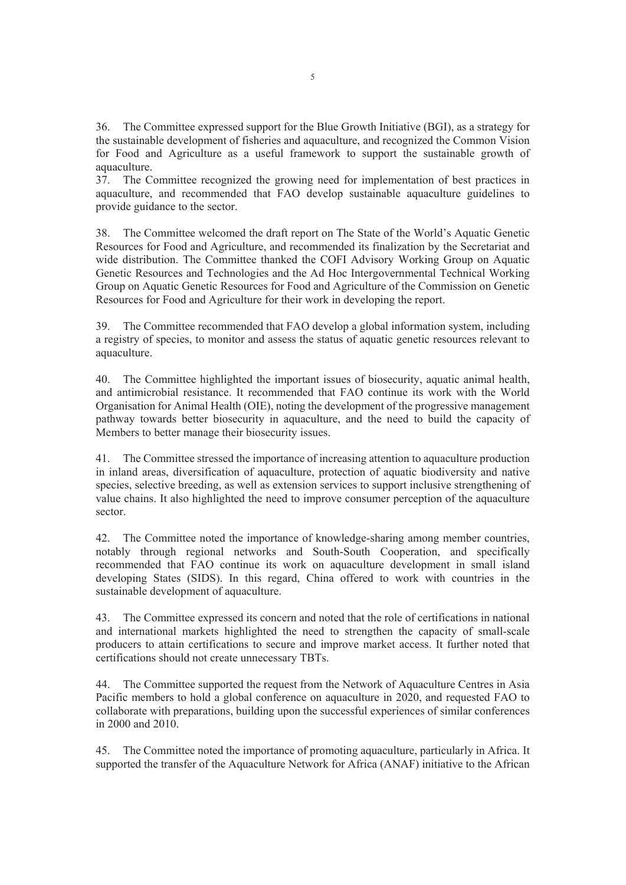36. The Committee expressed support for the Blue Growth Initiative (BGI), as a strategy for the sustainable development of fisheries and aquaculture, and recognized the Common Vision for Food and Agriculture as a useful framework to support the sustainable growth of aquaculture.

37. The Committee recognized the growing need for implementation of best practices in aquaculture, and recommended that FAO develop sustainable aquaculture guidelines to provide guidance to the sector.

38. The Committee welcomed the draft report on The State of the World's Aquatic Genetic Resources for Food and Agriculture, and recommended its finalization by the Secretariat and wide distribution. The Committee thanked the COFI Advisory Working Group on Aquatic Genetic Resources and Technologies and the Ad Hoc Intergovernmental Technical Working Group on Aquatic Genetic Resources for Food and Agriculture of the Commission on Genetic Resources for Food and Agriculture for their work in developing the report.

39. The Committee recommended that FAO develop a global information system, including a registry of species, to monitor and assess the status of aquatic genetic resources relevant to aquaculture.

40. The Committee highlighted the important issues of biosecurity, aquatic animal health, and antimicrobial resistance. It recommended that FAO continue its work with the World Organisation for Animal Health (OIE), noting the development of the progressive management pathway towards better biosecurity in aquaculture, and the need to build the capacity of Members to better manage their biosecurity issues.

41. The Committee stressed the importance of increasing attention to aquaculture production in inland areas, diversification of aquaculture, protection of aquatic biodiversity and native species, selective breeding, as well as extension services to support inclusive strengthening of value chains. It also highlighted the need to improve consumer perception of the aquaculture sector.

42. The Committee noted the importance of knowledge-sharing among member countries, notably through regional networks and South-South Cooperation, and specifically recommended that FAO continue its work on aquaculture development in small island developing States (SIDS). In this regard, China offered to work with countries in the sustainable development of aquaculture.

43. The Committee expressed its concern and noted that the role of certifications in national and international markets highlighted the need to strengthen the capacity of small-scale producers to attain certifications to secure and improve market access. It further noted that certifications should not create unnecessary TBTs.

44. The Committee supported the request from the Network of Aquaculture Centres in Asia Pacific members to hold a global conference on aquaculture in 2020, and requested FAO to collaborate with preparations, building upon the successful experiences of similar conferences in 2000 and 2010.

45. The Committee noted the importance of promoting aquaculture, particularly in Africa. It supported the transfer of the Aquaculture Network for Africa (ANAF) initiative to the African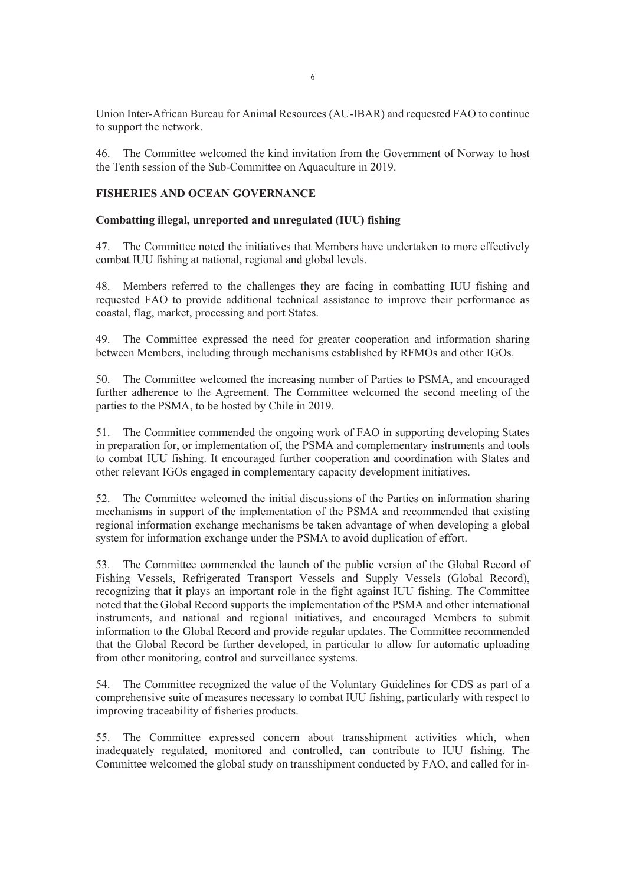Union Inter-African Bureau for Animal Resources (AU-IBAR) and requested FAO to continue to support the network.

The Committee welcomed the kind invitation from the Government of Norway to host the Tenth session of the Sub-Committee on Aquaculture in 2019.

## **FISHERIES AND OCEAN GOVERNANCE**

### **Combatting illegal, unreported and unregulated (IUU) fishing**

47. The Committee noted the initiatives that Members have undertaken to more effectively combat IUU fishing at national, regional and global levels.

48. Members referred to the challenges they are facing in combatting IUU fishing and requested FAO to provide additional technical assistance to improve their performance as coastal, flag, market, processing and port States.

49. The Committee expressed the need for greater cooperation and information sharing between Members, including through mechanisms established by RFMOs and other IGOs.

50. The Committee welcomed the increasing number of Parties to PSMA, and encouraged further adherence to the Agreement. The Committee welcomed the second meeting of the parties to the PSMA, to be hosted by Chile in 2019.

51. The Committee commended the ongoing work of FAO in supporting developing States in preparation for, or implementation of, the PSMA and complementary instruments and tools to combat IUU fishing. It encouraged further cooperation and coordination with States and other relevant IGOs engaged in complementary capacity development initiatives.

52. The Committee welcomed the initial discussions of the Parties on information sharing mechanisms in support of the implementation of the PSMA and recommended that existing regional information exchange mechanisms be taken advantage of when developing a global system for information exchange under the PSMA to avoid duplication of effort.

53. The Committee commended the launch of the public version of the Global Record of Fishing Vessels, Refrigerated Transport Vessels and Supply Vessels (Global Record), recognizing that it plays an important role in the fight against IUU fishing. The Committee noted that the Global Record supports the implementation of the PSMA and other international instruments, and national and regional initiatives, and encouraged Members to submit information to the Global Record and provide regular updates. The Committee recommended that the Global Record be further developed, in particular to allow for automatic uploading from other monitoring, control and surveillance systems.

54. The Committee recognized the value of the Voluntary Guidelines for CDS as part of a comprehensive suite of measures necessary to combat IUU fishing, particularly with respect to improving traceability of fisheries products.

55. The Committee expressed concern about transshipment activities which, when inadequately regulated, monitored and controlled, can contribute to IUU fishing. The Committee welcomed the global study on transshipment conducted by FAO, and called for in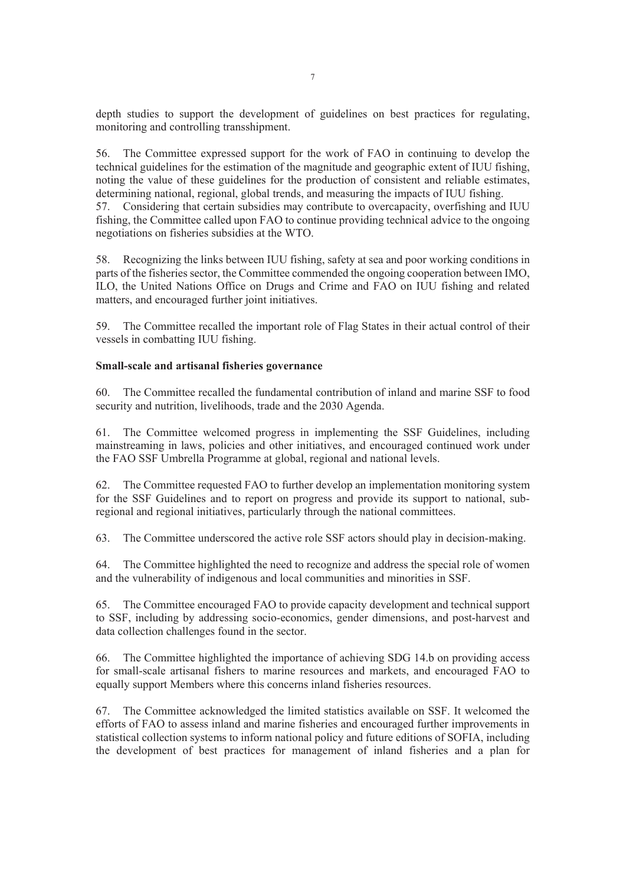depth studies to support the development of guidelines on best practices for regulating, monitoring and controlling transshipment.

56. The Committee expressed support for the work of FAO in continuing to develop the technical guidelines for the estimation of the magnitude and geographic extent of IUU fishing, noting the value of these guidelines for the production of consistent and reliable estimates, determining national, regional, global trends, and measuring the impacts of IUU fishing. 57. Considering that certain subsidies may contribute to overcapacity, overfishing and IUU fishing, the Committee called upon FAO to continue providing technical advice to the ongoing negotiations on fisheries subsidies at the WTO.

58. Recognizing the links between IUU fishing, safety at sea and poor working conditions in parts of the fisheries sector, the Committee commended the ongoing cooperation between IMO, ILO, the United Nations Office on Drugs and Crime and FAO on IUU fishing and related matters, and encouraged further joint initiatives.

59. The Committee recalled the important role of Flag States in their actual control of their vessels in combatting IUU fishing.

### **Small-scale and artisanal fisheries governance**

60. The Committee recalled the fundamental contribution of inland and marine SSF to food security and nutrition, livelihoods, trade and the 2030 Agenda.

61. The Committee welcomed progress in implementing the SSF Guidelines, including mainstreaming in laws, policies and other initiatives, and encouraged continued work under the FAO SSF Umbrella Programme at global, regional and national levels.

62. The Committee requested FAO to further develop an implementation monitoring system for the SSF Guidelines and to report on progress and provide its support to national, subregional and regional initiatives, particularly through the national committees.

63. The Committee underscored the active role SSF actors should play in decision-making.

64. The Committee highlighted the need to recognize and address the special role of women and the vulnerability of indigenous and local communities and minorities in SSF.

65. The Committee encouraged FAO to provide capacity development and technical support to SSF, including by addressing socio-economics, gender dimensions, and post-harvest and data collection challenges found in the sector.

66. The Committee highlighted the importance of achieving SDG 14.b on providing access for small-scale artisanal fishers to marine resources and markets, and encouraged FAO to equally support Members where this concerns inland fisheries resources.

67. The Committee acknowledged the limited statistics available on SSF. It welcomed the efforts of FAO to assess inland and marine fisheries and encouraged further improvements in statistical collection systems to inform national policy and future editions of SOFIA, including the development of best practices for management of inland fisheries and a plan for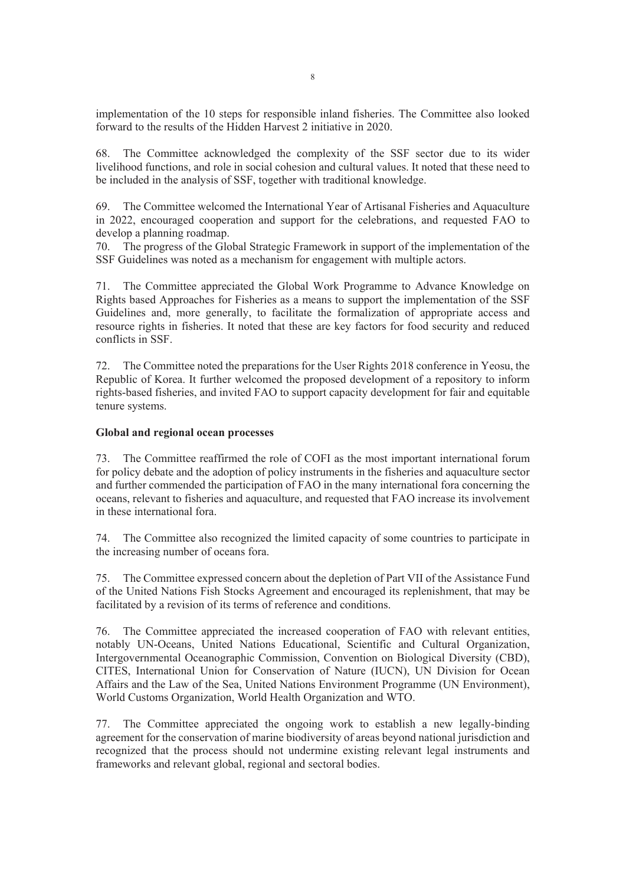implementation of the 10 steps for responsible inland fisheries. The Committee also looked forward to the results of the Hidden Harvest 2 initiative in 2020.

68. The Committee acknowledged the complexity of the SSF sector due to its wider livelihood functions, and role in social cohesion and cultural values. It noted that these need to be included in the analysis of SSF, together with traditional knowledge.

69. The Committee welcomed the International Year of Artisanal Fisheries and Aquaculture in 2022, encouraged cooperation and support for the celebrations, and requested FAO to develop a planning roadmap.

70. The progress of the Global Strategic Framework in support of the implementation of the SSF Guidelines was noted as a mechanism for engagement with multiple actors.

71. The Committee appreciated the Global Work Programme to Advance Knowledge on Rights based Approaches for Fisheries as a means to support the implementation of the SSF Guidelines and, more generally, to facilitate the formalization of appropriate access and resource rights in fisheries. It noted that these are key factors for food security and reduced conflicts in SSF.

72. The Committee noted the preparations for the User Rights 2018 conference in Yeosu, the Republic of Korea. It further welcomed the proposed development of a repository to inform rights-based fisheries, and invited FAO to support capacity development for fair and equitable tenure systems.

## **Global and regional ocean processes**

73. The Committee reaffirmed the role of COFI as the most important international forum for policy debate and the adoption of policy instruments in the fisheries and aquaculture sector and further commended the participation of FAO in the many international fora concerning the oceans, relevant to fisheries and aquaculture, and requested that FAO increase its involvement in these international fora.

74. The Committee also recognized the limited capacity of some countries to participate in the increasing number of oceans fora.

75. The Committee expressed concern about the depletion of Part VII of the Assistance Fund of the United Nations Fish Stocks Agreement and encouraged its replenishment, that may be facilitated by a revision of its terms of reference and conditions.

76. The Committee appreciated the increased cooperation of FAO with relevant entities, notably UN-Oceans, United Nations Educational, Scientific and Cultural Organization, Intergovernmental Oceanographic Commission, Convention on Biological Diversity (CBD), CITES, International Union for Conservation of Nature (IUCN), UN Division for Ocean Affairs and the Law of the Sea, United Nations Environment Programme (UN Environment), World Customs Organization, World Health Organization and WTO.

77. The Committee appreciated the ongoing work to establish a new legally-binding agreement for the conservation of marine biodiversity of areas beyond national jurisdiction and recognized that the process should not undermine existing relevant legal instruments and frameworks and relevant global, regional and sectoral bodies.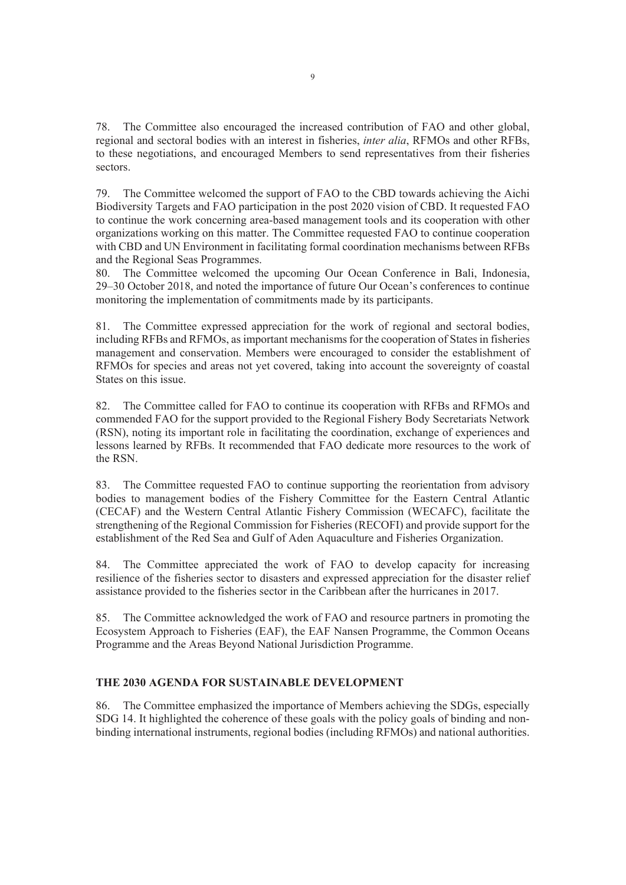78. The Committee also encouraged the increased contribution of FAO and other global, regional and sectoral bodies with an interest in fisheries, *inter alia*, RFMOs and other RFBs, to these negotiations, and encouraged Members to send representatives from their fisheries sectors.

79. The Committee welcomed the support of FAO to the CBD towards achieving the Aichi Biodiversity Targets and FAO participation in the post 2020 vision of CBD. It requested FAO to continue the work concerning area-based management tools and its cooperation with other organizations working on this matter. The Committee requested FAO to continue cooperation with CBD and UN Environment in facilitating formal coordination mechanisms between RFBs and the Regional Seas Programmes.

80. The Committee welcomed the upcoming Our Ocean Conference in Bali, Indonesia, 29–30 October 2018, and noted the importance of future Our Ocean's conferences to continue monitoring the implementation of commitments made by its participants.

81. The Committee expressed appreciation for the work of regional and sectoral bodies, including RFBs and RFMOs, as important mechanisms for the cooperation of States in fisheries management and conservation. Members were encouraged to consider the establishment of RFMOs for species and areas not yet covered, taking into account the sovereignty of coastal States on this issue.

82. The Committee called for FAO to continue its cooperation with RFBs and RFMOs and commended FAO for the support provided to the Regional Fishery Body Secretariats Network (RSN), noting its important role in facilitating the coordination, exchange of experiences and lessons learned by RFBs. It recommended that FAO dedicate more resources to the work of the RSN.

83. The Committee requested FAO to continue supporting the reorientation from advisory bodies to management bodies of the Fishery Committee for the Eastern Central Atlantic (CECAF) and the Western Central Atlantic Fishery Commission (WECAFC), facilitate the strengthening of the Regional Commission for Fisheries (RECOFI) and provide support for the establishment of the Red Sea and Gulf of Aden Aquaculture and Fisheries Organization.

84. The Committee appreciated the work of FAO to develop capacity for increasing resilience of the fisheries sector to disasters and expressed appreciation for the disaster relief assistance provided to the fisheries sector in the Caribbean after the hurricanes in 2017.

85. The Committee acknowledged the work of FAO and resource partners in promoting the Ecosystem Approach to Fisheries (EAF), the EAF Nansen Programme, the Common Oceans Programme and the Areas Beyond National Jurisdiction Programme.

# **THE 2030 AGENDA FOR SUSTAINABLE DEVELOPMENT**

86. The Committee emphasized the importance of Members achieving the SDGs, especially SDG 14. It highlighted the coherence of these goals with the policy goals of binding and nonbinding international instruments, regional bodies (including RFMOs) and national authorities.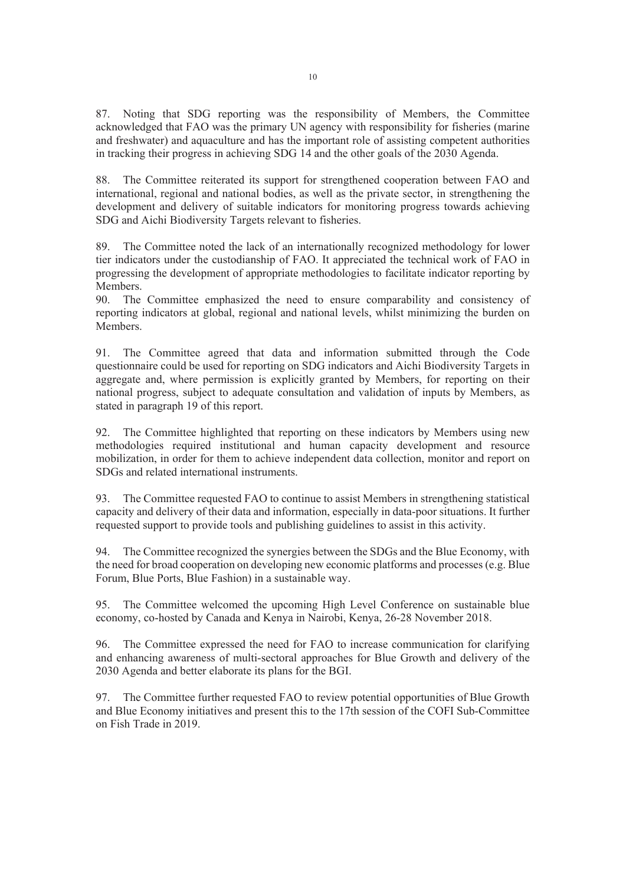87. Noting that SDG reporting was the responsibility of Members, the Committee acknowledged that FAO was the primary UN agency with responsibility for fisheries (marine and freshwater) and aquaculture and has the important role of assisting competent authorities in tracking their progress in achieving SDG 14 and the other goals of the 2030 Agenda.

88. The Committee reiterated its support for strengthened cooperation between FAO and international, regional and national bodies, as well as the private sector, in strengthening the development and delivery of suitable indicators for monitoring progress towards achieving SDG and Aichi Biodiversity Targets relevant to fisheries.

89. The Committee noted the lack of an internationally recognized methodology for lower tier indicators under the custodianship of FAO. It appreciated the technical work of FAO in progressing the development of appropriate methodologies to facilitate indicator reporting by **Members** 

90. The Committee emphasized the need to ensure comparability and consistency of reporting indicators at global, regional and national levels, whilst minimizing the burden on **Members** 

91. The Committee agreed that data and information submitted through the Code questionnaire could be used for reporting on SDG indicators and Aichi Biodiversity Targets in aggregate and, where permission is explicitly granted by Members, for reporting on their national progress, subject to adequate consultation and validation of inputs by Members, as stated in paragraph 19 of this report.

92. The Committee highlighted that reporting on these indicators by Members using new methodologies required institutional and human capacity development and resource mobilization, in order for them to achieve independent data collection, monitor and report on SDGs and related international instruments.

93. The Committee requested FAO to continue to assist Members in strengthening statistical capacity and delivery of their data and information, especially in data-poor situations. It further requested support to provide tools and publishing guidelines to assist in this activity.

94. The Committee recognized the synergies between the SDGs and the Blue Economy, with the need for broad cooperation on developing new economic platforms and processes (e.g. Blue Forum, Blue Ports, Blue Fashion) in a sustainable way.

95. The Committee welcomed the upcoming High Level Conference on sustainable blue economy, co-hosted by Canada and Kenya in Nairobi, Kenya, 26-28 November 2018.

96. The Committee expressed the need for FAO to increase communication for clarifying and enhancing awareness of multi-sectoral approaches for Blue Growth and delivery of the 2030 Agenda and better elaborate its plans for the BGI.

97. The Committee further requested FAO to review potential opportunities of Blue Growth and Blue Economy initiatives and present this to the 17th session of the COFI Sub-Committee on Fish Trade in 2019.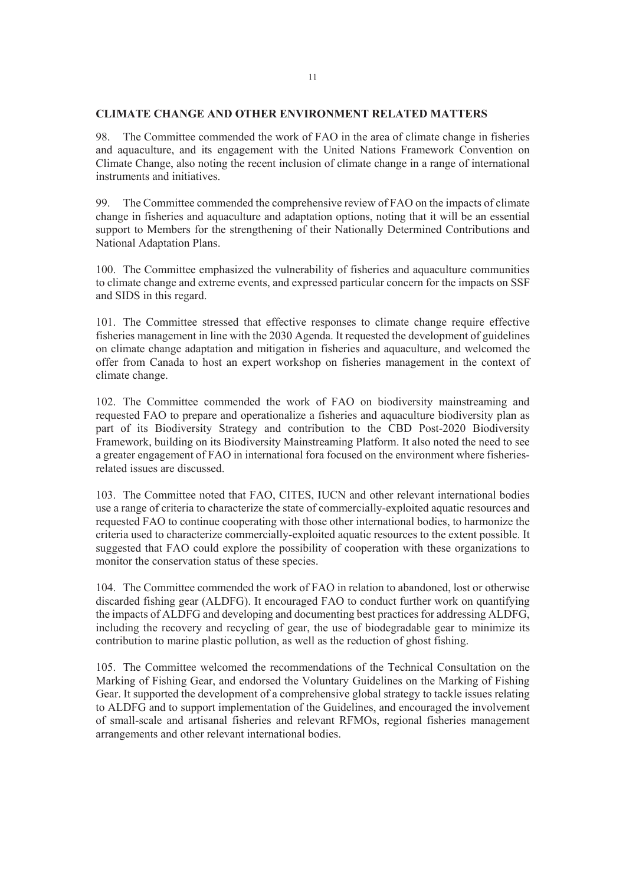## **CLIMATE CHANGE AND OTHER ENVIRONMENT RELATED MATTERS**

98. The Committee commended the work of FAO in the area of climate change in fisheries and aquaculture, and its engagement with the United Nations Framework Convention on Climate Change, also noting the recent inclusion of climate change in a range of international instruments and initiatives.

99. The Committee commended the comprehensive review of FAO on the impacts of climate change in fisheries and aquaculture and adaptation options, noting that it will be an essential support to Members for the strengthening of their Nationally Determined Contributions and National Adaptation Plans.

100. The Committee emphasized the vulnerability of fisheries and aquaculture communities to climate change and extreme events, and expressed particular concern for the impacts on SSF and SIDS in this regard.

101. The Committee stressed that effective responses to climate change require effective fisheries management in line with the 2030 Agenda. It requested the development of guidelines on climate change adaptation and mitigation in fisheries and aquaculture, and welcomed the offer from Canada to host an expert workshop on fisheries management in the context of climate change.

102. The Committee commended the work of FAO on biodiversity mainstreaming and requested FAO to prepare and operationalize a fisheries and aquaculture biodiversity plan as part of its Biodiversity Strategy and contribution to the CBD Post-2020 Biodiversity Framework, building on its Biodiversity Mainstreaming Platform. It also noted the need to see a greater engagement of FAO in international fora focused on the environment where fisheriesrelated issues are discussed.

103. The Committee noted that FAO, CITES, IUCN and other relevant international bodies use a range of criteria to characterize the state of commercially-exploited aquatic resources and requested FAO to continue cooperating with those other international bodies, to harmonize the criteria used to characterize commercially-exploited aquatic resources to the extent possible. It suggested that FAO could explore the possibility of cooperation with these organizations to monitor the conservation status of these species.

104. The Committee commended the work of FAO in relation to abandoned, lost or otherwise discarded fishing gear (ALDFG). It encouraged FAO to conduct further work on quantifying the impacts of ALDFG and developing and documenting best practices for addressing ALDFG, including the recovery and recycling of gear, the use of biodegradable gear to minimize its contribution to marine plastic pollution, as well as the reduction of ghost fishing.

105. The Committee welcomed the recommendations of the Technical Consultation on the Marking of Fishing Gear, and endorsed the Voluntary Guidelines on the Marking of Fishing Gear. It supported the development of a comprehensive global strategy to tackle issues relating to ALDFG and to support implementation of the Guidelines, and encouraged the involvement of small-scale and artisanal fisheries and relevant RFMOs, regional fisheries management arrangements and other relevant international bodies.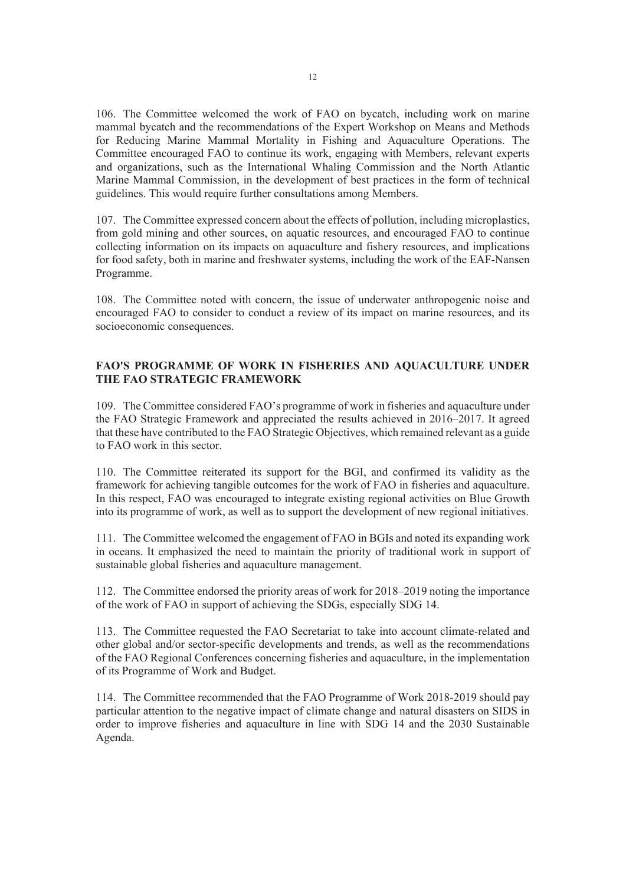106. The Committee welcomed the work of FAO on bycatch, including work on marine mammal bycatch and the recommendations of the Expert Workshop on Means and Methods for Reducing Marine Mammal Mortality in Fishing and Aquaculture Operations. The Committee encouraged FAO to continue its work, engaging with Members, relevant experts and organizations, such as the International Whaling Commission and the North Atlantic Marine Mammal Commission, in the development of best practices in the form of technical guidelines. This would require further consultations among Members.

107. The Committee expressed concern about the effects of pollution, including microplastics, from gold mining and other sources, on aquatic resources, and encouraged FAO to continue collecting information on its impacts on aquaculture and fishery resources, and implications for food safety, both in marine and freshwater systems, including the work of the EAF-Nansen Programme.

108. The Committee noted with concern, the issue of underwater anthropogenic noise and encouraged FAO to consider to conduct a review of its impact on marine resources, and its socioeconomic consequences.

## **FAO'S PROGRAMME OF WORK IN FISHERIES AND AQUACULTURE UNDER THE FAO STRATEGIC FRAMEWORK**

109. The Committee considered FAO's programme of work in fisheries and aquaculture under the FAO Strategic Framework and appreciated the results achieved in 2016–2017. It agreed that these have contributed to the FAO Strategic Objectives, which remained relevant as a guide to FAO work in this sector.

110. The Committee reiterated its support for the BGI, and confirmed its validity as the framework for achieving tangible outcomes for the work of FAO in fisheries and aquaculture. In this respect, FAO was encouraged to integrate existing regional activities on Blue Growth into its programme of work, as well as to support the development of new regional initiatives.

111. The Committee welcomed the engagement of FAO in BGIs and noted its expanding work in oceans. It emphasized the need to maintain the priority of traditional work in support of sustainable global fisheries and aquaculture management.

112. The Committee endorsed the priority areas of work for 2018–2019 noting the importance of the work of FAO in support of achieving the SDGs, especially SDG 14.

113. The Committee requested the FAO Secretariat to take into account climate-related and other global and/or sector-specific developments and trends, as well as the recommendations of the FAO Regional Conferences concerning fisheries and aquaculture, in the implementation of its Programme of Work and Budget.

114. The Committee recommended that the FAO Programme of Work 2018-2019 should pay particular attention to the negative impact of climate change and natural disasters on SIDS in order to improve fisheries and aquaculture in line with SDG 14 and the 2030 Sustainable Agenda.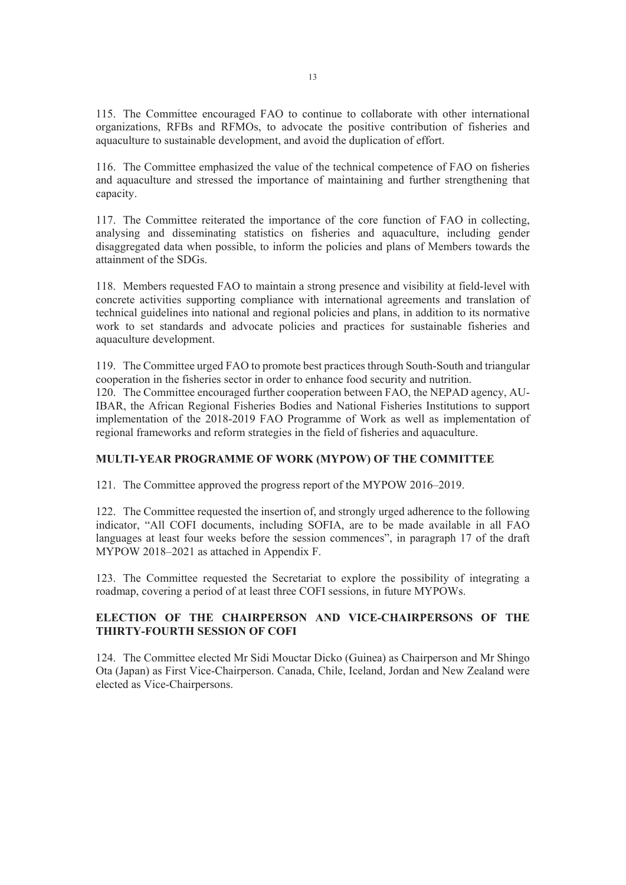115. The Committee encouraged FAO to continue to collaborate with other international organizations, RFBs and RFMOs, to advocate the positive contribution of fisheries and aquaculture to sustainable development, and avoid the duplication of effort.

116. The Committee emphasized the value of the technical competence of FAO on fisheries and aquaculture and stressed the importance of maintaining and further strengthening that capacity.

117. The Committee reiterated the importance of the core function of FAO in collecting, analysing and disseminating statistics on fisheries and aquaculture, including gender disaggregated data when possible, to inform the policies and plans of Members towards the attainment of the SDGs.

118. Members requested FAO to maintain a strong presence and visibility at field-level with concrete activities supporting compliance with international agreements and translation of technical guidelines into national and regional policies and plans, in addition to its normative work to set standards and advocate policies and practices for sustainable fisheries and aquaculture development.

119. The Committee urged FAO to promote best practices through South-South and triangular cooperation in the fisheries sector in order to enhance food security and nutrition.

120. The Committee encouraged further cooperation between FAO, the NEPAD agency, AU-IBAR, the African Regional Fisheries Bodies and National Fisheries Institutions to support implementation of the 2018-2019 FAO Programme of Work as well as implementation of regional frameworks and reform strategies in the field of fisheries and aquaculture.

## **MULTI-YEAR PROGRAMME OF WORK (MYPOW) OF THE COMMITTEE**

121. The Committee approved the progress report of the MYPOW 2016–2019.

122. The Committee requested the insertion of, and strongly urged adherence to the following indicator, "All COFI documents, including SOFIA, are to be made available in all FAO languages at least four weeks before the session commences", in paragraph 17 of the draft MYPOW 2018–2021 as attached in Appendix F.

123. The Committee requested the Secretariat to explore the possibility of integrating a roadmap, covering a period of at least three COFI sessions, in future MYPOWs.

# **ELECTION OF THE CHAIRPERSON AND VICE-CHAIRPERSONS OF THE THIRTY-FOURTH SESSION OF COFI**

124. The Committee elected Mr Sidi Mouctar Dicko (Guinea) as Chairperson and Mr Shingo Ota (Japan) as First Vice-Chairperson. Canada, Chile, Iceland, Jordan and New Zealand were elected as Vice-Chairpersons.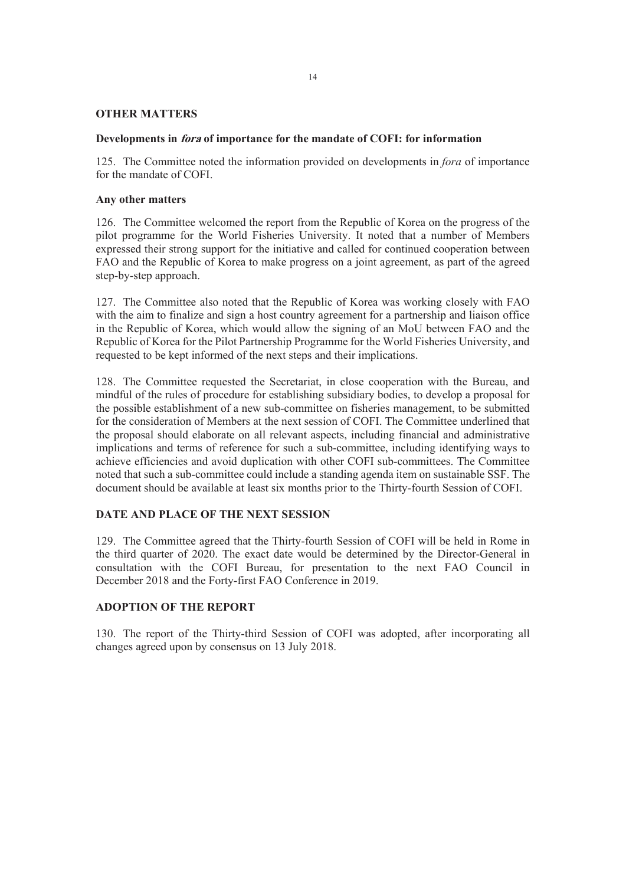## **OTHER MATTERS**

## **Developments in fora of importance for the mandate of COFI: for information**

125. The Committee noted the information provided on developments in *fora* of importance for the mandate of COFI.

## **Any other matters**

126. The Committee welcomed the report from the Republic of Korea on the progress of the pilot programme for the World Fisheries University. It noted that a number of Members expressed their strong support for the initiative and called for continued cooperation between FAO and the Republic of Korea to make progress on a joint agreement, as part of the agreed step-by-step approach.

127. The Committee also noted that the Republic of Korea was working closely with FAO with the aim to finalize and sign a host country agreement for a partnership and liaison office in the Republic of Korea, which would allow the signing of an MoU between FAO and the Republic of Korea for the Pilot Partnership Programme for the World Fisheries University, and requested to be kept informed of the next steps and their implications.

128. The Committee requested the Secretariat, in close cooperation with the Bureau, and mindful of the rules of procedure for establishing subsidiary bodies, to develop a proposal for the possible establishment of a new sub-committee on fisheries management, to be submitted for the consideration of Members at the next session of COFI. The Committee underlined that the proposal should elaborate on all relevant aspects, including financial and administrative implications and terms of reference for such a sub-committee, including identifying ways to achieve efficiencies and avoid duplication with other COFI sub-committees. The Committee noted that such a sub-committee could include a standing agenda item on sustainable SSF. The document should be available at least six months prior to the Thirty-fourth Session of COFI.

## **DATE AND PLACE OF THE NEXT SESSION**

129. The Committee agreed that the Thirty-fourth Session of COFI will be held in Rome in the third quarter of 2020. The exact date would be determined by the Director-General in consultation with the COFI Bureau, for presentation to the next FAO Council in December 2018 and the Forty-first FAO Conference in 2019.

# **ADOPTION OF THE REPORT**

130. The report of the Thirty-third Session of COFI was adopted, after incorporating all changes agreed upon by consensus on 13 July 2018.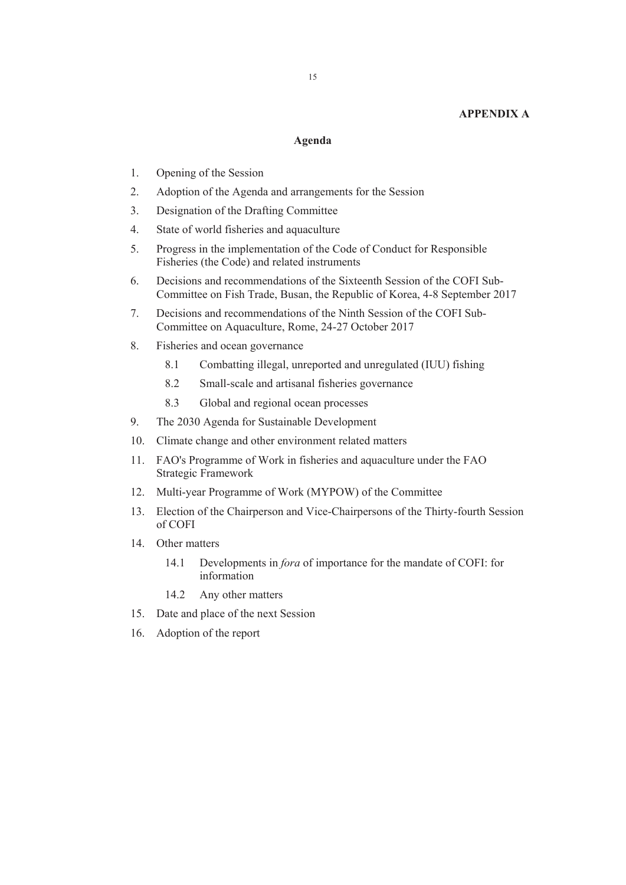# **APPENDIX A**

### **Agenda**

- 1. Opening of the Session
- 2. Adoption of the Agenda and arrangements for the Session
- 3. Designation of the Drafting Committee
- 4. State of world fisheries and aquaculture
- 5. Progress in the implementation of the Code of Conduct for Responsible Fisheries (the Code) and related instruments
- 6. Decisions and recommendations of the Sixteenth Session of the COFI Sub-Committee on Fish Trade, Busan, the Republic of Korea, 4-8 September 2017
- 7. Decisions and recommendations of the Ninth Session of the COFI Sub-Committee on Aquaculture, Rome, 24-27 October 2017
- 8. Fisheries and ocean governance
	- 8.1 Combatting illegal, unreported and unregulated (IUU) fishing
	- 8.2 Small-scale and artisanal fisheries governance
	- 8.3 Global and regional ocean processes
- 9. The 2030 Agenda for Sustainable Development
- 10. Climate change and other environment related matters
- 11. FAO's Programme of Work in fisheries and aquaculture under the FAO Strategic Framework
- 12. Multi-year Programme of Work (MYPOW) of the Committee
- 13. Election of the Chairperson and Vice-Chairpersons of the Thirty-fourth Session of COFI
- 14. Other matters
	- 14.1 Developments in *fora* of importance for the mandate of COFI: for information
	- 14.2 Any other matters
- 15. Date and place of the next Session
- 16. Adoption of the report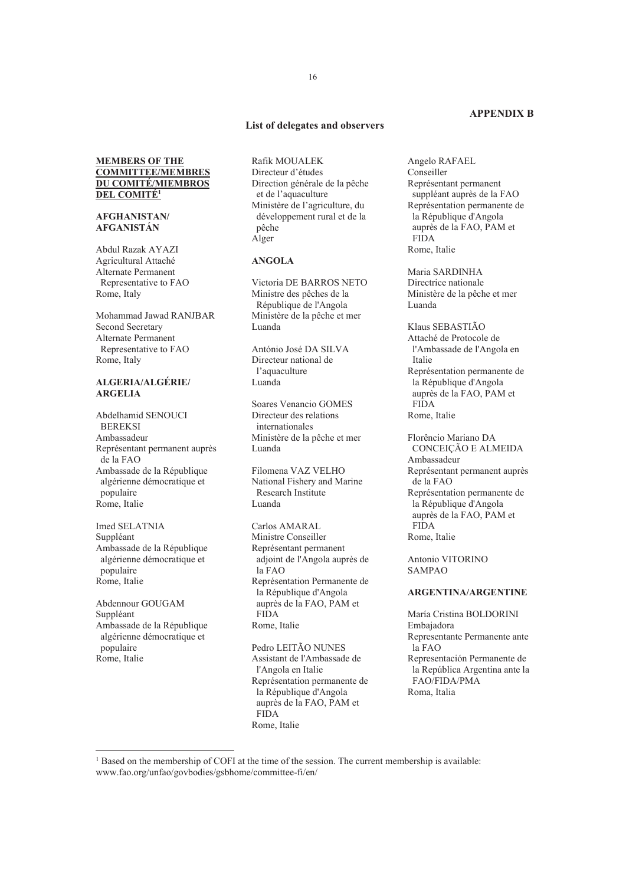#### **List of delegates and observers**

#### **MEMBERS OF THE COMMITTEE/MEMBRES DU COMITÉ/MIEMBROS DEL COMITÉ1**

### **AFGHANISTAN/ AFGANISTÁN**

Abdul Razak AYAZI Agricultural Attaché Alternate Permanent Representative to FAO Rome, Italy

Mohammad Jawad RANJBAR Second Secretary Alternate Permanent Representative to FAO Rome, Italy

### **ALGERIA/ALGÉRIE/ ARGELIA**

Abdelhamid SENOUCI **BEREKSI** Ambassadeur Représentant permanent auprès de la FAO Ambassade de la République algérienne démocratique et populaire Rome, Italie

Imed SELATNIA Suppléant Ambassade de la République algérienne démocratique et populaire Rome, Italie

Abdennour GOUGAM Suppléant Ambassade de la République algérienne démocratique et populaire Rome, Italie

-

Rafik MOUALEK Directeur d'études Direction générale de la pêche et de l'aquaculture Ministère de l'agriculture, du développement rural et de la pêche Alger

### **ANGOLA**

Victoria DE BARROS NETO Ministre des pêches de la République de l'Angola Ministère de la pêche et mer Luanda

António José DA SILVA Directeur national de l'aquaculture Luanda

Soares Venancio GOMES Directeur des relations internationales Ministère de la pêche et mer Luanda

Filomena VAZ VELHO National Fishery and Marine Research Institute Luanda

Carlos AMARAL Ministre Conseiller Représentant permanent adjoint de l'Angola auprès de la FAO Représentation Permanente de la République d'Angola auprès de la FAO, PAM et FIDA Rome, Italie

Pedro LEITÃO NUNES Assistant de l'Ambassade de l'Angola en Italie Représentation permanente de la République d'Angola auprès de la FAO, PAM et FIDA Rome, Italie

Angelo RAFAEL Conseiller Représentant permanent suppléant auprès de la FAO Représentation permanente de la République d'Angola auprès de la FAO, PAM et FIDA Rome, Italie

Maria SARDINHA Directrice nationale Ministère de la pêche et mer Luanda

Klaus SEBASTIÃO Attaché de Protocole de l'Ambassade de l'Angola en Italie Représentation permanente de la République d'Angola auprès de la FAO, PAM et FIDA Rome, Italie

Florêncio Mariano DA CONCEIÇÃO E ALMEIDA Ambassadeur Représentant permanent auprès de la FAO Représentation permanente de la République d'Angola auprès de la FAO, PAM et FIDA Rome, Italie

Antonio VITORINO SAMPAO

### **ARGENTINA/ARGENTINE**

María Cristina BOLDORINI Embajadora Representante Permanente ante la FAO Representación Permanente de la República Argentina ante la FAO/FIDA/PMA Roma, Italia

## **APPENDIX B**

<sup>&</sup>lt;sup>1</sup> Based on the membership of COFI at the time of the session. The current membership is available: www.fao.org/unfao/govbodies/gsbhome/committee-fi/en/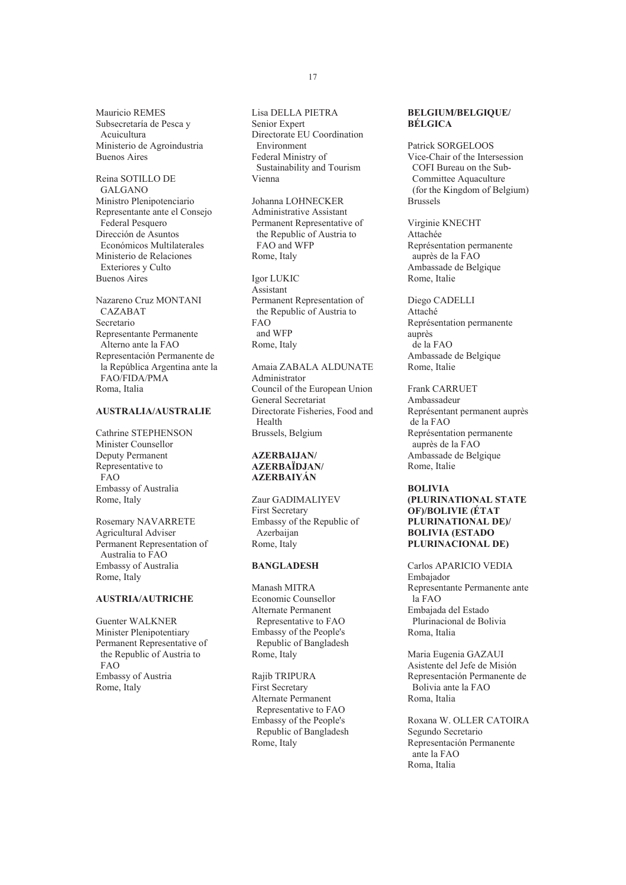Mauricio REMES Subsecretaría de Pesca y Acuicultura Ministerio de Agroindustria Buenos Aires

Reina SOTILLO DE GALGANO Ministro Plenipotenciario Representante ante el Consejo Federal Pesquero Dirección de Asuntos Económicos Multilaterales Ministerio de Relaciones Exteriores y Culto Buenos Aires

Nazareno Cruz MONTANI CAZABAT Secretario Representante Permanente Alterno ante la FAO Representación Permanente de la República Argentina ante la FAO/FIDA/PMA Roma, Italia

## **AUSTRALIA/AUSTRALIE**

Cathrine STEPHENSON Minister Counsellor Deputy Permanent Representative to FAO Embassy of Australia Rome, Italy

Rosemary NAVARRETE Agricultural Adviser Permanent Representation of Australia to FAO Embassy of Australia Rome, Italy

#### **AUSTRIA/AUTRICHE**

Guenter WALKNER Minister Plenipotentiary Permanent Representative of the Republic of Austria to FAO Embassy of Austria Rome, Italy

Lisa DELLA PIETRA Senior Expert Directorate EU Coordination Environment Federal Ministry of Sustainability and Tourism Vienna

Johanna LOHNECKER Administrative Assistant Permanent Representative of the Republic of Austria to FAO and WFP Rome, Italy

Igor LUKIC Assistant Permanent Representation of the Republic of Austria to FAO and WFP Rome, Italy

Amaia ZABALA ALDUNATE Administrator Council of the European Union General Secretariat Directorate Fisheries, Food and Health Brussels, Belgium

#### **AZERBAIJAN/ AZERBAÏDJAN/ AZERBAIYÁN**

Zaur GADIMALIYEV First Secretary Embassy of the Republic of Azerbaijan Rome, Italy

#### **BANGLADESH**

Manash MITRA Economic Counsellor Alternate Permanent Representative to FAO Embassy of the People's Republic of Bangladesh Rome, Italy

Rajib TRIPURA First Secretary Alternate Permanent Representative to FAO Embassy of the People's Republic of Bangladesh Rome, Italy

#### **BELGIUM/BELGIQUE/ BÉLGICA**

Patrick SORGELOOS Vice-Chair of the Intersession COFI Bureau on the Sub- Committee Aquaculture (for the Kingdom of Belgium) Brussels

Virginie KNECHT Attachée Représentation permanente auprès de la FAO Ambassade de Belgique Rome, Italie

Diego CADELLI Attaché Représentation permanente auprès de la FAO Ambassade de Belgique Rome, Italie

Frank CARRUET Ambassadeur Représentant permanent auprès de la FAO Représentation permanente auprès de la FAO Ambassade de Belgique Rome, Italie

#### **BOLIVIA (PLURINATIONAL STATE OF)/BOLIVIE (ÉTAT PLURINATIONAL DE)/ BOLIVIA (ESTADO PLURINACIONAL DE)**

Carlos APARICIO VEDIA Embajador Representante Permanente ante la FAO Embajada del Estado Plurinacional de Bolivia Roma, Italia

Maria Eugenia GAZAUI Asistente del Jefe de Misión Representación Permanente de Bolivia ante la FAO Roma, Italia

Roxana W. OLLER CATOIRA Segundo Secretario Representación Permanente ante la FAO Roma, Italia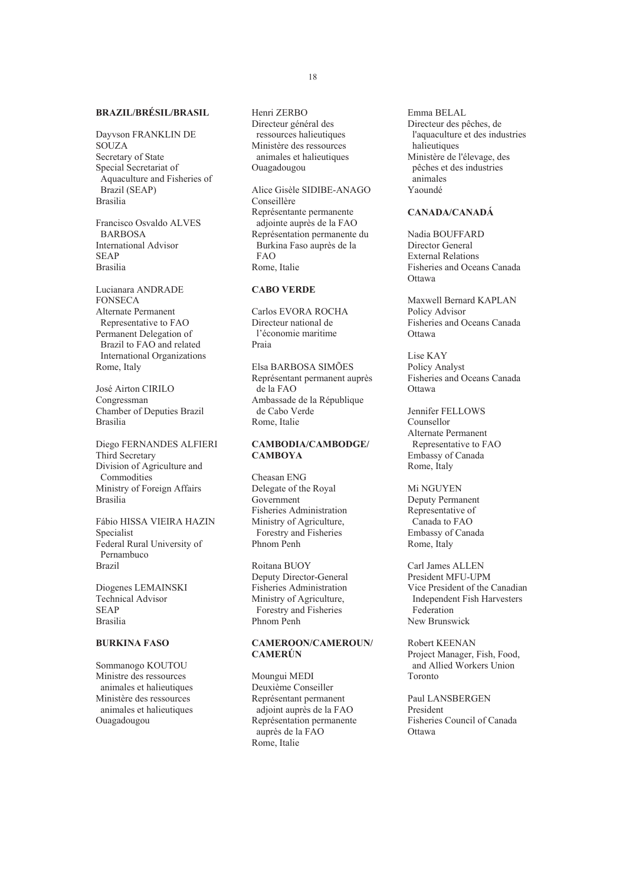## **BRAZIL/BRÉSIL/BRASIL**

Dayvson FRANKLIN DE **SOUZA** Secretary of State Special Secretariat of Aquaculture and Fisheries of Brazil (SEAP) Brasilia

Francisco Osvaldo ALVES BARBOSA International Advisor **SEAP** Brasilia

Lucianara ANDRADE FONSECA Alternate Permanent Representative to FAO Permanent Delegation of Brazil to FAO and related International Organizations Rome, Italy

José Airton CIRILO Congressman Chamber of Deputies Brazil Brasilia

Diego FERNANDES ALFIERI Third Secretary Division of Agriculture and Commodities Ministry of Foreign Affairs Brasilia

Fábio HISSA VIEIRA HAZIN Specialist Federal Rural University of Pernambuco Brazil

Diogenes LEMAINSKI Technical Advisor SEAP Brasilia

#### **BURKINA FASO**

Sommanogo KOUTOU Ministre des ressources animales et halieutiques Ministère des ressources animales et halieutiques Ouagadougou

Henri ZERBO Directeur général des ressources halieutiques Ministère des ressources animales et halieutiques Ouagadougou

Alice Gisèle SIDIBE-ANAGO Conseillère Représentante permanente adjointe auprès de la FAO Représentation permanente du Burkina Faso auprès de la FAO Rome, Italie

#### **CABO VERDE**

Carlos EVORA ROCHA Directeur national de l'économie maritime Praia

Elsa BARBOSA SIMÕES Représentant permanent auprès de la FAO Ambassade de la République de Cabo Verde Rome, Italie

### **CAMBODIA/CAMBODGE/ CAMBOYA**

Cheasan ENG Delegate of the Royal Government Fisheries Administration Ministry of Agriculture, Forestry and Fisheries Phnom Penh

Roitana BUOY Deputy Director-General Fisheries Administration Ministry of Agriculture, Forestry and Fisheries Phnom Penh

### **CAMEROON/CAMEROUN/ CAMERÚN**

Moungui MEDI Deuxième Conseiller Représentant permanent adjoint auprès de la FAO Représentation permanente auprès de la FAO Rome, Italie

Emma BELAL Directeur des pêches, de l'aquaculture et des industries halieutiques Ministère de l'élevage, des pêches et des industries animales Yaoundé

### **CANADA/CANADÁ**

Nadia BOUFFARD Director General External Relations Fisheries and Oceans Canada Ottawa

Maxwell Bernard KAPLAN Policy Advisor Fisheries and Oceans Canada Ottawa

Lise KAY Policy Analyst Fisheries and Oceans Canada Ottawa

Jennifer FELLOWS Counsellor Alternate Permanent Representative to FAO Embassy of Canada Rome, Italy

Mi NGUYEN Deputy Permanent Representative of Canada to FAO Embassy of Canada Rome, Italy

Carl James ALLEN President MFU-UPM Vice President of the Canadian Independent Fish Harvesters Federation New Brunswick

Robert KEENAN Project Manager, Fish, Food, and Allied Workers Union Toronto

Paul LANSBERGEN President Fisheries Council of Canada **Ottawa**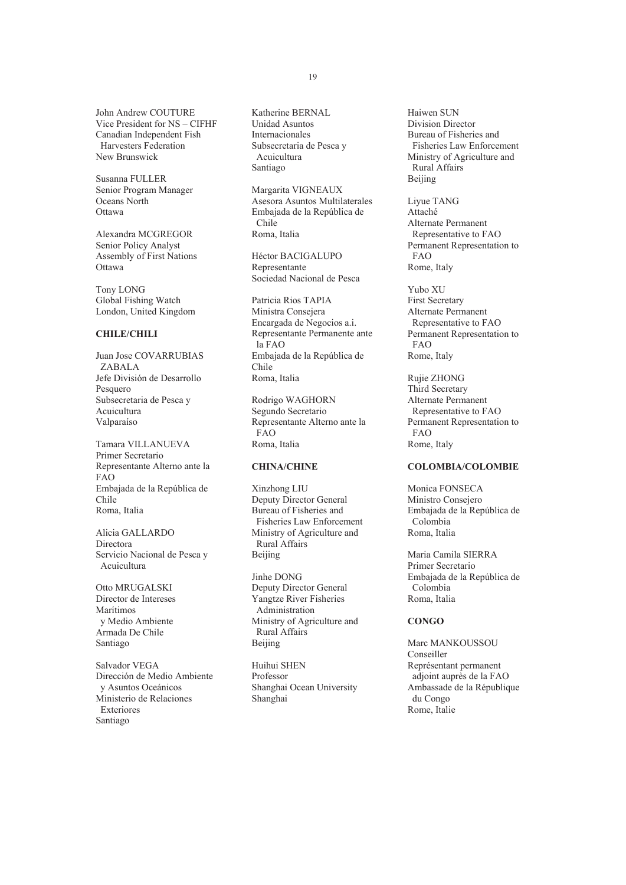John Andrew COUTURE Vice President for NS – CIFHF Canadian Independent Fish Harvesters Federation New Brunswick

Susanna FULLER Senior Program Manager Oceans North Ottawa

Alexandra MCGREGOR Senior Policy Analyst Assembly of First Nations Ottawa

Tony LONG Global Fishing Watch London, United Kingdom

### **CHILE/CHILI**

Juan Jose COVARRUBIAS ZABALA Jefe División de Desarrollo Pesquero Subsecretaria de Pesca y Acuicultura Valparaíso

Tamara VILLANUEVA Primer Secretario Representante Alterno ante la FAO Embajada de la República de Chile Roma, Italia

Alicia GALLARDO Directora Servicio Nacional de Pesca y Acuicultura

Otto MRUGALSKI Director de Intereses Marítimos y Medio Ambiente Armada De Chile Santiago

Salvador VEGA Dirección de Medio Ambiente y Asuntos Oceánicos Ministerio de Relaciones Exteriores Santiago

Katherine BERNAL Unidad Asuntos Internacionales Subsecretaria de Pesca y Acuicultura Santiago

Margarita VIGNEAUX Asesora Asuntos Multilaterales Embajada de la República de Chile Roma, Italia

Héctor BACIGALUPO Representante Sociedad Nacional de Pesca

Patricia Rios TAPIA Ministra Consejera Encargada de Negocios a.i. Representante Permanente ante la FAO Embajada de la República de Chile Roma, Italia

Rodrigo WAGHORN Segundo Secretario Representante Alterno ante la FAO Roma, Italia

#### **CHINA/CHINE**

Xinzhong LIU Deputy Director General Bureau of Fisheries and Fisheries Law Enforcement Ministry of Agriculture and Rural Affairs Beijing

Jinhe DONG Deputy Director General Yangtze River Fisheries Administration Ministry of Agriculture and Rural Affairs Beijing

Huihui SHEN Professor Shanghai Ocean University Shanghai

Haiwen SUN Division Director Bureau of Fisheries and Fisheries Law Enforcement Ministry of Agriculture and Rural Affairs Beijing

Liyue TANG Attaché Alternate Permanent Representative to FAO Permanent Representation to FAO Rome, Italy

Yubo XU First Secretary Alternate Permanent Representative to FAO Permanent Representation to FAO Rome, Italy

Rujie ZHONG Third Secretary Alternate Permanent Representative to FAO Permanent Representation to FAO Rome, Italy

### **COLOMBIA/COLOMBIE**

Monica FONSECA Ministro Consejero Embajada de la República de Colombia Roma, Italia

Maria Camila SIERRA Primer Secretario Embajada de la República de Colombia Roma, Italia

### **CONGO**

Marc MANKOUSSOU Conseiller Représentant permanent adjoint auprès de la FAO Ambassade de la République du Congo Rome, Italie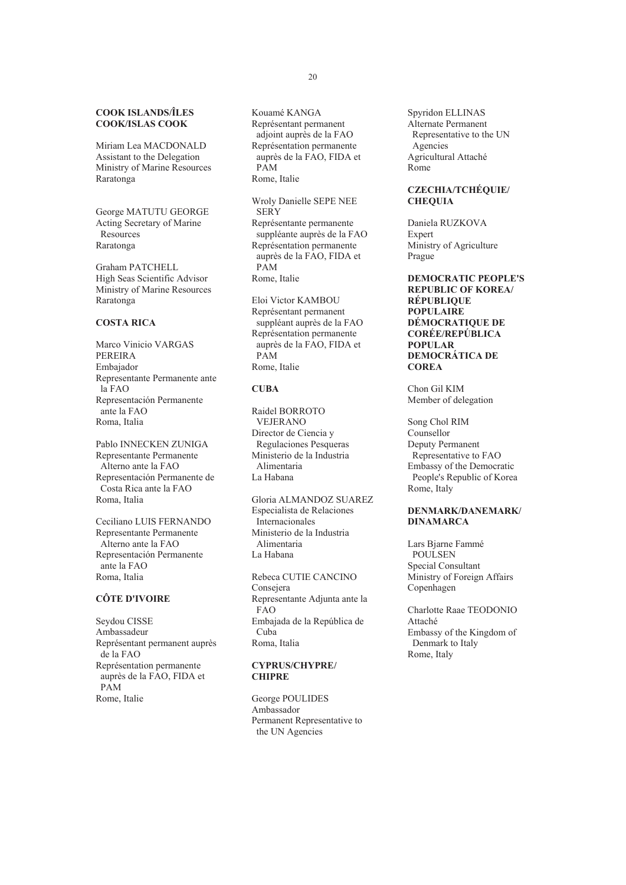### **COOK ISLANDS/ÎLES COOK/ISLAS COOK**

Miriam Lea MACDONALD Assistant to the Delegation Ministry of Marine Resources Raratonga

George MATUTU GEORGE Acting Secretary of Marine **Resources** Raratonga

Graham PATCHELL High Seas Scientific Advisor Ministry of Marine Resources Raratonga

### **COSTA RICA**

Marco Vinicio VARGAS PEREIRA Embajador Representante Permanente ante la FAO Representación Permanente ante la FAO Roma, Italia

Pablo INNECKEN ZUNIGA Representante Permanente Alterno ante la FAO Representación Permanente de Costa Rica ante la FAO Roma, Italia

Ceciliano LUIS FERNANDO Representante Permanente Alterno ante la FAO Representación Permanente ante la FAO Roma, Italia

### **CÔTE D'IVOIRE**

Seydou CISSE Ambassadeur Représentant permanent auprès de la FAO Représentation permanente auprès de la FAO, FIDA et PAM Rome, Italie

Kouamé KANGA Représentant permanent adjoint auprès de la FAO Représentation permanente auprès de la FAO, FIDA et PAM Rome, Italie

Wroly Danielle SEPE NEE **SERY** Représentante permanente suppléante auprès de la FAO Représentation permanente auprès de la FAO, FIDA et PAM Rome, Italie

Eloi Victor KAMBOU Représentant permanent suppléant auprès de la FAO Représentation permanente auprès de la FAO, FIDA et PAM Rome, Italie

#### **CUBA**

Raidel BORROTO VEJERANO Director de Ciencia y Regulaciones Pesqueras Ministerio de la Industria Alimentaria La Habana

Gloria ALMANDOZ SUAREZ Especialista de Relaciones Internacionales Ministerio de la Industria Alimentaria La Habana

Rebeca CUTIE CANCINO Consejera Representante Adjunta ante la FAO Embajada de la República de Cuba Roma, Italia

#### **CYPRUS/CHYPRE/ CHIPRE**

George POULIDES Ambassador Permanent Representative to the UN Agencies

Spyridon ELLINAS Alternate Permanent Representative to the UN Agencies Agricultural Attaché Rome

### **CZECHIA/TCHÉQUIE/ CHEQUIA**

Daniela RUZKOVA Expert Ministry of Agriculture Prague

**DEMOCRATIC PEOPLE'S REPUBLIC OF KOREA/ RÉPUBLIQUE POPULAIRE DÉMOCRATIQUE DE CORÉE/REPÚBLICA POPULAR DEMOCRÁTICA DE COREA**

Chon Gil KIM Member of delegation

Song Chol RIM Counsellor Deputy Permanent Representative to FAO Embassy of the Democratic People's Republic of Korea Rome, Italy

#### **DENMARK/DANEMARK/ DINAMARCA**

Lars Bjarne Fammé POULSEN Special Consultant Ministry of Foreign Affairs Copenhagen

Charlotte Raae TEODONIO Attaché Embassy of the Kingdom of Denmark to Italy Rome, Italy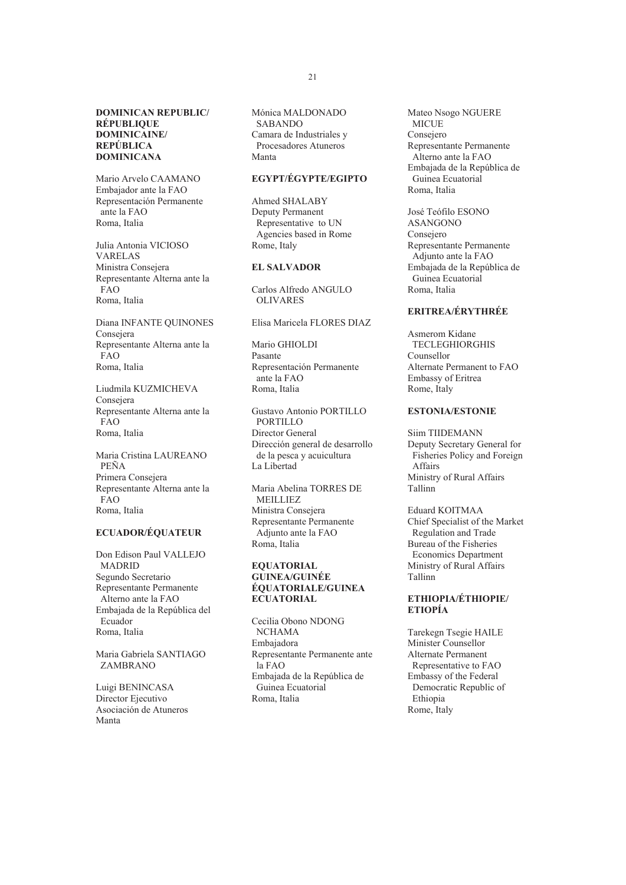#### **DOMINICAN REPUBLIC/ RÉPUBLIQUE DOMINICAINE/ REPÚBLICA DOMINICANA**

Mario Arvelo CAAMANO Embajador ante la FAO Representación Permanente ante la FAO Roma, Italia

Julia Antonia VICIOSO VARELAS Ministra Consejera Representante Alterna ante la FAO Roma, Italia

Diana INFANTE QUINONES Consejera Representante Alterna ante la FAO Roma, Italia

Liudmila KUZMICHEVA Consejera Representante Alterna ante la FAO Roma, Italia

Maria Cristina LAUREANO PEÑA Primera Consejera Representante Alterna ante la FAO Roma, Italia

### **ECUADOR/ÉQUATEUR**

Don Edison Paul VALLEJO MADRID Segundo Secretario Representante Permanente Alterno ante la FAO Embajada de la República del Ecuador Roma, Italia

Maria Gabriela SANTIAGO ZAMBRANO

Luigi BENINCASA Director Ejecutivo Asociación de Atuneros Manta

Mónica MALDONADO SABANDO Camara de Industriales y Procesadores Atuneros Manta

## **EGYPT/ÉGYPTE/EGIPTO**

Ahmed SHALABY Deputy Permanent Representative to UN Agencies based in Rome Rome, Italy

### **EL SALVADOR**

Carlos Alfredo ANGULO OLIVARES

Elisa Maricela FLORES DIAZ

Mario GHIOLDI Pasante Representación Permanente ante la FAO Roma, Italia

Gustavo Antonio PORTILLO PORTILLO Director General Dirección general de desarrollo de la pesca y acuicultura La Libertad

Maria Abelina TORRES DE **MEILLIEZ** Ministra Consejera Representante Permanente Adjunto ante la FAO Roma, Italia

#### **EQUATORIAL GUINEA/GUINÉE ÉQUATORIALE/GUINEA ECUATORIAL**

Cecilia Obono NDONG NCHAMA Embajadora Representante Permanente ante  $l$ a FAO Embajada de la República de Guinea Ecuatorial Roma, Italia

Mateo Nsogo NGUERE **MICUE** Consejero Representante Permanente Alterno ante la FAO Embajada de la República de Guinea Ecuatorial Roma, Italia

José Teófilo ESONO ASANGONO Consejero Representante Permanente Adjunto ante la FAO Embajada de la República de Guinea Ecuatorial Roma, Italia

## **ERITREA/ÉRYTHRÉE**

Asmerom Kidane TECLEGHIORGHIS Counsellor Alternate Permanent to FAO Embassy of Eritrea Rome, Italy

### **ESTONIA/ESTONIE**

Siim TIIDEMANN Deputy Secretary General for Fisheries Policy and Foreign Affairs Ministry of Rural Affairs Tallinn

Eduard KOITMAA Chief Specialist of the Market Regulation and Trade Bureau of the Fisheries Economics Department Ministry of Rural Affairs Tallinn

### **ETHIOPIA/ÉTHIOPIE/ ETIOPÍA**

Tarekegn Tsegie HAILE Minister Counsellor Alternate Permanent Representative to FAO Embassy of the Federal Democratic Republic of Ethiopia Rome, Italy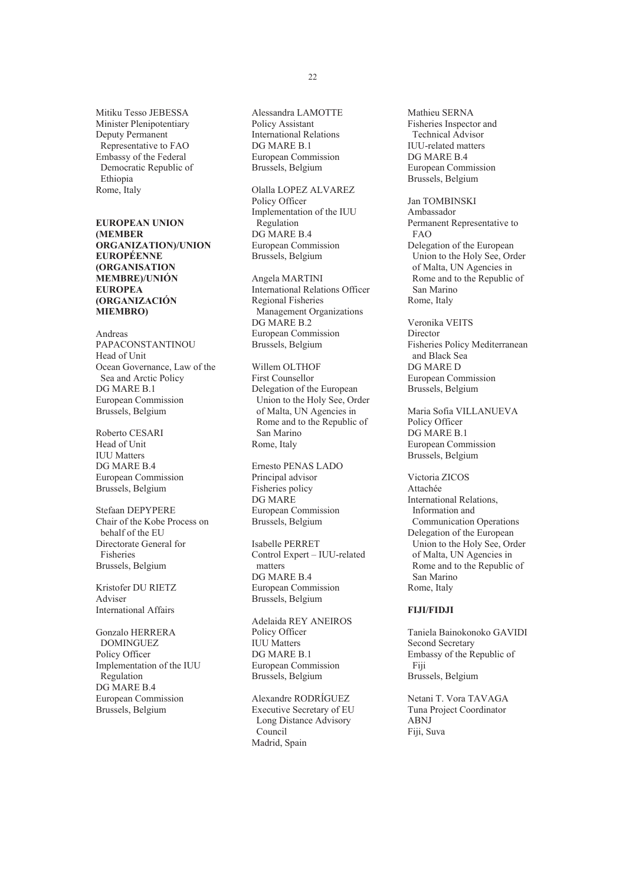Mitiku Tesso JEBESSA Minister Plenipotentiary Deputy Permanent Representative to FAO Embassy of the Federal Democratic Republic of Ethiopia Rome, Italy

**EUROPEAN UNION (MEMBER ORGANIZATION)/UNION EUROPÉENNE (ORGANISATION MEMBRE)/UNIÓN EUROPEA (ORGANIZACIÓN MIEMBRO)**

Andreas PAPACONSTANTINOU Head of Unit Ocean Governance, Law of the Sea and Arctic Policy DG MARE B.1 European Commission Brussels, Belgium

Roberto CESARI Head of Unit IUU Matters DG MARE B.4 European Commission Brussels, Belgium

Stefaan DEPYPERE Chair of the Kobe Process on behalf of the EU Directorate General for Fisheries Brussels, Belgium

Kristofer DU RIETZ Adviser International Affairs

Gonzalo HERRERA DOMINGUEZ Policy Officer Implementation of the IUU Regulation DG MARE B.4 European Commission Brussels, Belgium

Alessandra LAMOTTE Policy Assistant International Relations DG MARE B.1 European Commission Brussels, Belgium

Olalla LOPEZ ALVAREZ Policy Officer Implementation of the IUU Regulation DG MARE B.4 European Commission Brussels, Belgium

Angela MARTINI International Relations Officer Regional Fisheries Management Organizations DG MARE B.2 European Commission Brussels, Belgium

Willem OLTHOF First Counsellor Delegation of the European Union to the Holy See, Order of Malta, UN Agencies in Rome and to the Republic of San Marino Rome, Italy

Ernesto PENAS LADO Principal advisor Fisheries policy DG MARE European Commission Brussels, Belgium

Isabelle PERRET Control Expert – IUU-related matters DG MARE B.4 European Commission Brussels, Belgium

Adelaida REY ANEIROS Policy Officer IUU Matters DG MARE B.1 European Commission Brussels, Belgium

Alexandre RODRÍGUEZ Executive Secretary of EU Long Distance Advisory Council Madrid, Spain

Mathieu SERNA Fisheries Inspector and Technical Advisor IUU-related matters DG MARE B.4 European Commission Brussels, Belgium

Jan TOMBINSKI Ambassador Permanent Representative to FAO Delegation of the European Union to the Holy See, Order of Malta, UN Agencies in Rome and to the Republic of San Marino Rome, Italy

Veronika VEITS Director Fisheries Policy Mediterranean and Black Sea DG MARE D European Commission Brussels, Belgium

Maria Sofia VILLANUEVA Policy Officer DG MARE B.1 European Commission Brussels, Belgium

Victoria ZICOS Attachée International Relations, Information and Communication Operations Delegation of the European Union to the Holy See, Order of Malta, UN Agencies in Rome and to the Republic of San Marino Rome, Italy

#### **FIJI/FIDJI**

Taniela Bainokonoko GAVIDI Second Secretary Embassy of the Republic of Fiji Brussels, Belgium

Netani T. Vora TAVAGA Tuna Project Coordinator ABNJ Fiji, Suva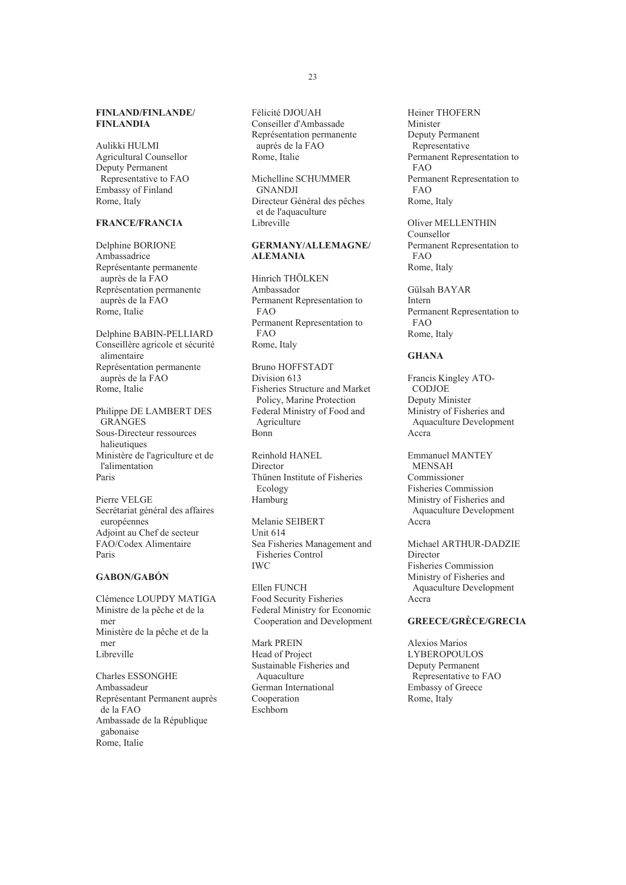### **FINLAND/FINLANDE/ FINLANDIA**

Aulikki HULMI Agricultural Counsellor Deputy Permanent Representative to FAO Embassy of Finland Rome, Italy

#### **FRANCE/FRANCIA**

Delphine BORIONE Ambassadrice Représentante permanente auprès de la FAO Représentation permanente auprès de la FAO Rome, Italie

Delphine BABIN-PELLIARD Conseillère agricole et sécurité alimentaire Représentation permanente auprès de la FAO Rome, Italie

Philippe DE LAMBERT DES **GRANGES** Sous-Directeur ressources halieutiques Ministère de l'agriculture et de l'alimentation Paris

Pierre VELGE Secrétariat général des affaires européennes Adjoint au Chef de secteur FAO/Codex Alimentaire Paris

#### **GABON/GABÓN**

Clémence LOUPDY MATIGA Ministre de la pêche et de la mer Ministère de la pêche et de la mer Libreville

Charles ESSONGHE Ambassadeur Représentant Permanent auprès de la FAO Ambassade de la République gabonaise Rome, Italie

Félicité DJOUAH Conseiller d'Ambassade Représentation permanente auprès de la FAO Rome, Italie

Michelline SCHUMMER GNANDJI Directeur Général des pêches et de l'aquaculture Libreville

#### **GERMANY/ALLEMAGNE/ ALEMANIA**

Hinrich THÖLKEN Ambassador Permanent Representation to FAO Permanent Representation to FAO Rome, Italy

Bruno HOFFSTADT Division 613 Fisheries Structure and Market Policy, Marine Protection Federal Ministry of Food and Agriculture Bonn

Reinhold HANEL **Director** Thünen Institute of Fisheries Ecology Hamburg

Melanie SEIBERT Unit 614 Sea Fisheries Management and Fisheries Control IWC

Ellen FUNCH Food Security Fisheries Federal Ministry for Economic Cooperation and Development

Mark PREIN Head of Project Sustainable Fisheries and Aquaculture German International Cooperation Eschborn

Heiner THOFERN Minister Deputy Permanent Representative Permanent Representation to FAO Permanent Representation to FAO Rome, Italy

Oliver MELLENTHIN Counsellor Permanent Representation to FAO Rome, Italy

Gülsah BAYAR Intern Permanent Representation to FAO Rome, Italy

#### **GHANA**

Francis Kingley ATO- CODJOE Deputy Minister Ministry of Fisheries and Aquaculture Development Accra

Emmanuel MANTEY MENSAH Commissioner Fisheries Commission Ministry of Fisheries and Aquaculture Development Accra

Michael ARTHUR-DADZIE Director Fisheries Commission Ministry of Fisheries and Aquaculture Development Accra

# **GREECE/GRÈCE/GRECIA**

Alexios Marios LYBEROPOULOS Deputy Permanent Representative to FAO Embassy of Greece Rome, Italy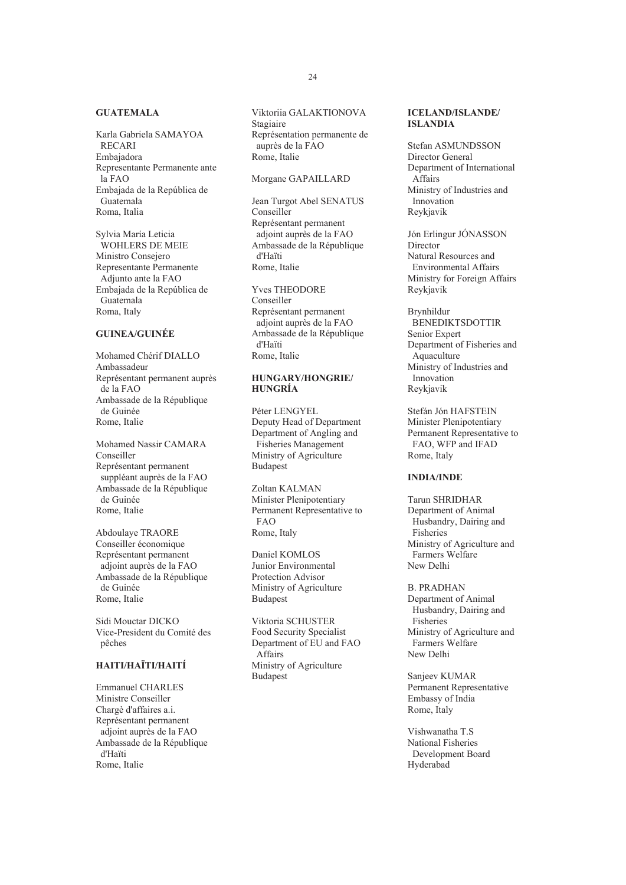## **GUATEMALA**

Karla Gabriela SAMAYOA RECARI Embajadora Representante Permanente ante la FAO Embajada de la República de Guatemala Roma, Italia

Sylvia María Leticia WOHLERS DE MEIE Ministro Consejero Representante Permanente Adjunto ante la FAO Embajada de la República de Guatemala Roma, Italy

### **GUINEA/GUINÉE**

Mohamed Chérif DIALLO Ambassadeur Représentant permanent auprès de la FAO Ambassade de la République de Guinée Rome, Italie

Mohamed Nassir CAMARA Conseiller Représentant permanent suppléant auprès de la FAO Ambassade de la République de Guinée Rome, Italie

Abdoulaye TRAORE Conseiller économique Représentant permanent adjoint auprès de la FAO Ambassade de la République de Guinée Rome, Italie

Sidi Mouctar DICKO Vice-President du Comité des pêches

# **HAITI/HAÏTI/HAITÍ**

Emmanuel CHARLES Ministre Conseiller Chargè d'affaires a.i. Représentant permanent adjoint auprès de la FAO Ambassade de la République d'Haïti Rome, Italie

Viktoriia GALAKTIONOVA Stagiaire Représentation permanente de auprès de la FAO Rome, Italie

### Morgane GAPAILLARD

Jean Turgot Abel SENATUS Conseiller Représentant permanent adjoint auprès de la FAO Ambassade de la République d'Haïti Rome, Italie

Yves THEODORE Conseiller Représentant permanent adjoint auprès de la FAO Ambassade de la République d'Haïti Rome, Italie

### **HUNGARY/HONGRIE/ HUNGRÍA**

Péter LENGYEL Deputy Head of Department Department of Angling and Fisheries Management Ministry of Agriculture Budapest

Zoltan KALMAN Minister Plenipotentiary Permanent Representative to FAO Rome, Italy

Daniel KOMLOS Junior Environmental Protection Advisor Ministry of Agriculture Budapest

Viktoria SCHUSTER Food Security Specialist Department of EU and FAO Affairs Ministry of Agriculture Budapest

#### **ICELAND/ISLANDE/ ISLANDIA**

Stefan ASMUNDSSON Director General Department of International Affairs Ministry of Industries and Innovation Reykjavik

Jón Erlingur JÓNASSON **Director** Natural Resources and Environmental Affairs Ministry for Foreign Affairs Reykjavik

Brynhildur **BENEDIKTSDOTTIR** Senior Expert Department of Fisheries and Aquaculture Ministry of Industries and Innovation Reykjavik

Stefán Jón HAFSTEIN Minister Plenipotentiary Permanent Representative to FAO, WFP and IFAD Rome, Italy

#### **INDIA/INDE**

Tarun SHRIDHAR Department of Animal Husbandry, Dairing and Fisheries Ministry of Agriculture and Farmers Welfare New Delhi

B. PRADHAN Department of Animal Husbandry, Dairing and Fisheries Ministry of Agriculture and Farmers Welfare New Delhi

Sanjeev KUMAR Permanent Representative Embassy of India Rome, Italy

Vishwanatha T.S National Fisheries Development Board Hyderabad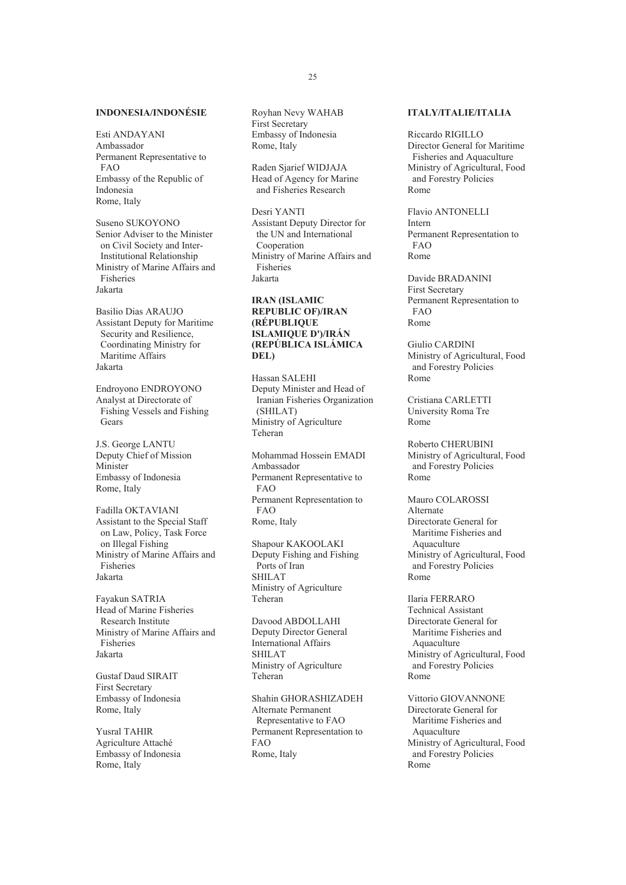### **INDONESIA/INDONÉSIE**

Esti ANDAYANI Ambassador Permanent Representative to FAO Embassy of the Republic of Indonesia Rome, Italy

Suseno SUKOYONO Senior Adviser to the Minister on Civil Society and Inter- Institutional Relationship Ministry of Marine Affairs and Fisheries Jakarta

Basilio Dias ARAUJO Assistant Deputy for Maritime Security and Resilience, Coordinating Ministry for Maritime Affairs Jakarta

Endroyono ENDROYONO Analyst at Directorate of Fishing Vessels and Fishing Gears

J.S. George LANTU Deputy Chief of Mission Minister Embassy of Indonesia Rome, Italy

Fadilla OKTAVIANI Assistant to the Special Staff on Law, Policy, Task Force on Illegal Fishing Ministry of Marine Affairs and Fisheries Jakarta

Fayakun SATRIA Head of Marine Fisheries Research Institute Ministry of Marine Affairs and Fisheries Jakarta

Gustaf Daud SIRAIT First Secretary Embassy of Indonesia Rome, Italy

Yusral TAHIR Agriculture Attaché Embassy of Indonesia Rome, Italy

Royhan Nevy WAHAB First Secretary Embassy of Indonesia Rome, Italy

Raden Sjarief WIDJAJA Head of Agency for Marine and Fisheries Research

Desri YANTI Assistant Deputy Director for the UN and International Cooperation Ministry of Marine Affairs and Fisheries Jakarta

#### **IRAN (ISLAMIC REPUBLIC OF)/IRAN (RÉPUBLIQUE ISLAMIQUE D')/IRÁN (REPÚBLICA ISLÁMICA DEL)**

Hassan SALEHI Deputy Minister and Head of Iranian Fisheries Organization (SHILAT) Ministry of Agriculture Teheran

Mohammad Hossein EMADI Ambassador Permanent Representative to FAO Permanent Representation to FAO Rome, Italy

Shapour KAKOOLAKI Deputy Fishing and Fishing Ports of Iran SHILAT Ministry of Agriculture Teheran

Davood ABDOLLAHI Deputy Director General International Affairs SHILAT Ministry of Agriculture Teheran

Shahin GHORASHIZADEH Alternate Permanent Representative to FAO Permanent Representation to FAO Rome, Italy

### **ITALY/ITALIE/ITALIA**

Riccardo RIGILLO Director General for Maritime Fisheries and Aquaculture Ministry of Agricultural, Food and Forestry Policies Rome

Flavio ANTONELLI Intern Permanent Representation to FAO Rome

Davide BRADANINI First Secretary Permanent Representation to FAO Rome

Giulio CARDINI Ministry of Agricultural, Food and Forestry Policies Rome

Cristiana CARLETTI University Roma Tre Rome

Roberto CHERUBINI Ministry of Agricultural, Food and Forestry Policies Rome

Mauro COLAROSSI Alternate Directorate General for Maritime Fisheries and Aquaculture Ministry of Agricultural, Food and Forestry Policies Rome

Ilaria FERRARO Technical Assistant Directorate General for Maritime Fisheries and Aquaculture Ministry of Agricultural, Food and Forestry Policies Rome

Vittorio GIOVANNONE Directorate General for Maritime Fisheries and Aquaculture Ministry of Agricultural, Food and Forestry Policies Rome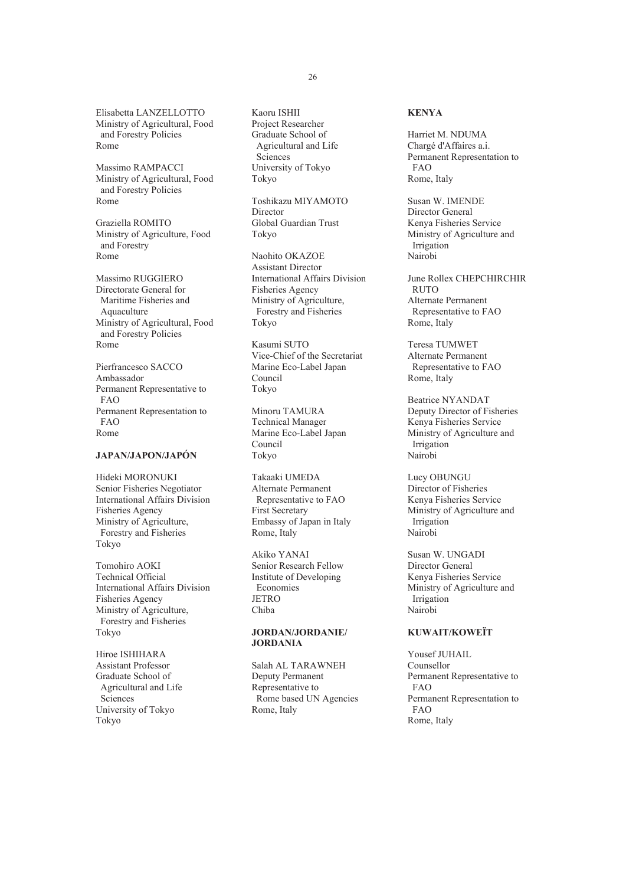Elisabetta LANZELLOTTO Ministry of Agricultural, Food and Forestry Policies Rome

Massimo RAMPACCI Ministry of Agricultural, Food and Forestry Policies Rome

Graziella ROMITO Ministry of Agriculture, Food and Forestry Rome

Massimo RUGGIERO Directorate General for Maritime Fisheries and Aquaculture Ministry of Agricultural, Food and Forestry Policies Rome

Pierfrancesco SACCO Ambassador Permanent Representative to FAO Permanent Representation to FAO Rome

## **JAPAN/JAPON/JAPÓN**

Hideki MORONUKI Senior Fisheries Negotiator International Affairs Division Fisheries Agency Ministry of Agriculture, Forestry and Fisheries Tokyo

Tomohiro AOKI Technical Official International Affairs Division Fisheries Agency Ministry of Agriculture, Forestry and Fisheries Tokyo

Hiroe ISHIHARA Assistant Professor Graduate School of Agricultural and Life Sciences University of Tokyo Tokyo

Kaoru ISHII Project Researcher Graduate School of Agricultural and Life **Sciences** University of Tokyo Tokyo

Toshikazu MIYAMOTO **Director** Global Guardian Trust Tokyo

Naohito OKAZOE Assistant Director International Affairs Division Fisheries Agency Ministry of Agriculture, Forestry and Fisheries Tokyo

Kasumi SUTO Vice-Chief of the Secretariat Marine Eco-Label Japan Council Tokyo

Minoru TAMURA Technical Manager Marine Eco-Label Japan Council Tokyo

Takaaki UMEDA Alternate Permanent Representative to FAO First Secretary Embassy of Japan in Italy Rome, Italy

Akiko YANAI Senior Research Fellow Institute of Developing Economies **JETRO** Chiba

#### **JORDAN/JORDANIE/ JORDANIA**

Salah AL TARAWNEH Deputy Permanent Representative to Rome based UN Agencies Rome, Italy

### **KENYA**

Harriet M. NDUMA Chargé d'Affaires a.i. Permanent Representation to FAO Rome, Italy

Susan W. IMENDE Director General Kenya Fisheries Service Ministry of Agriculture and Irrigation Nairobi

June Rollex CHEPCHIRCHIR RUTO Alternate Permanent Representative to FAO Rome, Italy

Teresa TUMWET Alternate Permanent Representative to FAO Rome, Italy

Beatrice NYANDAT Deputy Director of Fisheries Kenya Fisheries Service Ministry of Agriculture and Irrigation Nairobi

Lucy OBUNGU Director of Fisheries Kenya Fisheries Service Ministry of Agriculture and Irrigation Nairobi

Susan W. UNGADI Director General Kenya Fisheries Service Ministry of Agriculture and Irrigation Nairobi

### **KUWAIT/KOWEÏT**

Yousef JUHAIL Counsellor Permanent Representative to FAO Permanent Representation to FAO Rome, Italy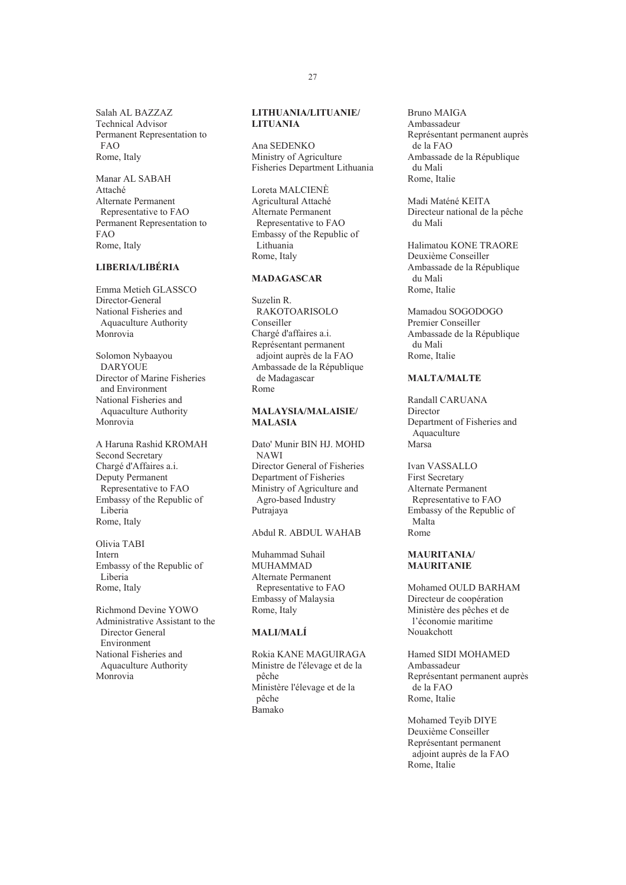Salah AL BAZZAZ Technical Advisor Permanent Representation to FAO Rome, Italy

Manar AL SABAH Attaché Alternate Permanent Representative to FAO Permanent Representation to FAO Rome, Italy

### **LIBERIA/LIBÉRIA**

Emma Metieh GLASSCO Director-General National Fisheries and Aquaculture Authority Monrovia

Solomon Nybaayou DARYOUE Director of Marine Fisheries and Environment National Fisheries and Aquaculture Authority Monrovia

A Haruna Rashid KROMAH Second Secretary Chargé d'Affaires a.i. Deputy Permanent Representative to FAO Embassy of the Republic of Liberia Rome, Italy

Olivia TABI Intern Embassy of the Republic of Liberia Rome, Italy

Richmond Devine YOWO Administrative Assistant to the Director General Environment National Fisheries and Aquaculture Authority Monrovia

### **LITHUANIA/LITUANIE/ LITUANIA**

Ana SEDENKO Ministry of Agriculture Fisheries Department Lithuania

Loreta MALCIENÈ Agricultural Attaché Alternate Permanent Representative to FAO Embassy of the Republic of Lithuania Rome, Italy

#### **MADAGASCAR**

Suzelin R. RAKOTOARISOLO Conseiller Chargé d'affaires a.i. Représentant permanent adjoint auprès de la FAO Ambassade de la République de Madagascar Rome

### **MALAYSIA/MALAISIE/ MALASIA**

Dato' Munir BIN HJ. MOHD NAWI Director General of Fisheries Department of Fisheries Ministry of Agriculture and Agro-based Industry Putrajaya

## Abdul R. ABDUL WAHAB

Muhammad Suhail MUHAMMAD Alternate Permanent Representative to FAO Embassy of Malaysia Rome, Italy

### **MALI/MALÍ**

Rokia KANE MAGUIRAGA Ministre de l'élevage et de la pêche Ministère l'élevage et de la pêche Bamako

Bruno MAIGA Ambassadeur Représentant permanent auprès de la FAO Ambassade de la République du Mali Rome, Italie

Madi Maténé KEITA Directeur national de la pêche du Mali

Halimatou KONE TRAORE Deuxième Conseiller Ambassade de la République du Mali Rome, Italie

Mamadou SOGODOGO Premier Conseiller Ambassade de la République du Mali Rome, Italie

### **MALTA/MALTE**

Randall CARUANA **Director** Department of Fisheries and Aquaculture Marsa

Ivan VASSALLO First Secretary Alternate Permanent Representative to FAO Embassy of the Republic of Malta Rome

### **MAURITANIA/ MAURITANIE**

Mohamed OULD BARHAM Directeur de coopération Ministère des pêches et de l'économie maritime Nouakchott

Hamed SIDI MOHAMED Ambassadeur Représentant permanent auprès de la FAO Rome, Italie

Mohamed Teyib DIYE Deuxième Conseiller Représentant permanent adjoint auprès de la FAO Rome, Italie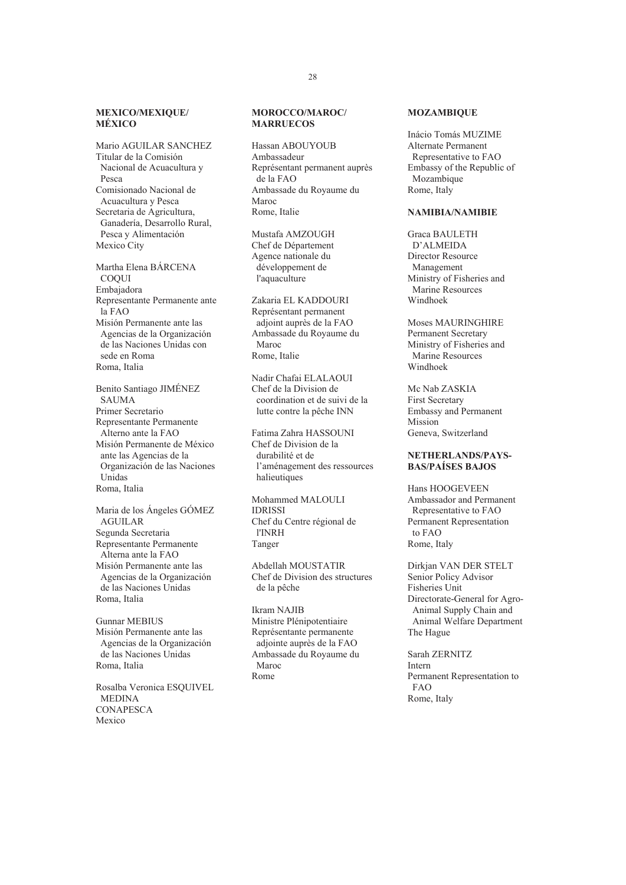### **MEXICO/MEXIQUE/ MÉXICO**

Mario AGUILAR SANCHEZ Titular de la Comisión Nacional de Acuacultura y Pesca Comisionado Nacional de Acuacultura y Pesca Secretaria de Agricultura, Ganadería, Desarrollo Rural, Pesca y Alimentación Mexico City

Martha Elena BÁRCENA **COOUT** Embajadora Representante Permanente ante  $\overline{A}$  FAO Misión Permanente ante las Agencias de la Organización de las Naciones Unidas con sede en Roma Roma, Italia

Benito Santiago JIMÉNEZ **SAUMA** Primer Secretario Representante Permanente Alterno ante la FAO Misión Permanente de México ante las Agencias de la Organización de las Naciones Unidas Roma, Italia

Maria de los Ángeles GÓMEZ AGUILAR Segunda Secretaria Representante Permanente Alterna ante la FAO Misión Permanente ante las Agencias de la Organización de las Naciones Unidas Roma, Italia

Gunnar MEBIUS Misión Permanente ante las Agencias de la Organización de las Naciones Unidas Roma, Italia

Rosalba Veronica ESQUIVEL MEDINA **CONAPESCA** Mexico

#### **MOROCCO/MAROC/ MARRUECOS**

Hassan ABOUYOUB Ambassadeur Représentant permanent auprès de la FAO Ambassade du Royaume du Maroc Rome, Italie

Mustafa AMZOUGH Chef de Département Agence nationale du développement de l'aquaculture

Zakaria EL KADDOURI Représentant permanent adjoint auprès de la FAO Ambassade du Royaume du Maroc Rome, Italie

Nadir Chafai ELALAOUI Chef de la Division de coordination et de suivi de la lutte contre la pêche INN

Fatima Zahra HASSOUNI Chef de Division de la durabilité et de l'aménagement des ressources halieutiques

Mohammed MALOULI IDRISSI Chef du Centre régional de l'INRH Tanger

Abdellah MOUSTATIR Chef de Division des structures de la pêche

Ikram NAJIB Ministre Plénipotentiaire Représentante permanente adjointe auprès de la FAO Ambassade du Royaume du Maroc Rome

#### **MOZAMBIQUE**

Inácio Tomás MUZIME Alternate Permanent Representative to FAO Embassy of the Republic of Mozambique Rome, Italy

### **NAMIBIA/NAMIBIE**

Graca BAULETH D'ALMEIDA Director Resource Management Ministry of Fisheries and Marine Resources Windhoek

Moses MAURINGHIRE Permanent Secretary Ministry of Fisheries and Marine Resources Windhoek

Mc Nab ZASKIA First Secretary Embassy and Permanent Mission Geneva, Switzerland

### **NETHERLANDS/PAYS-BAS/PAÍSES BAJOS**

Hans HOOGEVEEN Ambassador and Permanent Representative to FAO Permanent Representation to FAO Rome, Italy

Dirkjan VAN DER STELT Senior Policy Advisor Fisheries Unit Directorate-General for Agro- Animal Supply Chain and Animal Welfare Department The Hague

Sarah ZERNITZ Intern Permanent Representation to FAO Rome, Italy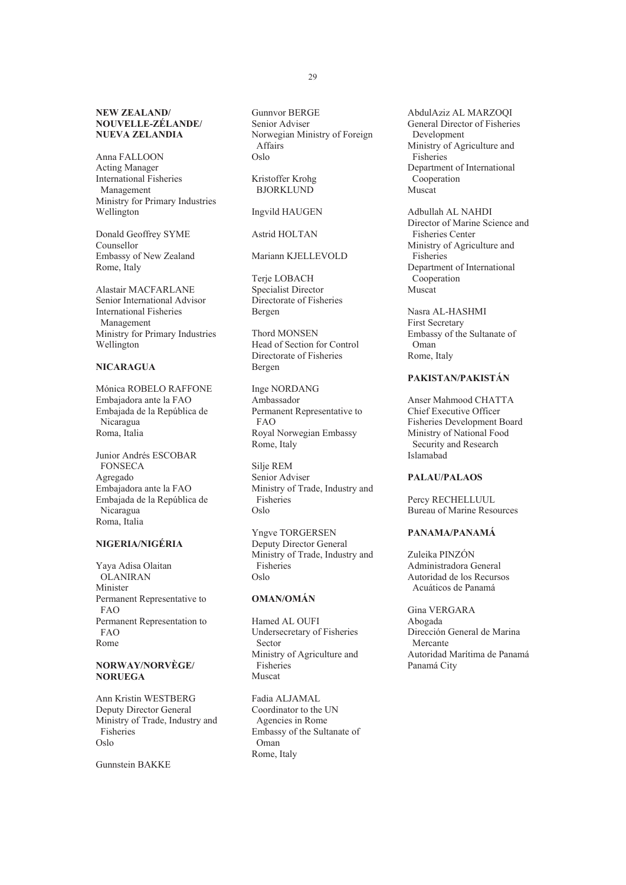### **NEW ZEALAND/ NOUVELLE-ZÉLANDE/ NUEVA ZELANDIA**

Anna FALLOON Acting Manager International Fisheries Management Ministry for Primary Industries Wellington

Donald Geoffrey SYME Counsellor Embassy of New Zealand Rome, Italy

Alastair MACFARLANE Senior International Advisor International Fisheries Management Ministry for Primary Industries Wellington

## **NICARAGUA**

Mónica ROBELO RAFFONE Embajadora ante la FAO Embajada de la República de Nicaragua Roma, Italia

Junior Andrés ESCOBAR FONSECA Agregado Embajadora ante la FAO Embajada de la República de Nicaragua Roma, Italia

#### **NIGERIA/NIGÉRIA**

Yaya Adisa Olaitan OLANIRAN Minister Permanent Representative to FAO Permanent Representation to FAO Rome

### **NORWAY/NORVÈGE/ NORUEGA**

Ann Kristin WESTBERG Deputy Director General Ministry of Trade, Industry and Fisheries Oslo

Gunnstein BAKKE

Gunnvor BERGE Senior Adviser Norwegian Ministry of Foreign Affairs Oslo

Kristoffer Krohg **BJORKLUND** 

#### Ingvild HAUGEN

Astrid HOLTAN

Mariann KJELLEVOLD

Terie LOBACH Specialist Director Directorate of Fisheries Bergen

Thord MONSEN Head of Section for Control Directorate of Fisheries Bergen

Inge NORDANG Ambassador Permanent Representative to FAO Royal Norwegian Embassy Rome, Italy

Silje REM Senior Adviser Ministry of Trade, Industry and Fisheries Oslo

Yngve TORGERSEN Deputy Director General Ministry of Trade, Industry and Fisheries Oslo

### **OMAN/OMÁN**

Hamed AL OUFI Undersecretary of Fisheries Sector Ministry of Agriculture and Fisheries Muscat

Fadia ALJAMAL Coordinator to the UN Agencies in Rome Embassy of the Sultanate of Oman Rome, Italy

AbdulAziz AL MARZOQI General Director of Fisheries Development Ministry of Agriculture and Fisheries Department of International Cooperation Muscat

Adbullah AL NAHDI Director of Marine Science and Fisheries Center Ministry of Agriculture and Fisheries Department of International **Cooperation** Muscat

Nasra AL-HASHMI First Secretary Embassy of the Sultanate of Oman Rome, Italy

## **PAKISTAN/PAKISTÁN**

Anser Mahmood CHATTA Chief Executive Officer Fisheries Development Board Ministry of National Food Security and Research Islamabad

#### **PALAU/PALAOS**

Percy RECHELLUUL Bureau of Marine Resources

### **PANAMA/PANAMÁ**

Zuleika PINZÓN Administradora General Autoridad de los Recursos Acuáticos de Panamá

Gina VERGARA Abogada Dirección General de Marina Mercante Autoridad Marítima de Panamá Panamá City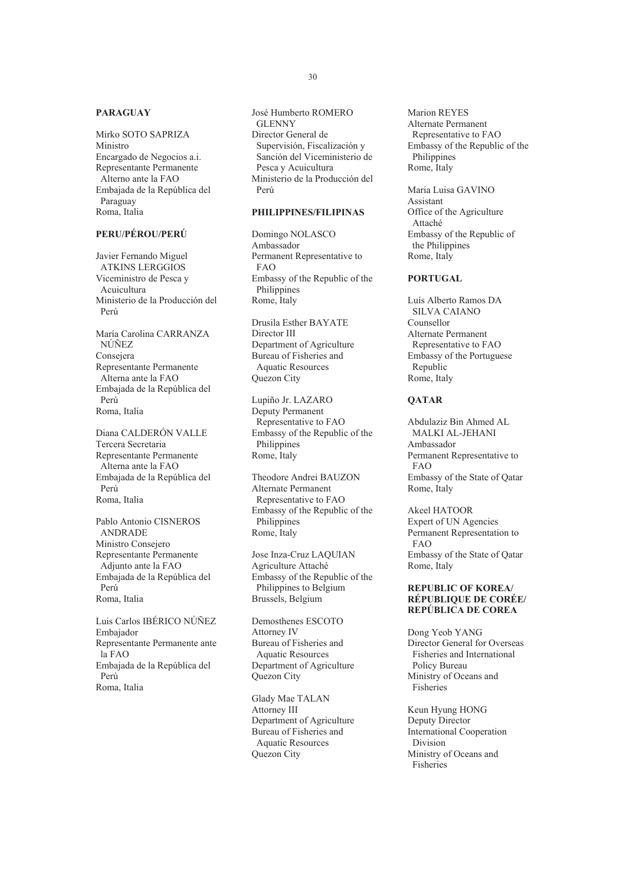## **PARAGUAY**

Mirko SOTO SAPRIZA Ministro Encargado de Negocios a.i. Representante Permanente Alterno ante la FAO Embajada de la República del Paraguay Roma, Italia

### **PERU/PÉROU/PERÚ**

Javier Fernando Miguel ATKINS LERGGIOS Viceministro de Pesca y Acuicultura Ministerio de la Producción del Perú

María Carolina CARRANZA NÚÑEZ Consejera Representante Permanente Alterna ante la FAO Embajada de la República del Perú Roma, Italia

Diana CALDERÓN VALLE Tercera Secretaria Representante Permanente Alterna ante la FAO Embajada de la República del Perú Roma, Italia

Pablo Antonio CISNEROS ANDRADE Ministro Consejero Representante Permanente Adjunto ante la FAO Embajada de la República del Perú Roma, Italia

Luis Carlos IBÉRICO NÚÑEZ Embajador Representante Permanente ante la FAO Embajada de la República del Perú Roma, Italia

José Humberto ROMERO GLENNY Director General de Supervisión, Fiscalización y Sanción del Viceministerio de Pesca y Acuicultura Ministerio de la Producción del Perú

## **PHILIPPINES/FILIPINAS**

Domingo NOLASCO Ambassador Permanent Representative to FAO Embassy of the Republic of the Philippines Rome, Italy

Drusila Esther BAYATE Director III Department of Agriculture Bureau of Fisheries and Aquatic Resources Quezon City

Lupiño Jr. LAZARO Deputy Permanent Representative to FAO Embassy of the Republic of the Philippines Rome, Italy

Theodore Andrei BAUZON Alternate Permanent Representative to FAO Embassy of the Republic of the Philippines Rome, Italy

Jose Inza-Cruz LAQUIAN Agriculture Attaché Embassy of the Republic of the Philippines to Belgium Brussels, Belgium

Demosthenes ESCOTO Attorney IV Bureau of Fisheries and Aquatic Resources Department of Agriculture Quezon City

Glady Mae TALAN Attorney III Department of Agriculture Bureau of Fisheries and Aquatic Resources Quezon City

Marion REYES Alternate Permanent Representative to FAO Embassy of the Republic of the Philippines Rome, Italy

Maria Luisa GAVINO Assistant Office of the Agriculture Attaché Embassy of the Republic of the Philippines Rome, Italy

### **PORTUGAL**

Luís Alberto Ramos DA SILVA CAIANO Counsellor Alternate Permanent Representative to FAO Embassy of the Portuguese Republic Rome, Italy

### **QATAR**

Abdulaziz Bin Ahmed AL MALKI AL-JEHANI Ambassador Permanent Representative to FAO Embassy of the State of Qatar Rome, Italy

Akeel HATOOR Expert of UN Agencies Permanent Representation to FAO Embassy of the State of Qatar Rome, Italy

### **REPUBLIC OF KOREA/ RÉPUBLIQUE DE CORÉE/ REPÚBLICA DE COREA**

Dong Yeob YANG Director General for Overseas Fisheries and International Policy Bureau Ministry of Oceans and Fisheries

Keun Hyung HONG Deputy Director International Cooperation Division Ministry of Oceans and Fisheries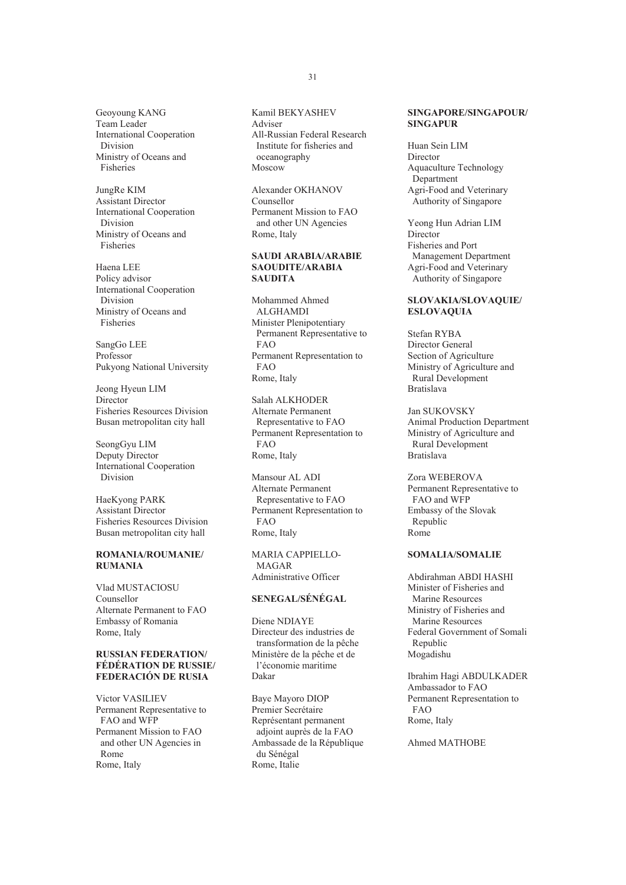Geoyoung KANG Team Leader International Cooperation Division Ministry of Oceans and Fisheries

JungRe KIM Assistant Director International Cooperation Division Ministry of Oceans and Fisheries

Haena LEE Policy advisor International Cooperation Division Ministry of Oceans and Fisheries

SangGo LEE Professor Pukyong National University

Jeong Hyeun LIM Director Fisheries Resources Division Busan metropolitan city hall

SeongGyu LIM Deputy Director International Cooperation Division

HaeKyong PARK Assistant Director Fisheries Resources Division Busan metropolitan city hall

#### **ROMANIA/ROUMANIE/ RUMANIA**

Vlad MUSTACIOSU Counsellor Alternate Permanent to FAO Embassy of Romania Rome, Italy

### **RUSSIAN FEDERATION/ FÉDÉRATION DE RUSSIE/ FEDERACIÓN DE RUSIA**

Victor VASILIEV Permanent Representative to FAO and WFP Permanent Mission to FAO and other UN Agencies in Rome Rome, Italy

Kamil BEKYASHEV Adviser All-Russian Federal Research Institute for fisheries and oceanography Moscow

Alexander OKHANOV Counsellor Permanent Mission to FAO and other UN Agencies Rome, Italy

### **SAUDI ARABIA/ARABIE SAOUDITE/ARABIA SAUDITA**

Mohammed Ahmed ALGHAMDI Minister Plenipotentiary Permanent Representative to FAO Permanent Representation to FAO Rome, Italy

Salah ALKHODER Alternate Permanent Representative to FAO Permanent Representation to FAO Rome, Italy

Mansour AL ADI Alternate Permanent Representative to FAO Permanent Representation to FAO Rome, Italy

MARIA CAPPIELLO- MAGAR Administrative Officer

### **SENEGAL/SÉNÉGAL**

Diene NDIAYE Directeur des industries de transformation de la pêche Ministère de la pêche et de l'économie maritime Dakar

Baye Mayoro DIOP Premier Secrétaire Représentant permanent adjoint auprès de la FAO Ambassade de la République du Sénégal Rome, Italie

### **SINGAPORE/SINGAPOUR/ SINGAPUR**

Huan Sein LIM Director Aquaculture Technology Department Agri-Food and Veterinary Authority of Singapore

Yeong Hun Adrian LIM **Director** Fisheries and Port Management Department Agri-Food and Veterinary Authority of Singapore

#### **SLOVAKIA/SLOVAQUIE/ ESLOVAQUIA**

Stefan RYBA Director General Section of Agriculture Ministry of Agriculture and Rural Development Bratislava

Jan SUKOVSKY Animal Production Department Ministry of Agriculture and Rural Development Bratislava

Zora WEBEROVA Permanent Representative to FAO and WFP Embassy of the Slovak Republic Rome

#### **SOMALIA/SOMALIE**

Abdirahman ABDI HASHI Minister of Fisheries and Marine Resources Ministry of Fisheries and Marine Resources Federal Government of Somali Republic Mogadishu

Ibrahim Hagi ABDULKADER Ambassador to FAO Permanent Representation to FAO Rome, Italy

Ahmed MATHOBE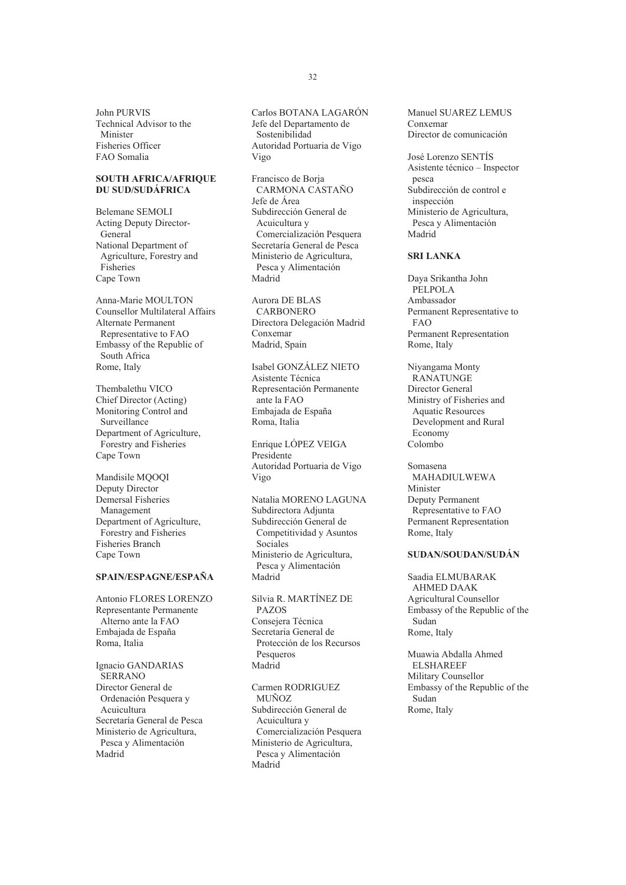John PURVIS Technical Advisor to the Minister Fisheries Officer FAO Somalia

### **SOUTH AFRICA/AFRIQUE DU SUD/SUDÁFRICA**

Belemane SEMOLI Acting Deputy Director- General National Department of Agriculture, Forestry and Fisheries Cape Town

Anna-Marie MOULTON Counsellor Multilateral Affairs Alternate Permanent Representative to FAO Embassy of the Republic of South Africa Rome, Italy

Thembalethu VICO Chief Director (Acting) Monitoring Control and Surveillance Department of Agriculture, Forestry and Fisheries Cape Town

Mandisile MQOQI Deputy Director Demersal Fisheries Management Department of Agriculture, Forestry and Fisheries Fisheries Branch Cape Town

### **SPAIN/ESPAGNE/ESPAÑA**

Antonio FLORES LORENZO Representante Permanente Alterno ante la FAO Embajada de España Roma, Italia

Ignacio GANDARIAS **SERRANO** Director General de Ordenación Pesquera y Acuicultura Secretaría General de Pesca Ministerio de Agricultura, Pesca y Alimentación Madrid

Carlos BOTANA LAGARÓN Jefe del Departamento de Sostenibilidad Autoridad Portuaria de Vigo Vigo

Francisco de Borja CARMONA CASTAÑO Jefe de Área Subdirección General de Acuicultura y Comercialización Pesquera Secretaría General de Pesca Ministerio de Agricultura, Pesca y Alimentación Madrid

Aurora DE BLAS **CARBONERO** Directora Delegación Madrid Conxemar Madrid, Spain

Isabel GONZÁLEZ NIETO Asistente Técnica Representación Permanente ante la FAO Embajada de España Roma, Italia

Enrique LÓPEZ VEIGA Presidente Autoridad Portuaria de Vigo Vigo

Natalia MORENO LAGUNA Subdirectora Adjunta Subdirección General de Competitividad y Asuntos Sociales Ministerio de Agricultura, Pesca y Alimentación Madrid

Silvia R. MARTÍNEZ DE PAZOS Consejera Técnica Secretaria General de Protección de los Recursos **Pesqueros** Madrid

Carmen RODRIGUEZ MUÑOZ. Subdirección General de Acuicultura y Comercialización Pesquera Ministerio de Agricultura, Pesca y Alimentación **Madrid** 

Manuel SUAREZ LEMUS Conxemar Director de comunicación

José Lorenzo SENTÍS Asistente técnico – Inspector pesca Subdirección de control e inspección Ministerio de Agricultura, Pesca y Alimentación **Madrid** 

#### **SRI LANKA**

Daya Srikantha John PELPOLA Ambassador Permanent Representative to FAO Permanent Representation Rome, Italy

Niyangama Monty RANATUNGE Director General Ministry of Fisheries and Aquatic Resources Development and Rural Economy Colombo

Somasena MAHADIULWEWA Minister Deputy Permanent Representative to FAO Permanent Representation Rome, Italy

#### **SUDAN/SOUDAN/SUDÁN**

Saadia ELMUBARAK AHMED DAAK Agricultural Counsellor Embassy of the Republic of the Sudan Rome, Italy

Muawia Abdalla Ahmed ELSHAREEF Military Counsellor Embassy of the Republic of the Sudan Rome, Italy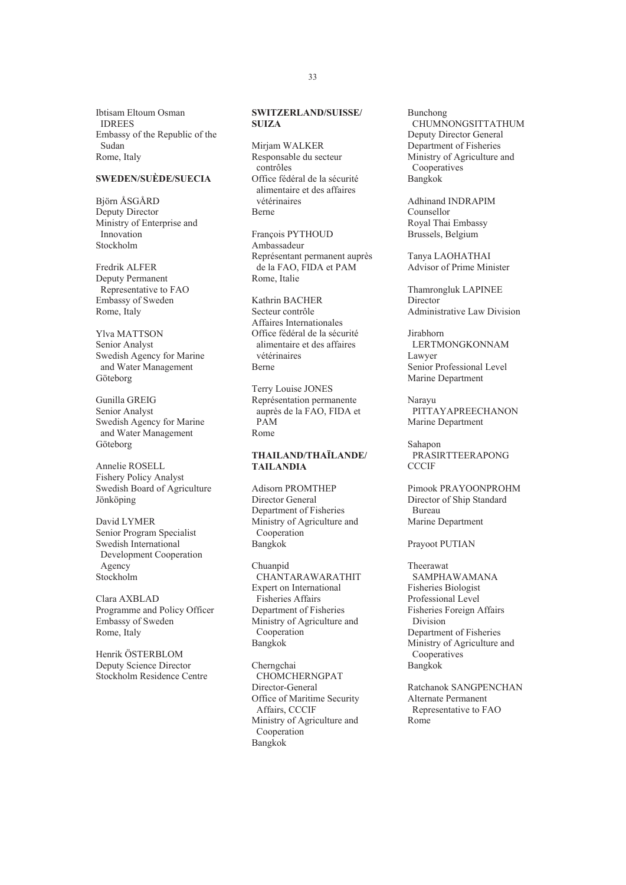Ibtisam Eltoum Osman IDREES Embassy of the Republic of the Sudan Rome, Italy

# **SWEDEN/SUÈDE/SUECIA**

Björn ÅSGÅRD Deputy Director Ministry of Enterprise and Innovation Stockholm

Fredrik ALFER Deputy Permanent Representative to FAO Embassy of Sweden Rome, Italy

Ylva MATTSON Senior Analyst Swedish Agency for Marine and Water Management Göteborg

Gunilla GREIG Senior Analyst Swedish Agency for Marine and Water Management Göteborg

Annelie ROSELL Fishery Policy Analyst Swedish Board of Agriculture Jönköping

David LYMER Senior Program Specialist Swedish International Development Cooperation Agency Stockholm

Clara AXBLAD Programme and Policy Officer Embassy of Sweden Rome, Italy

Henrik ÖSTERBLOM Deputy Science Director Stockholm Residence Centre

#### **SWITZERLAND/SUISSE/ SUIZA**

Mirjam WALKER Responsable du secteur contrôles Office fédéral de la sécurité alimentaire et des affaires vétérinaires Berne

François PYTHOUD Ambassadeur Représentant permanent auprès de la FAO, FIDA et PAM Rome, Italie

Kathrin BACHER Secteur contrôle Affaires Internationales Office fédéral de la sécurité alimentaire et des affaires vétérinaires Berne

Terry Louise JONES Représentation permanente auprès de la FAO, FIDA et PAM Rome

### **THAILAND/THAÏLANDE/ TAILANDIA**

Adisorn PROMTHEP Director General Department of Fisheries Ministry of Agriculture and **Cooperation** Bangkok

Chuanpid CHANTARAWARATHIT Expert on International Fisheries Affairs Department of Fisheries Ministry of Agriculture and **Cooperation** Bangkok

Cherngchai CHOMCHERNGPAT Director-General Office of Maritime Security Affairs, CCCIF Ministry of Agriculture and **Cooperation** Bangkok

Bunchong CHUMNONGSITTATHUM Deputy Director General Department of Fisheries Ministry of Agriculture and Cooperatives Bangkok

Adhinand INDRAPIM Counsellor Royal Thai Embassy Brussels, Belgium

Tanya LAOHATHAI Advisor of Prime Minister

Thamrongluk LAPINEE Director Administrative Law Division

Jirabhorn LERTMONGKONNAM Lawyer Senior Professional Level Marine Department

Narayu PITTAYAPREECHANON Marine Department

Sahapon PRASIRTTEERAPONG **CCCIF** 

Pimook PRAYOONPROHM Director of Ship Standard Bureau Marine Department

Prayoot PUTIAN

Theerawat SAMPHAWAMANA Fisheries Biologist Professional Level Fisheries Foreign Affairs Division Department of Fisheries Ministry of Agriculture and **Cooperatives** Bangkok

Ratchanok SANGPENCHAN Alternate Permanent Representative to FAO Rome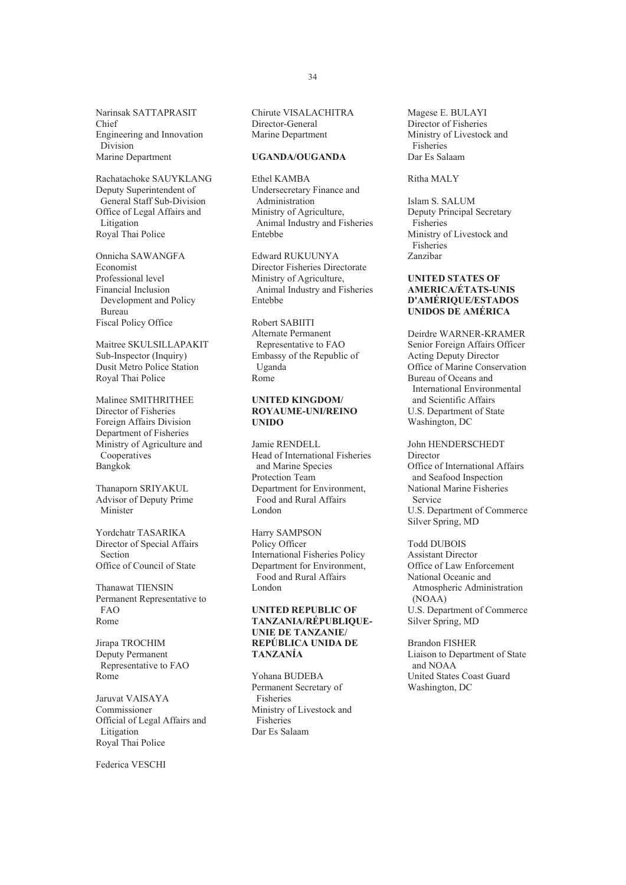Narinsak SATTAPRASIT Chief Engineering and Innovation Division Marine Department

Rachatachoke SAUYKLANG Deputy Superintendent of General Staff Sub-Division Office of Legal Affairs and Litigation Royal Thai Police

Onnicha SAWANGFA Economist Professional level Financial Inclusion Development and Policy **Bureau** Fiscal Policy Office

Maitree SKULSILLAPAKIT Sub-Inspector (Inquiry) Dusit Metro Police Station Royal Thai Police

Malinee SMITHRITHEE Director of Fisheries Foreign Affairs Division Department of Fisheries Ministry of Agriculture and **Cooperatives** Bangkok

Thanaporn SRIYAKUL Advisor of Deputy Prime Minister

Yordchatr TASARIKA Director of Special Affairs Section Office of Council of State

Thanawat TIENSIN Permanent Representative to  $FAO$ Rome

Jirapa TROCHIM Deputy Permanent Representative to FAO Rome

Jaruvat VAISAYA Commissioner Official of Legal Affairs and Litigation Royal Thai Police

Federica VESCHI

Chirute VISALACHITRA Director-General Marine Department

### **UGANDA/OUGANDA**

Ethel KAMBA Undersecretary Finance and Administration Ministry of Agriculture, Animal Industry and Fisheries Entebbe

Edward RUKUUNYA Director Fisheries Directorate Ministry of Agriculture, Animal Industry and Fisheries Entebbe

Robert SABIITI Alternate Permanent Representative to FAO Embassy of the Republic of Uganda Rome

### **UNITED KINGDOM/ ROYAUME-UNI/REINO UNIDO**

Jamie RENDELL Head of International Fisheries and Marine Species Protection Team Department for Environment, Food and Rural Affairs London

Harry SAMPSON Policy Officer International Fisheries Policy Department for Environment, Food and Rural Affairs London

### **UNITED REPUBLIC OF TANZANIA/RÉPUBLIQUE-UNIE DE TANZANIE/ REPÚBLICA UNIDA DE TANZANÍA**

Yohana BUDEBA Permanent Secretary of Fisheries Ministry of Livestock and Fisheries Dar Es Salaam

Magese E. BULAYI Director of Fisheries Ministry of Livestock and Fisheries Dar Es Salaam

### Ritha MALY

Islam S. SALUM Deputy Principal Secretary Fisheries Ministry of Livestock and Fisheries Zanzibar

### **UNITED STATES OF AMERICA/ÉTATS-UNIS D'AMÉRIQUE/ESTADOS UNIDOS DE AMÉRICA**

Deirdre WARNER-KRAMER Senior Foreign Affairs Officer Acting Deputy Director Office of Marine Conservation Bureau of Oceans and International Environmental and Scientific Affairs U.S. Department of State Washington, DC

John HENDERSCHEDT **Director** Office of International Affairs and Seafood Inspection National Marine Fisheries Service U.S. Department of Commerce Silver Spring, MD

Todd DUBOIS Assistant Director Office of Law Enforcement National Oceanic and Atmospheric Administration (NOAA) U.S. Department of Commerce Silver Spring, MD

Brandon FISHER Liaison to Department of State and NOAA United States Coast Guard Washington, DC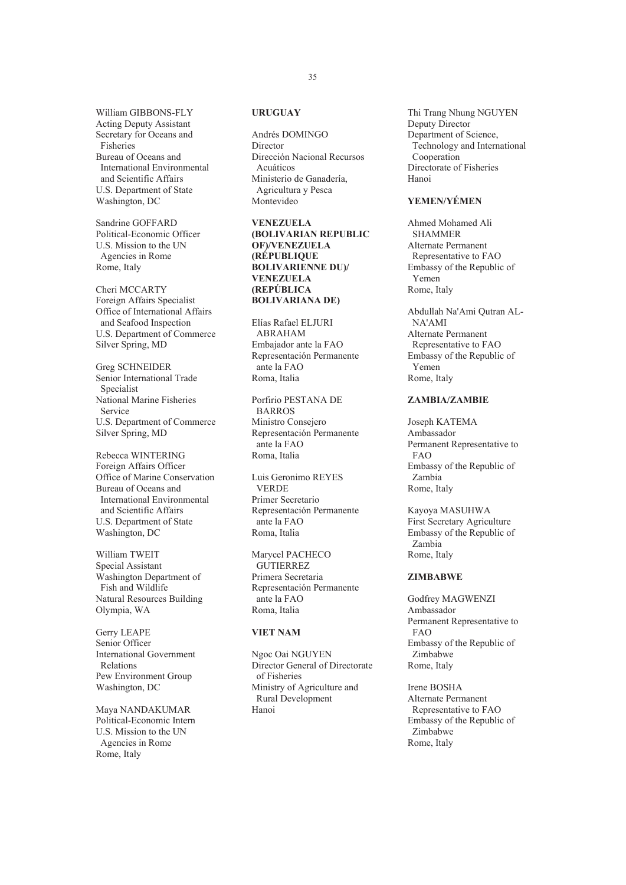William GIBBONS-FLY Acting Deputy Assistant Secretary for Oceans and Fisheries Bureau of Oceans and International Environmental and Scientific Affairs U.S. Department of State Washington, DC

Sandrine GOFFARD Political-Economic Officer U.S. Mission to the UN Agencies in Rome Rome, Italy

Cheri MCCARTY Foreign Affairs Specialist Office of International Affairs and Seafood Inspection U.S. Department of Commerce Silver Spring, MD

Greg SCHNEIDER Senior International Trade Specialist National Marine Fisheries Service U.S. Department of Commerce Silver Spring, MD

Rebecca WINTERING Foreign Affairs Officer Office of Marine Conservation Bureau of Oceans and International Environmental and Scientific Affairs U.S. Department of State Washington, DC

William TWEIT Special Assistant Washington Department of Fish and Wildlife Natural Resources Building Olympia, WA

Gerry LEAPE Senior Officer International Government Relations Pew Environment Group Washington, DC

Maya NANDAKUMAR Political-Economic Intern U.S. Mission to the UN Agencies in Rome Rome, Italy

### **URUGUAY**

Andrés DOMINGO **Director** Dirección Nacional Recursos Acuáticos Ministerio de Ganadería, Agricultura y Pesca Montevideo

**VENEZUELA (BOLIVARIAN REPUBLIC OF)/VENEZUELA (RÉPUBLIQUE BOLIVARIENNE DU)/ VENEZUELA (REPÚBLICA BOLIVARIANA DE)**

Elías Rafael ELJURI ABRAHAM Embajador ante la FAO Representación Permanente ante la FAO Roma, Italia

Porfirio PESTANA DE BARROS Ministro Consejero Representación Permanente ante la FAO Roma, Italia

Luis Geronimo REYES VERDE Primer Secretario Representación Permanente ante la FAO Roma, Italia

Marycel PACHECO **GUTIERREZ** Primera Secretaria Representación Permanente ante la FAO Roma, Italia

### **VIET NAM**

Ngoc Oai NGUYEN Director General of Directorate of Fisheries Ministry of Agriculture and Rural Development Hanoi

Thi Trang Nhung NGUYEN Deputy Director Department of Science, Technology and International Cooperation Directorate of Fisheries Hanoi

### **YEMEN/YÉMEN**

Ahmed Mohamed Ali SHAMMER Alternate Permanent Representative to FAO Embassy of the Republic of Yemen Rome, Italy

Abdullah Na'Ami Qutran AL- NA'AMI Alternate Permanent Representative to FAO Embassy of the Republic of Yemen Rome, Italy

#### **ZAMBIA/ZAMBIE**

Joseph KATEMA Ambassador Permanent Representative to  $FAO$ Embassy of the Republic of Zambia Rome, Italy

Kayoya MASUHWA First Secretary Agriculture Embassy of the Republic of Zambia Rome, Italy

### **ZIMBABWE**

Godfrey MAGWENZI Ambassador Permanent Representative to FAO Embassy of the Republic of Zimbabwe Rome, Italy

Irene BOSHA Alternate Permanent Representative to FAO Embassy of the Republic of Zimbabwe Rome, Italy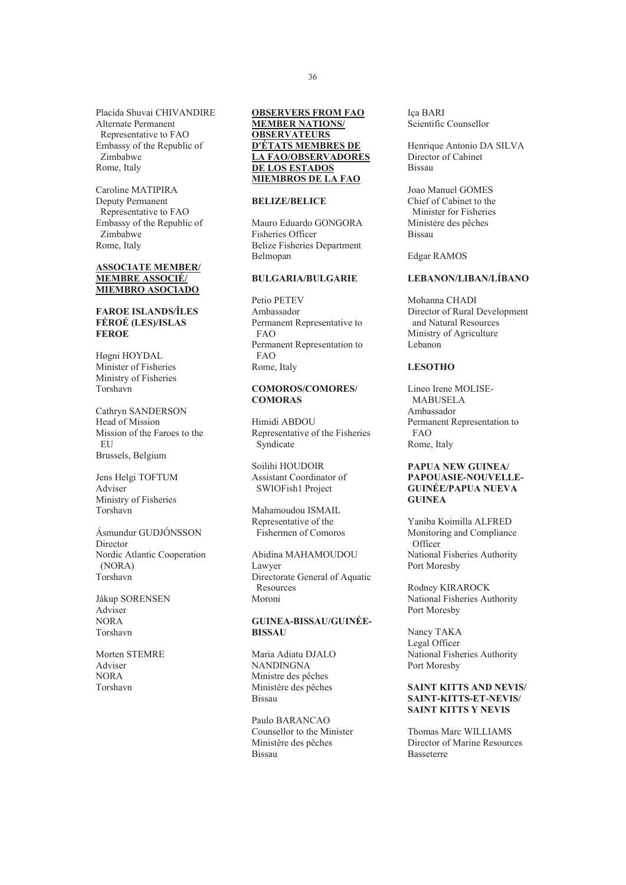Placida Shuvai CHIVANDIRE Alternate Permanent Representative to FAO Embassy of the Republic of Zimbabwe Rome, Italy

Caroline MATIPIRA Deputy Permanent Representative to FAO Embassy of the Republic of Zimbabwe Rome, Italy

### **ASSOCIATE MEMBER/ MEMBRE ASSOCIÉ/ MIEMBRO ASOCIADO**

#### **FAROE ISLANDS/ÎLES FÉROÉ (LES)/ISLAS FEROE**

Høgni HOYDAL Minister of Fisheries Ministry of Fisheries Torshavn

Cathryn SANDERSON Head of Mission Mission of the Faroes to the **EU** Brussels, Belgium

Jens Helgi TOFTUM Adviser Ministry of Fisheries Torshavn

Ásmundur GUDJÓNSSON Director Nordic Atlantic Cooperation (NORA) Torshavn

Jákup SORENSEN Adviser NORA Torshavn

Morten STEMRE Adviser NORA Torshavn

### **OBSERVERS FROM FAO MEMBER NATIONS/ OBSERVATEURS D'ÉTATS MEMBRES DE LA FAO/OBSERVADORES DE LOS ESTADOS MIEMBROS DE LA FAO**

### **BELIZE/BELICE**

Mauro Eduardo GONGORA Fisheries Officer Belize Fisheries Department Belmopan

### **BULGARIA/BULGARIE**

Petio PETEV Ambassador Permanent Representative to FAO Permanent Representation to FAO Rome, Italy

### **COMOROS/COMORES/ COMORAS**

Himidi ABDOU Representative of the Fisheries Syndicate

Soilihi HOUDOIR Assistant Coordinator of SWIOFish1 Project

Mahamoudou ISMAIL Representative of the Fishermen of Comoros

Abidina MAHAMOUDOU Lawyer Directorate General of Aquatic Resources Moroni

### **GUINEA-BISSAU/GUINÉE-BISSAU**

Maria Adiatu DJALO NANDINGNA Ministre des pêches Ministère des pêches Bissau

Paulo BARANCAO Counsellor to the Minister Ministère des pêches Bissau

Iça BARI Scientific Counsellor

Henrique Antonio DA SILVA Director of Cabinet Bissau

Joao Manuel GOMES Chief of Cabinet to the Minister for Fisheries Ministère des pêches Bissau

Edgar RAMOS

### **LEBANON/LIBAN/LÍBANO**

Mohanna CHADI Director of Rural Development and Natural Resources Ministry of Agriculture Lebanon

### **LESOTHO**

Lineo Irene MOLISE- MABUSELA Ambassador Permanent Representation to FAO Rome, Italy

### **PAPUA NEW GUINEA/ PAPOUASIE-NOUVELLE-GUINÉE/PAPUA NUEVA GUINEA**

Yaniba Koimilla ALFRED Monitoring and Compliance **Officer** National Fisheries Authority Port Moresby

Rodney KIRAROCK National Fisheries Authority Port Moresby

Nancy TAKA Legal Officer National Fisheries Authority Port Moresby

#### **SAINT KITTS AND NEVIS/ SAINT-KITTS-ET-NEVIS/ SAINT KITTS Y NEVIS**

Thomas Marc WILLIAMS Director of Marine Resources Basseterre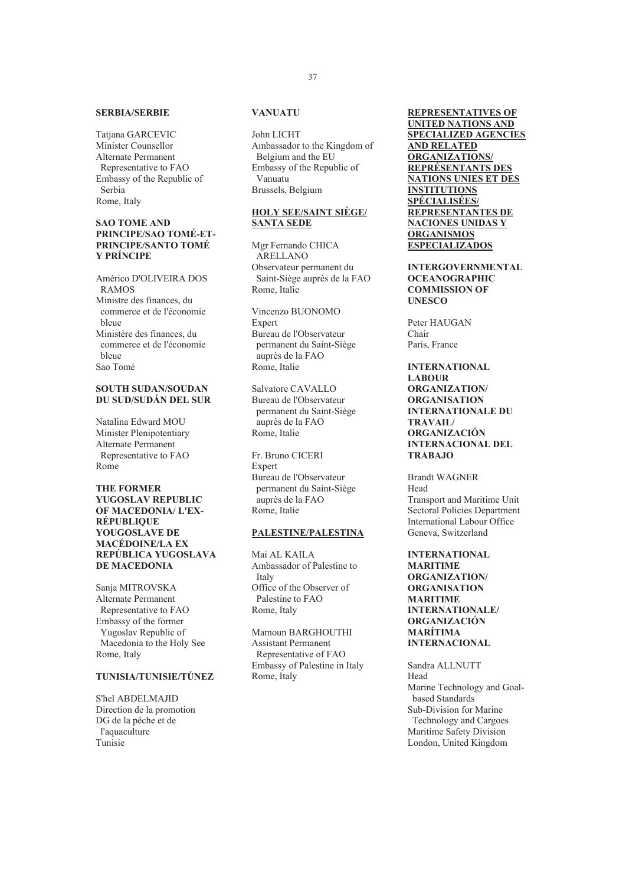### **SERBIA/SERBIE**

Tatjana GARCEVIC Minister Counsellor Alternate Permanent Representative to FAO Embassy of the Republic of Serbia Rome, Italy

### **SAO TOME AND PRINCIPE/SAO TOMÉ-ET-PRINCIPE/SANTO TOMÉ Y PRÍNCIPE**

Américo D'OLIVEIRA DOS RAMOS Ministre des finances, du commerce et de l'économie bleue Ministère des finances, du commerce et de l'économie bleue Sao Tomé

#### **SOUTH SUDAN/SOUDAN DU SUD/SUDÁN DEL SUR**

Natalina Edward MOU Minister Plenipotentiary Alternate Permanent Representative to FAO Rome

**THE FORMER YUGOSLAV REPUBLIC OF MACEDONIA/ L'EX-RÉPUBLIQUE YOUGOSLAVE DE MACÉDOINE/LA EX REPÚBLICA YUGOSLAVA DE MACEDONIA** 

Sanja MITROVSKA Alternate Permanent Representative to FAO Embassy of the former Yugoslav Republic of Macedonia to the Holy See Rome, Italy

#### **TUNISIA/TUNISIE/TÚNEZ**

S'hel ABDELMAJID Direction de la promotion DG de la pêche et de l'aquaculture Tunisie

#### **VANUATU**

John LICHT Ambassador to the Kingdom of Belgium and the EU Embassy of the Republic of Vanuatu Brussels, Belgium

### **HOLY SEE/SAINT SIÈGE/ SANTA SEDE**

Mgr Fernando CHICA ARELLANO Observateur permanent du Saint-Siège auprès de la FAO Rome, Italie

Vincenzo BUONOMO **Expert** Bureau de l'Observateur permanent du Saint-Siège auprès de la FAO Rome, Italie

Salvatore CAVALLO Bureau de l'Observateur permanent du Saint-Siège auprès de la FAO Rome, Italie

Fr. Bruno CICERI Expert Bureau de l'Observateur permanent du Saint-Siège auprès de la FAO Rome, Italie

### **PALESTINE/PALESTINA**

Mai AL KAILA Ambassador of Palestine to Italy Office of the Observer of Palestine to FAO Rome, Italy

Mamoun BARGHOUTHI Assistant Permanent Representative of FAO Embassy of Palestine in Italy Rome, Italy

**REPRESENTATIVES OF UNITED NATIONS AND SPECIALIZED AGENCIES AND RELATED ORGANIZATIONS/ REPRÉSENTANTS DES NATIONS UNIES ET DES INSTITUTIONS SPÉCIALISÉES/ REPRESENTANTES DE NACIONES UNIDAS Y ORGANISMOS ESPECIALIZADOS**

**INTERGOVERNMENTAL OCEANOGRAPHIC COMMISSION OF UNESCO**

Peter HAUGAN Chair Paris, France

**INTERNATIONAL LABOUR ORGANIZATION/ ORGANISATION INTERNATIONALE DU TRAVAIL/ ORGANIZACIÓN INTERNACIONAL DEL TRABAJO**

Brandt WAGNER Head Transport and Maritime Unit Sectoral Policies Department International Labour Office Geneva, Switzerland

**INTERNATIONAL MARITIME ORGANIZATION/ ORGANISATION MARITIME INTERNATIONALE/ ORGANIZACIÓN MARÍTIMA INTERNACIONAL**

Sandra ALLNUTT Head Marine Technology and Goal based Standards Sub-Division for Marine Technology and Cargoes Maritime Safety Division London, United Kingdom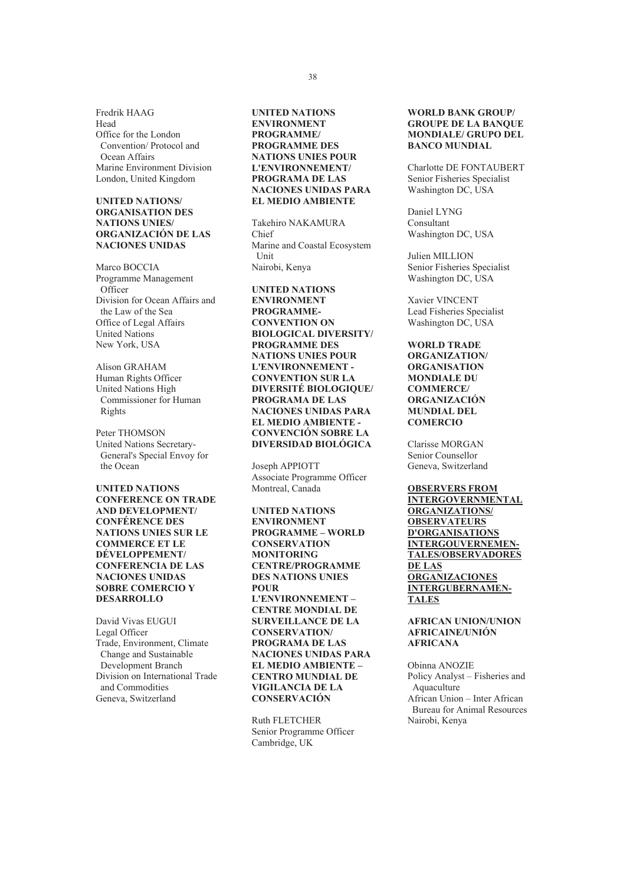Fredrik HAAG Head Office for the London Convention/ Protocol and Ocean Affairs Marine Environment Division London, United Kingdom

### **UNITED NATIONS/ ORGANISATION DES NATIONS UNIES/ ORGANIZACIÓN DE LAS NACIONES UNIDAS**

Marco BOCCIA Programme Management **Officer** Division for Ocean Affairs and the Law of the Sea Office of Legal Affairs United Nations New York, USA

Alison GRAHAM Human Rights Officer United Nations High Commissioner for Human Rights

Peter THOMSON United Nations Secretary- General's Special Envoy for the Ocean

**UNITED NATIONS CONFERENCE ON TRADE AND DEVELOPMENT/ CONFÉRENCE DES NATIONS UNIES SUR LE COMMERCE ET LE DÉVELOPPEMENT/ CONFERENCIA DE LAS NACIONES UNIDAS SOBRE COMERCIO Y DESARROLLO**

David Vivas EUGUI Legal Officer Trade, Environment, Climate Change and Sustainable Development Branch Division on International Trade and Commodities Geneva, Switzerland

### **UNITED NATIONS ENVIRONMENT PROGRAMME/ PROGRAMME DES NATIONS UNIES POUR L'ENVIRONNEMENT/ PROGRAMA DE LAS NACIONES UNIDAS PARA EL MEDIO AMBIENTE**

Takehiro NAKAMURA Chief Marine and Coastal Ecosystem Unit Nairobi, Kenya

**UNITED NATIONS ENVIRONMENT PROGRAMME-CONVENTION ON BIOLOGICAL DIVERSITY/ PROGRAMME DES NATIONS UNIES POUR L'ENVIRONNEMENT - CONVENTION SUR LA DIVERSITÉ BIOLOGIQUE/ PROGRAMA DE LAS NACIONES UNIDAS PARA EL MEDIO AMBIENTE - CONVENCIÓN SOBRE LA DIVERSIDAD BIOLÓGICA**

Joseph APPIOTT Associate Programme Officer Montreal, Canada

**UNITED NATIONS ENVIRONMENT PROGRAMME – WORLD CONSERVATION MONITORING CENTRE/PROGRAMME DES NATIONS UNIES POUR L'ENVIRONNEMENT – CENTRE MONDIAL DE SURVEILLANCE DE LA CONSERVATION/ PROGRAMA DE LAS NACIONES UNIDAS PARA EL MEDIO AMBIENTE – CENTRO MUNDIAL DE VIGILANCIA DE LA CONSERVACIÓN**

Ruth FLETCHER Senior Programme Officer Cambridge, UK

### **WORLD BANK GROUP/ GROUPE DE LA BANQUE MONDIALE/ GRUPO DEL BANCO MUNDIAL**

Charlotte DE FONTAUBERT Senior Fisheries Specialist Washington DC, USA

Daniel LYNG Consultant Washington DC, USA

Julien MILLION Senior Fisheries Specialist Washington DC, USA

Xavier VINCENT Lead Fisheries Specialist Washington DC, USA

#### **WORLD TRADE ORGANIZATION/ ORGANISATION MONDIALE DU COMMERCE/ ORGANIZACIÓN MUNDIAL DEL COMERCIO**

Clarisse MORGAN Senior Counsellor Geneva, Switzerland

**OBSERVERS FROM INTERGOVERNMENTAL ORGANIZATIONS/ OBSERVATEURS D'ORGANISATIONS INTERGOUVERNEMEN-TALES/OBSERVADORES DE LAS ORGANIZACIONES INTERGUBERNAMEN-TALES**

#### **AFRICAN UNION/UNION AFRICAINE/UNIÓN AFRICANA**

Obinna ANOZIE Policy Analyst – Fisheries and **Aquaculture** African Union – Inter African Bureau for Animal Resources Nairobi, Kenya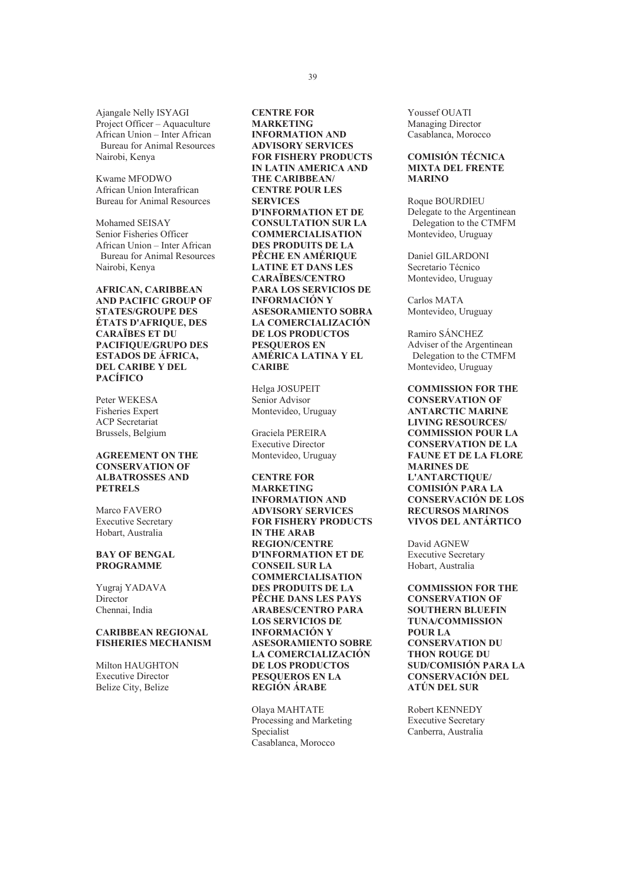Ajangale Nelly ISYAGI Project Officer – Aquaculture African Union – Inter African Bureau for Animal Resources Nairobi, Kenya

Kwame MFODWO African Union Interafrican Bureau for Animal Resources

Mohamed SEISAY Senior Fisheries Officer African Union – Inter African Bureau for Animal Resources Nairobi, Kenya

**AFRICAN, CARIBBEAN AND PACIFIC GROUP OF STATES/GROUPE DES ÉTATS D'AFRIQUE, DES CARAÏBES ET DU PACIFIQUE/GRUPO DES ESTADOS DE ÁFRICA, DEL CARIBE Y DEL PACÍFICO**

Peter WEKESA Fisheries Expert ACP Secretariat Brussels, Belgium

### **AGREEMENT ON THE CONSERVATION OF ALBATROSSES AND PETRELS**

Marco FAVERO Executive Secretary Hobart, Australia

#### **BAY OF BENGAL PROGRAMME**

Yugraj YADAVA **Director** Chennai, India

#### **CARIBBEAN REGIONAL FISHERIES MECHANISM**

Milton HAUGHTON Executive Director Belize City, Belize

**CENTRE FOR MARKETING INFORMATION AND ADVISORY SERVICES FOR FISHERY PRODUCTS IN LATIN AMERICA AND THE CARIBBEAN/ CENTRE POUR LES SERVICES D'INFORMATION ET DE CONSULTATION SUR LA COMMERCIALISATION DES PRODUITS DE LA PÊCHE EN AMÉRIQUE LATINE ET DANS LES CARAÏBES/CENTRO PARA LOS SERVICIOS DE INFORMACIÓN Y ASESORAMIENTO SOBRA LA COMERCIALIZACIÓN DE LOS PRODUCTOS PESQUEROS EN AMÉRICA LATINA Y EL CARIBE**

Helga JOSUPEIT Senior Advisor Montevideo, Uruguay

Graciela PEREIRA Executive Director Montevideo, Uruguay

**CENTRE FOR MARKETING INFORMATION AND ADVISORY SERVICES FOR FISHERY PRODUCTS IN THE ARAB REGION/CENTRE D'INFORMATION ET DE CONSEIL SUR LA COMMERCIALISATION DES PRODUITS DE LA PÊCHE DANS LES PAYS ARABES/CENTRO PARA LOS SERVICIOS DE INFORMACIÓN Y ASESORAMIENTO SOBRE LA COMERCIALIZACIÓN DE LOS PRODUCTOS PESQUEROS EN LA REGIÓN ÁRABE**

Olaya MAHTATE Processing and Marketing Specialist Casablanca, Morocco

Youssef OUATI Managing Director Casablanca, Morocco

#### **COMISIÓN TÉCNICA MIXTA DEL FRENTE MARINO**

Roque BOURDIEU Delegate to the Argentinean Delegation to the CTMFM Montevideo, Uruguay

Daniel GILARDONI Secretario Técnico Montevideo, Uruguay

Carlos MATA Montevideo, Uruguay

Ramiro SÁNCHEZ Adviser of the Argentinean Delegation to the CTMFM Montevideo, Uruguay

**COMMISSION FOR THE CONSERVATION OF ANTARCTIC MARINE LIVING RESOURCES/ COMMISSION POUR LA CONSERVATION DE LA FAUNE ET DE LA FLORE MARINES DE L'ANTARCTIQUE/ COMISIÓN PARA LA CONSERVACIÓN DE LOS RECURSOS MARINOS VIVOS DEL ANTÁRTICO**

David AGNEW Executive Secretary Hobart, Australia

**COMMISSION FOR THE CONSERVATION OF SOUTHERN BLUEFIN TUNA/COMMISSION POUR LA CONSERVATION DU THON ROUGE DU SUD/COMISIÓN PARA LA CONSERVACIÓN DEL ATÚN DEL SUR**

Robert KENNEDY Executive Secretary Canberra, Australia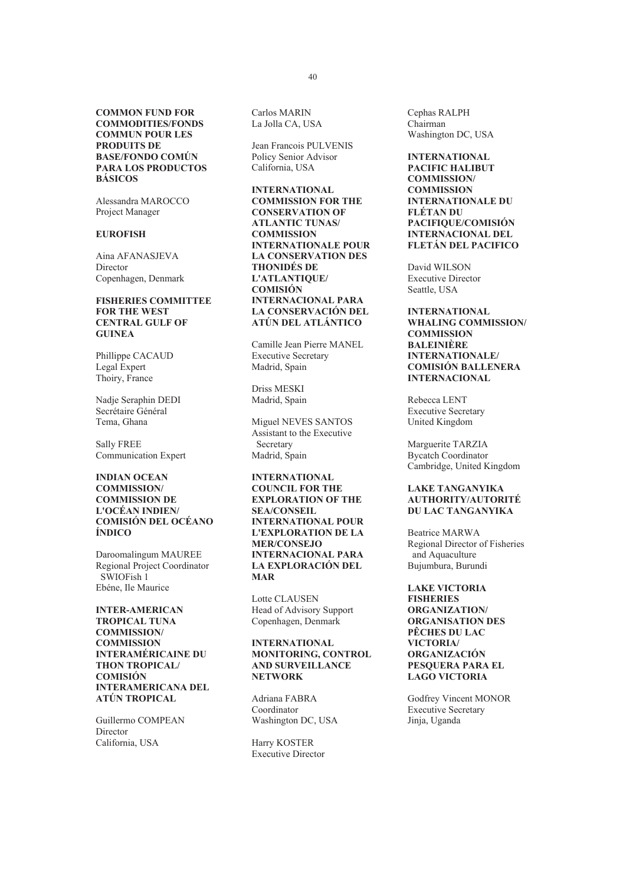**COMMON FUND FOR COMMODITIES/FONDS COMMUN POUR LES PRODUITS DE BASE/FONDO COMÚN PARA LOS PRODUCTOS BÁSICOS**

Alessandra MAROCCO Project Manager

### **EUROFISH**

Aina AFANASJEVA **Director** Copenhagen, Denmark

### **FISHERIES COMMITTEE FOR THE WEST CENTRAL GULF OF GUINEA**

Phillippe CACAUD Legal Expert Thoiry, France

Nadje Seraphin DEDI Secrétaire Général Tema, Ghana

Sally FREE Communication Expert

### **INDIAN OCEAN COMMISSION/ COMMISSION DE L'OCÉAN INDIEN/ COMISIÓN DEL OCÉANO ÍNDICO**

Daroomalingum MAUREE Regional Project Coordinator SWIOFish 1 Ebéne, Ile Maurice

**INTER-AMERICAN TROPICAL TUNA COMMISSION/ COMMISSION INTERAMÉRICAINE DU THON TROPICAL/ COMISIÓN INTERAMERICANA DEL ATÚN TROPICAL**

Guillermo COMPEAN Director California, USA

Carlos MARIN La Jolla CA, USA

Jean Francois PULVENIS Policy Senior Advisor California, USA

**INTERNATIONAL COMMISSION FOR THE CONSERVATION OF ATLANTIC TUNAS/ COMMISSION INTERNATIONALE POUR LA CONSERVATION DES THONIDÉS DE L'ATLANTIQUE/ COMISIÓN INTERNACIONAL PARA LA CONSERVACIÓN DEL ATÚN DEL ATLÁNTICO**

Camille Jean Pierre MANEL Executive Secretary Madrid, Spain

Driss MESKI Madrid, Spain

Miguel NEVES SANTOS Assistant to the Executive Secretary Madrid, Spain

**INTERNATIONAL COUNCIL FOR THE EXPLORATION OF THE SEA/CONSEIL INTERNATIONAL POUR L'EXPLORATION DE LA MER/CONSEJO INTERNACIONAL PARA LA EXPLORACIÓN DEL MAR**

Lotte CLAUSEN Head of Advisory Support Copenhagen, Denmark

### **INTERNATIONAL MONITORING, CONTROL AND SURVEILLANCE NETWORK**

Adriana FABRA Coordinator Washington DC, USA

Harry KOSTER Executive Director Cephas RALPH Chairman Washington DC, USA

#### **INTERNATIONAL PACIFIC HALIBUT COMMISSION/ COMMISSION INTERNATIONALE DU FLÉTAN DU PACIFIQUE/COMISIÓN INTERNACIONAL DEL FLETÁN DEL PACIFICO**

David WILSON Executive Director Seattle, USA

### **INTERNATIONAL WHALING COMMISSION/ COMMISSION BALEINIÈRE INTERNATIONALE/ COMISIÓN BALLENERA INTERNACIONAL**

Rebecca LENT Executive Secretary United Kingdom

Marguerite TARZIA Bycatch Coordinator Cambridge, United Kingdom

#### **LAKE TANGANYIKA AUTHORITY/AUTORITÉ DU LAC TANGANYIKA**

Beatrice MARWA Regional Director of Fisheries and Aquaculture Bujumbura, Burundi

**LAKE VICTORIA FISHERIES ORGANIZATION/ ORGANISATION DES PÊCHES DU LAC VICTORIA/ ORGANIZACIÓN PESQUERA PARA EL LAGO VICTORIA**

Godfrey Vincent MONOR Executive Secretary Jinja, Uganda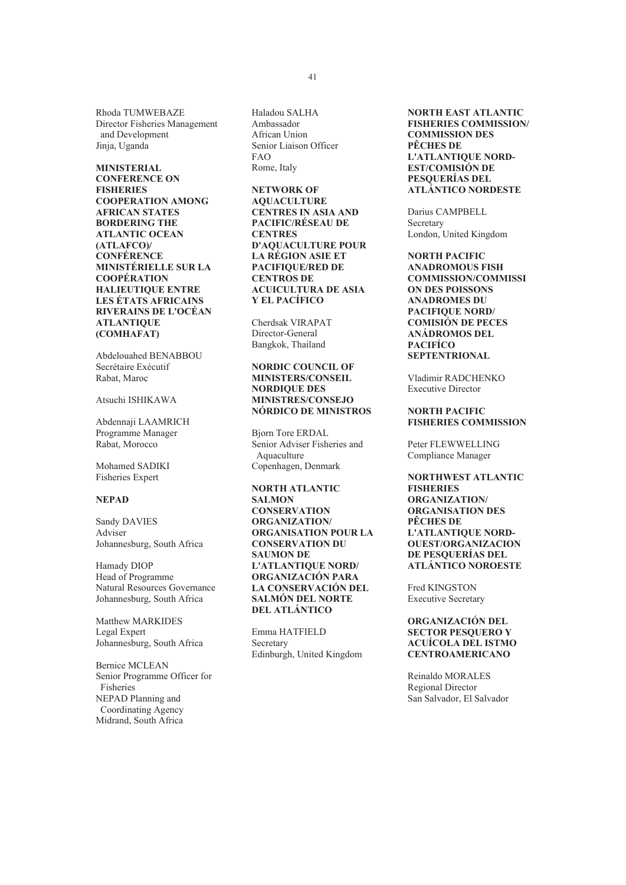Rhoda TUMWEBAZE Director Fisheries Management and Development Jinja, Uganda

**MINISTERIAL CONFERENCE ON FISHERIES COOPERATION AMONG AFRICAN STATES BORDERING THE ATLANTIC OCEAN (ATLAFCO)/ CONFÉRENCE MINISTÉRIELLE SUR LA COOPÉRATION HALIEUTIQUE ENTRE LES ÉTATS AFRICAINS RIVERAINS DE L'OCÉAN ATLANTIQUE (COMHAFAT)**

Abdelouahed BENABBOU Secrétaire Exécutif Rabat, Maroc

Atsuchi ISHIKAWA

Abdennaji LAAMRICH Programme Manager Rabat, Morocco

Mohamed SADIKI Fisheries Expert

### **NEPAD**

Sandy DAVIES Adviser Johannesburg, South Africa

Hamady DIOP Head of Programme Natural Resources Governance Johannesburg, South Africa

Matthew MARKIDES Legal Expert Johannesburg, South Africa

Bernice MCLEAN Senior Programme Officer for Fisheries NEPAD Planning and Coordinating Agency Midrand, South Africa

Haladou SALHA Ambassador African Union Senior Liaison Officer FAO Rome, Italy

**NETWORK OF AQUACULTURE CENTRES IN ASIA AND PACIFIC/RÉSEAU DE CENTRES D'AQUACULTURE POUR LA RÉGION ASIE ET PACIFIQUE/RED DE CENTROS DE ACUICULTURA DE ASIA Y EL PACÍFICO**

Cherdsak VIRAPAT Director-General Bangkok, Thailand

### **NORDIC COUNCIL OF MINISTERS/CONSEIL NORDIQUE DES MINISTRES/CONSEJO NÓRDICO DE MINISTROS**

Bjorn Tore ERDAL Senior Adviser Fisheries and Aquaculture Copenhagen, Denmark

**NORTH ATLANTIC SALMON CONSERVATION ORGANIZATION/ ORGANISATION POUR LA CONSERVATION DU SAUMON DE L'ATLANTIQUE NORD/ ORGANIZACIÓN PARA LA CONSERVACIÓN DEL SALMÓN DEL NORTE DEL ATLÁNTICO**

Emma HATFIELD Secretary Edinburgh, United Kingdom

**NORTH EAST ATLANTIC FISHERIES COMMISSION/ COMMISSION DES PÊCHES DE L'ATLANTIQUE NORD-EST/COMISIÓN DE PESQUERÍAS DEL ATLÁNTICO NORDESTE**

Darius CAMPBELL Secretary London, United Kingdom

**NORTH PACIFIC ANADROMOUS FISH COMMISSION/COMMISSI ON DES POISSONS ANADROMES DU PACIFIQUE NORD/ COMISIÓN DE PECES ANÁDROMOS DEL PACIFÍCO SEPTENTRIONAL**

Vladimir RADCHENKO Executive Director

#### **NORTH PACIFIC FISHERIES COMMISSION**

Peter FLEWWELLING Compliance Manager

**NORTHWEST ATLANTIC FISHERIES ORGANIZATION/ ORGANISATION DES PÊCHES DE L'ATLANTIQUE NORD-OUEST/ORGANIZACION DE PESQUERÍAS DEL ATLÁNTICO NOROESTE**

Fred KINGSTON Executive Secretary

### **ORGANIZACIÓN DEL SECTOR PESQUERO Y ACUÍCOLA DEL ISTMO CENTROAMERICANO**

Reinaldo MORALES Regional Director San Salvador, El Salvador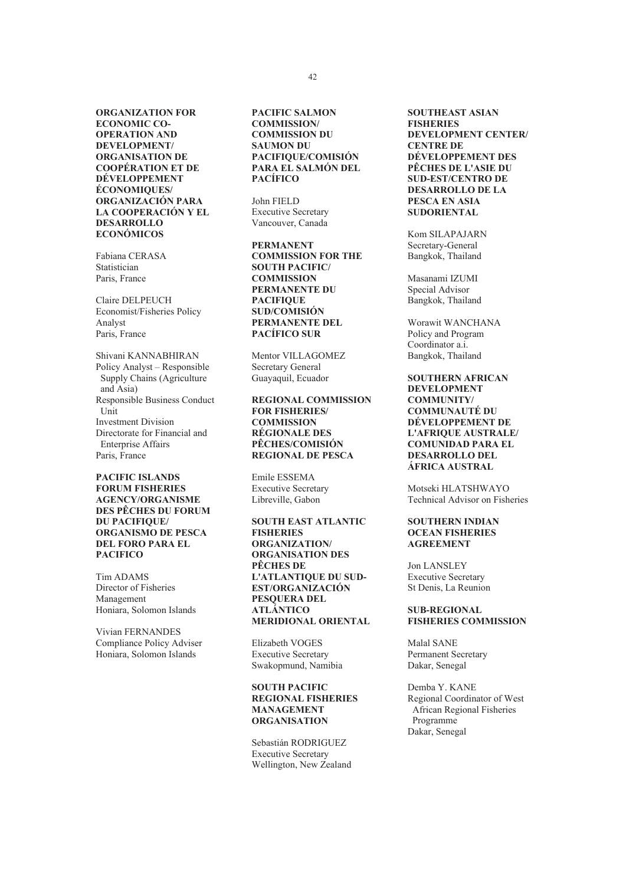**ORGANIZATION FOR ECONOMIC CO-OPERATION AND DEVELOPMENT/ ORGANISATION DE COOPÉRATION ET DE DÉVELOPPEMENT ÉCONOMIQUES/ ORGANIZACIÓN PARA LA COOPERACIÓN Y EL DESARROLLO ECONÓMICOS**

Fabiana CERASA **Statistician** Paris, France

Claire DELPEUCH Economist/Fisheries Policy Analyst Paris, France

Shivani KANNABHIRAN Policy Analyst – Responsible Supply Chains (Agriculture and Asia) Responsible Business Conduct Unit Investment Division Directorate for Financial and Enterprise Affairs Paris, France

**PACIFIC ISLANDS FORUM FISHERIES AGENCY/ORGANISME DES PÊCHES DU FORUM DU PACIFIQUE/ ORGANISMO DE PESCA DEL FORO PARA EL PACIFICO**

Tim ADAMS Director of Fisheries Management Honiara, Solomon Islands

Vivian FERNANDES Compliance Policy Adviser Honiara, Solomon Islands

**PACIFIC SALMON COMMISSION/ COMMISSION DU SAUMON DU PACIFIQUE/COMISIÓN PARA EL SALMÓN DEL PACÍFICO**

John FIELD Executive Secretary Vancouver, Canada

**PERMANENT COMMISSION FOR THE SOUTH PACIFIC/ COMMISSION PERMANENTE DU PACIFIQUE SUD/COMISIÓN PERMANENTE DEL PACÍFICO SUR**

Mentor VILLAGOMEZ Secretary General Guayaquil, Ecuador

**REGIONAL COMMISSION FOR FISHERIES/ COMMISSION RÉGIONALE DES PÊCHES/COMISIÓN REGIONAL DE PESCA**

Emile ESSEMA Executive Secretary Libreville, Gabon

#### **SOUTH EAST ATLANTIC FISHERIES ORGANIZATION/ ORGANISATION DES PÊCHES DE L'ATLANTIQUE DU SUD-EST/ORGANIZACIÓN PESQUERA DEL ATLÁNTICO MERIDIONAL ORIENTAL**

Elizabeth VOGES Executive Secretary Swakopmund, Namibia

### **SOUTH PACIFIC REGIONAL FISHERIES MANAGEMENT ORGANISATION**

Sebastián RODRIGUEZ Executive Secretary Wellington, New Zealand **SOUTHEAST ASIAN FISHERIES DEVELOPMENT CENTER/ CENTRE DE DÉVELOPPEMENT DES PÊCHES DE L'ASIE DU SUD-EST/CENTRO DE DESARROLLO DE LA PESCA EN ASIA SUDORIENTAL**

Kom SILAPAJARN Secretary-General Bangkok, Thailand

Masanami IZUMI Special Advisor Bangkok, Thailand

Worawit WANCHANA Policy and Program Coordinator a.i. Bangkok, Thailand

**SOUTHERN AFRICAN DEVELOPMENT COMMUNITY/ COMMUNAUTÉ DU DÉVELOPPEMENT DE L'AFRIQUE AUSTRALE/ COMUNIDAD PARA EL DESARROLLO DEL ÁFRICA AUSTRAL**

Motseki HLATSHWAYO Technical Advisor on Fisheries

#### **SOUTHERN INDIAN OCEAN FISHERIES AGREEMENT**

Jon LANSLEY Executive Secretary St Denis, La Reunion

#### **SUB-REGIONAL FISHERIES COMMISSION**

Malal SANE Permanent Secretary Dakar, Senegal

Demba Y. KANE Regional Coordinator of West African Regional Fisheries Programme Dakar, Senegal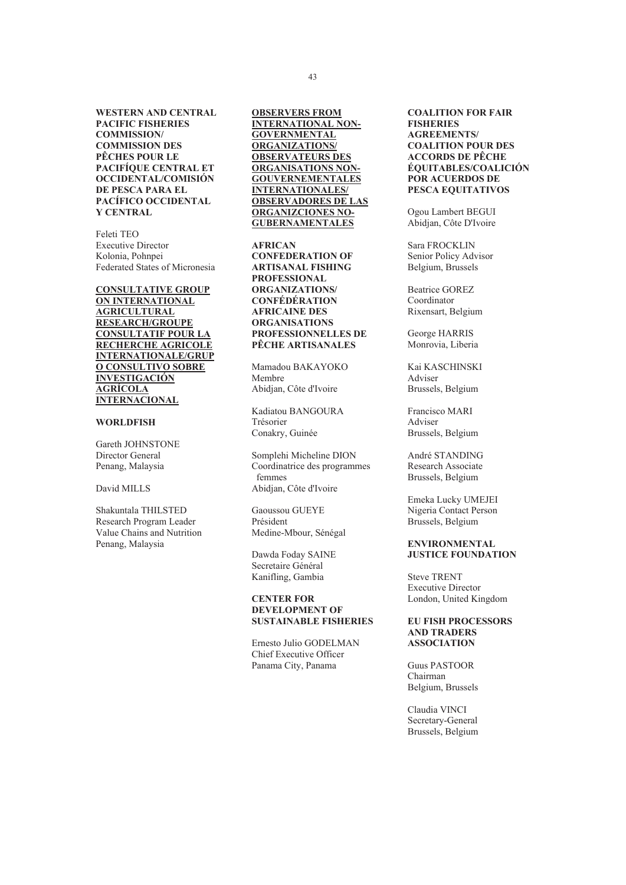**WESTERN AND CENTRAL PACIFIC FISHERIES COMMISSION/ COMMISSION DES PÊCHES POUR LE PACIFÍQUE CENTRAL ET OCCIDENTAL/COMISIÓN DE PESCA PARA EL PACÍFICO OCCIDENTAL Y CENTRAL**

Feleti TEO Executive Director Kolonia, Pohnpei Federated States of Micronesia

**CONSULTATIVE GROUP ON INTERNATIONAL AGRICULTURAL RESEARCH/GROUPE CONSULTATIF POUR LA RECHERCHE AGRICOLE INTERNATIONALE/GRUP O CONSULTIVO SOBRE INVESTIGACIÓN AGRÍCOLA INTERNACIONAL** 

#### **WORLDFISH**

Gareth JOHNSTONE Director General Penang, Malaysia

### David MILLS

Shakuntala THILSTED Research Program Leader Value Chains and Nutrition Penang, Malaysia

**OBSERVERS FROM INTERNATIONAL NON-GOVERNMENTAL ORGANIZATIONS/ OBSERVATEURS DES ORGANISATIONS NON-GOUVERNEMENTALES INTERNATIONALES/ OBSERVADORES DE LAS ORGANIZCIONES NO-GUBERNAMENTALES**

**AFRICAN CONFEDERATION OF ARTISANAL FISHING PROFESSIONAL ORGANIZATIONS/ CONFÉDÉRATION AFRICAINE DES ORGANISATIONS PROFESSIONNELLES DE PÊCHE ARTISANALES**

Mamadou BAKAYOKO Membre Abidjan, Côte d'Ivoire

Kadiatou BANGOURA Trésorier Conakry, Guinée

Somplehi Micheline DION Coordinatrice des programmes femmes Abidjan, Côte d'Ivoire

Gaoussou GUEYE Président Medine-Mbour, Sénégal

Dawda Foday SAINE Secretaire Général Kanifling, Gambia

#### **CENTER FOR DEVELOPMENT OF SUSTAINABLE FISHERIES**

Ernesto Julio GODELMAN Chief Executive Officer Panama City, Panama

**COALITION FOR FAIR FISHERIES AGREEMENTS/ COALITION POUR DES ACCORDS DE PÊCHE ÉQUITABLES/COALICIÓN POR ACUERDOS DE PESCA EQUITATIVOS**

Ogou Lambert BEGUI Abidjan, Côte D'Ivoire

Sara FROCKLIN Senior Policy Advisor Belgium, Brussels

Beatrice GOREZ Coordinator Rixensart, Belgium

George HARRIS Monrovia, Liberia

Kai KASCHINSKI Adviser Brussels, Belgium

Francisco MARI Adviser Brussels, Belgium

André STANDING Research Associate Brussels, Belgium

Emeka Lucky UMEJEI Nigeria Contact Person Brussels, Belgium

#### **ENVIRONMENTAL JUSTICE FOUNDATION**

Steve TRENT Executive Director London, United Kingdom

#### **EU FISH PROCESSORS AND TRADERS ASSOCIATION**

Guus PASTOOR Chairman Belgium, Brussels

Claudia VINCI Secretary-General Brussels, Belgium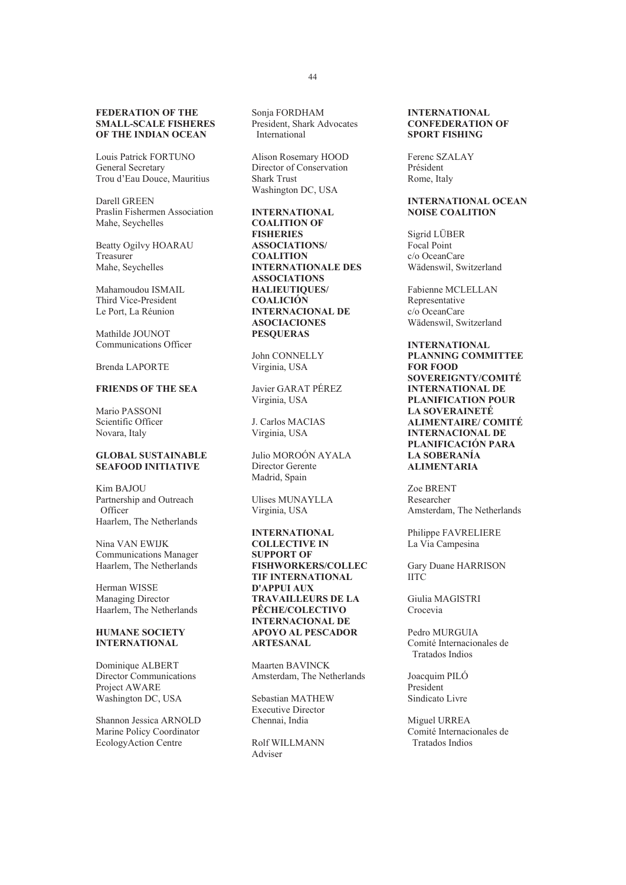### **FEDERATION OF THE SMALL-SCALE FISHERES OF THE INDIAN OCEAN**

Louis Patrick FORTUNO General Secretary Trou d'Eau Douce, Mauritius

Darell GREEN Praslin Fishermen Association Mahe, Seychelles

Beatty Ogilvy HOARAU Treasurer Mahe, Seychelles

Mahamoudou ISMAIL Third Vice-President Le Port, La Réunion

Mathilde JOUNOT Communications Officer

Brenda LAPORTE

### **FRIENDS OF THE SEA**

Mario PASSONI Scientific Officer Novara, Italy

### **GLOBAL SUSTAINABLE SEAFOOD INITIATIVE**

Kim BAJOU Partnership and Outreach **Officer** Haarlem, The Netherlands

Nina VAN EWIJK Communications Manager Haarlem, The Netherlands

Herman WISSE Managing Director Haarlem, The Netherlands

### **HUMANE SOCIETY INTERNATIONAL**

Dominique ALBERT Director Communications Project AWARE Washington DC, USA

Shannon Jessica ARNOLD Marine Policy Coordinator EcologyAction Centre

Sonja FORDHAM President, Shark Advocates International

Alison Rosemary HOOD Director of Conservation Shark Trust Washington DC, USA

**INTERNATIONAL COALITION OF FISHERIES ASSOCIATIONS/ COALITION INTERNATIONALE DES ASSOCIATIONS HALIEUTIQUES/ COALICIÓN INTERNACIONAL DE ASOCIACIONES PESQUERAS** 

John CONNELLY Virginia, USA

Javier GARAT PÉREZ Virginia, USA

J. Carlos MACIAS Virginia, USA

Julio MOROÓN AYALA Director Gerente Madrid, Spain

Ulises MUNAYLLA Virginia, USA

**INTERNATIONAL COLLECTIVE IN SUPPORT OF FISHWORKERS/COLLEC TIF INTERNATIONAL D'APPUI AUX TRAVAILLEURS DE LA PÊCHE/COLECTIVO INTERNACIONAL DE APOYO AL PESCADOR ARTESANAL**

Maarten BAVINCK Amsterdam, The Netherlands

Sebastian MATHEW Executive Director Chennai, India

Rolf WILLMANN Adviser

### **INTERNATIONAL CONFEDERATION OF SPORT FISHING**

Ferenc SZALAY Président Rome, Italy

### **INTERNATIONAL OCEAN NOISE COALITION**

Sigrid LÜBER Focal Point c/o OceanCare Wädenswil, Switzerland

Fabienne MCLELLAN Representative c/o OceanCare Wädenswil, Switzerland

**INTERNATIONAL PLANNING COMMITTEE FOR FOOD SOVEREIGNTY/COMITÉ INTERNATIONAL DE PLANIFICATION POUR LA SOVERAINETÉ ALIMENTAIRE/ COMITÉ INTERNACIONAL DE PLANIFICACIÓN PARA LA SOBERANÍA ALIMENTARIA**

Zoe BRENT Researcher Amsterdam, The Netherlands

Philippe FAVRELIERE La Via Campesina

Gary Duane HARRISON IITC

Giulia MAGISTRI Crocevia

Pedro MURGUIA Comité Internacionales de Tratados Indios

Joacquim PILÓ President Sindicato Livre

Miguel URREA Comité Internacionales de Tratados Indios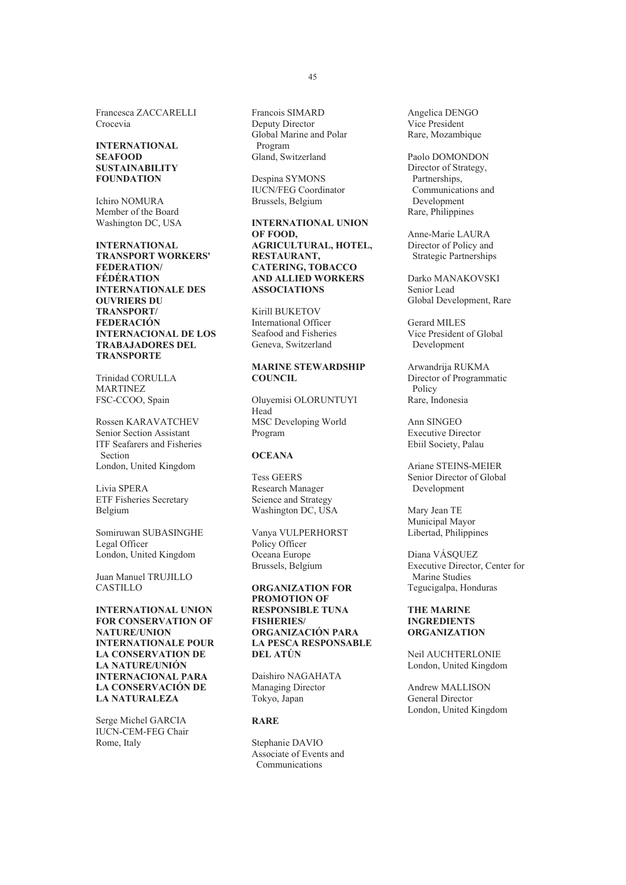Francesca ZACCARELLI Crocevia

### **INTERNATIONAL SEAFOOD SUSTAINABILITY FOUNDATION**

Ichiro NOMURA Member of the Board Washington DC, USA

**INTERNATIONAL TRANSPORT WORKERS' FEDERATION/ FÉDÉRATION INTERNATIONALE DES OUVRIERS DU TRANSPORT/ FEDERACIÓN INTERNACIONAL DE LOS TRABAJADORES DEL TRANSPORTE**

Trinidad CORULLA MARTINEZ FSC-CCOO, Spain

Rossen KARAVATCHEV Senior Section Assistant ITF Seafarers and Fisheries Section London, United Kingdom

Livia SPERA ETF Fisheries Secretary Belgium

Somiruwan SUBASINGHE Legal Officer London, United Kingdom

Juan Manuel TRUJILLO CASTILLO

**INTERNATIONAL UNION FOR CONSERVATION OF NATURE/UNION INTERNATIONALE POUR LA CONSERVATION DE LA NATURE/UNIÓN INTERNACIONAL PARA LA CONSERVACIÓN DE LA NATURALEZA** 

Serge Michel GARCIA IUCN-CEM-FEG Chair Rome, Italy

Francois SIMARD Deputy Director Global Marine and Polar Program Gland, Switzerland

Despina SYMONS IUCN/FEG Coordinator Brussels, Belgium

**INTERNATIONAL UNION OF FOOD, AGRICULTURAL, HOTEL, RESTAURANT, CATERING, TOBACCO AND ALLIED WORKERS ASSOCIATIONS**

Kirill BUKETOV International Officer Seafood and Fisheries Geneva, Switzerland

### **MARINE STEWARDSHIP COUNCIL**

Oluyemisi OLORUNTUYI Head MSC Developing World Program

### **OCEANA**

Tess GEERS Research Manager Science and Strategy Washington DC, USA

Vanya VULPERHORST Policy Officer Oceana Europe Brussels, Belgium

**ORGANIZATION FOR PROMOTION OF RESPONSIBLE TUNA FISHERIES/ ORGANIZACIÓN PARA LA PESCA RESPONSABLE DEL ATÚN**

Daishiro NAGAHATA Managing Director Tokyo, Japan

#### **RARE**

Stephanie DAVIO Associate of Events and Communications

Angelica DENGO Vice President Rare, Mozambique

Paolo DOMONDON Director of Strategy, Partnerships, Communications and Development Rare, Philippines

Anne-Marie LAURA Director of Policy and Strategic Partnerships

Darko MANAKOVSKI Senior Lead Global Development, Rare

Gerard MILES Vice President of Global Development

Arwandrija RUKMA Director of Programmatic Policy Rare, Indonesia

Ann SINGEO Executive Director Ebiil Society, Palau

Ariane STEINS-MEIER Senior Director of Global Development

Mary Jean TE Municipal Mayor Libertad, Philippines

Diana VÁSQUEZ Executive Director, Center for Marine Studies Tegucigalpa, Honduras

#### **THE MARINE INGREDIENTS ORGANIZATION**

Neil AUCHTERLONIE London, United Kingdom

Andrew MALLISON General Director London, United Kingdom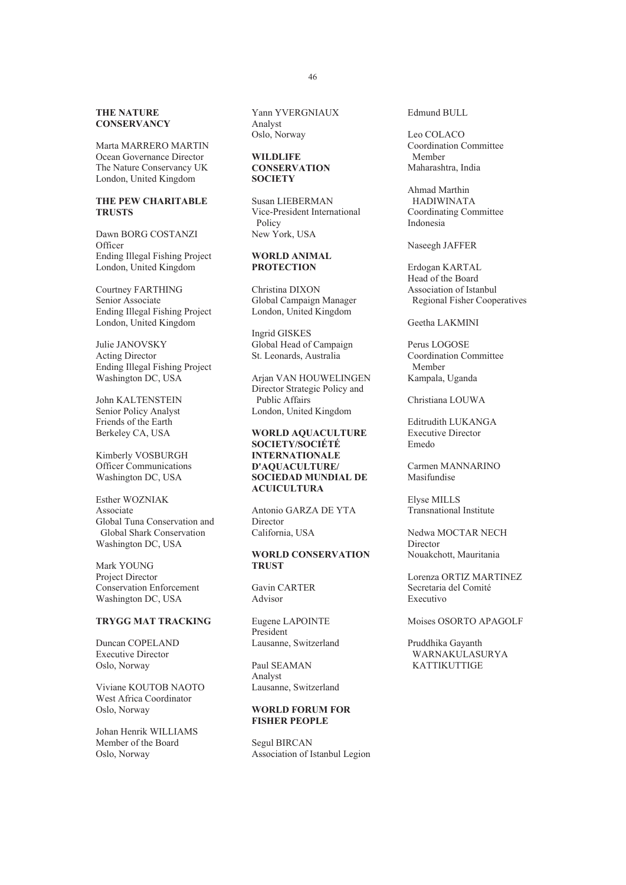### **THE NATURE CONSERVANCY**

Marta MARRERO MARTIN Ocean Governance Director The Nature Conservancy UK London, United Kingdom

### **THE PEW CHARITABLE TRUSTS**

Dawn BORG COSTANZI **Officer** Ending Illegal Fishing Project London, United Kingdom

Courtney FARTHING Senior Associate Ending Illegal Fishing Project London, United Kingdom

Julie JANOVSKY Acting Director Ending Illegal Fishing Project Washington DC, USA

John KALTENSTEIN Senior Policy Analyst Friends of the Earth Berkeley CA, USA

Kimberly VOSBURGH Officer Communications Washington DC, USA

Esther WOZNIAK Associate Global Tuna Conservation and Global Shark Conservation Washington DC, USA

Mark YOUNG Project Director Conservation Enforcement Washington DC, USA

### **TRYGG MAT TRACKING**

Duncan COPELAND Executive Director Oslo, Norway

Viviane KOUTOB NAOTO West Africa Coordinator Oslo, Norway

Johan Henrik WILLIAMS Member of the Board Oslo, Norway

Yann YVERGNIAUX Analyst Oslo, Norway

#### **WILDLIFE CONSERVATION SOCIETY**

Susan LIEBERMAN Vice-President International Policy New York, USA

#### **WORLD ANIMAL PROTECTION**

Christina DIXON Global Campaign Manager London, United Kingdom

Ingrid GISKES Global Head of Campaign St. Leonards, Australia

Arjan VAN HOUWELINGEN Director Strategic Policy and Public Affairs London, United Kingdom

#### **WORLD AQUACULTURE SOCIETY/SOCIÉTÉ INTERNATIONALE D'AQUACULTURE/ SOCIEDAD MUNDIAL DE ACUICULTURA**

Antonio GARZA DE YTA Director California, USA

#### **WORLD CONSERVATION TRUST**

Gavin CARTER Advisor

Eugene LAPOINTE President Lausanne, Switzerland

Paul SEAMAN Analyst Lausanne, Switzerland

### **WORLD FORUM FOR FISHER PEOPLE**

Segul BIRCAN Association of Istanbul Legion Edmund BULL

Leo COLACO Coordination Committee Member Maharashtra, India

Ahmad Marthin HADIWINATA Coordinating Committee Indonesia

Naseegh JAFFER

Erdogan KARTAL Head of the Board Association of Istanbul Regional Fisher Cooperatives

Geetha LAKMINI

Perus LOGOSE Coordination Committee Member Kampala, Uganda

Christiana LOUWA

Editrudith LUKANGA Executive Director Emedo

Carmen MANNARINO Masifundise

Elyse MILLS Transnational Institute

Nedwa MOCTAR NECH Director Nouakchott, Mauritania

Lorenza ORTIZ MARTINEZ Secretaria del Comité Executivo

Moises OSORTO APAGOLF

Pruddhika Gayanth WARNAKULASURYA **KATTIKUTTIGE**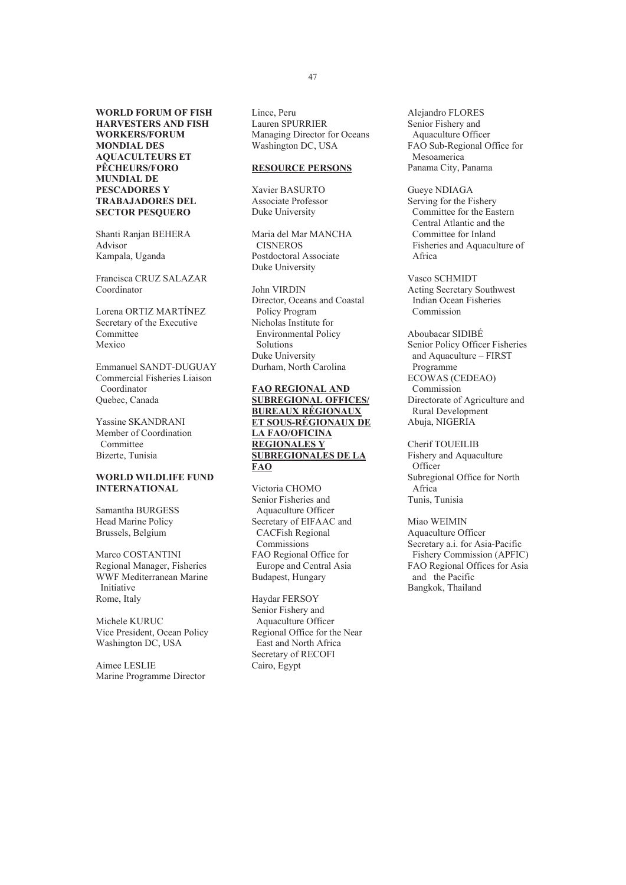**WORLD FORUM OF FISH HARVESTERS AND FISH WORKERS/FORUM MONDIAL DES AQUACULTEURS ET PÊCHEURS/FORO MUNDIAL DE PESCADORES Y TRABAJADORES DEL SECTOR PESQUERO**

Shanti Ranjan BEHERA Advisor Kampala, Uganda

Francisca CRUZ SALAZAR Coordinator

Lorena ORTIZ MARTÍNEZ Secretary of the Executive **Committee** Mexico

Emmanuel SANDT-DUGUAY Commercial Fisheries Liaison Coordinator Quebec, Canada

Yassine SKANDRANI Member of Coordination Committee Bizerte, Tunisia

### **WORLD WILDLIFE FUND INTERNATIONAL**

Samantha BURGESS Head Marine Policy Brussels, Belgium

Marco COSTANTINI Regional Manager, Fisheries WWF Mediterranean Marine Initiative Rome, Italy

Michele KURUC Vice President, Ocean Policy Washington DC, USA

Aimee LESLIE Marine Programme Director Lince, Peru Lauren SPURRIER Managing Director for Oceans Washington DC, USA

### **RESOURCE PERSONS**

Xavier BASURTO Associate Professor Duke University

Maria del Mar MANCHA **CISNEROS** Postdoctoral Associate Duke University

John VIRDIN Director, Oceans and Coastal Policy Program Nicholas Institute for Environmental Policy Solutions Duke University Durham, North Carolina

### **FAO REGIONAL AND SUBREGIONAL OFFICES/ BUREAUX RÉGIONAUX ET SOUS-RÉGIONAUX DE LA FAO/OFICINA REGIONALES Y SUBREGIONALES DE LA FAO**

Victoria CHOMO Senior Fisheries and Aquaculture Officer Secretary of EIFAAC and CACFish Regional **Commissions** FAO Regional Office for Europe and Central Asia Budapest, Hungary

Haydar FERSOY Senior Fishery and Aquaculture Officer Regional Office for the Near East and North Africa Secretary of RECOFI Cairo, Egypt

Alejandro FLORES Senior Fishery and Aquaculture Officer FAO Sub-Regional Office for Mesoamerica Panama City, Panama

Gueye NDIAGA Serving for the Fishery Committee for the Eastern Central Atlantic and the Committee for Inland Fisheries and Aquaculture of Africa

Vasco SCHMIDT Acting Secretary Southwest Indian Ocean Fisheries Commission

Aboubacar SIDIBÉ Senior Policy Officer Fisheries and Aquaculture – FIRST Programme ECOWAS (CEDEAO) Commission Directorate of Agriculture and Rural Development Abuja, NIGERIA

Cherif TOUEILIB Fishery and Aquaculture **Officer** Subregional Office for North Africa Tunis, Tunisia

Miao WEIMIN Aquaculture Officer Secretary a.i. for Asia-Pacific Fishery Commission (APFIC) FAO Regional Offices for Asia and the Pacific Bangkok, Thailand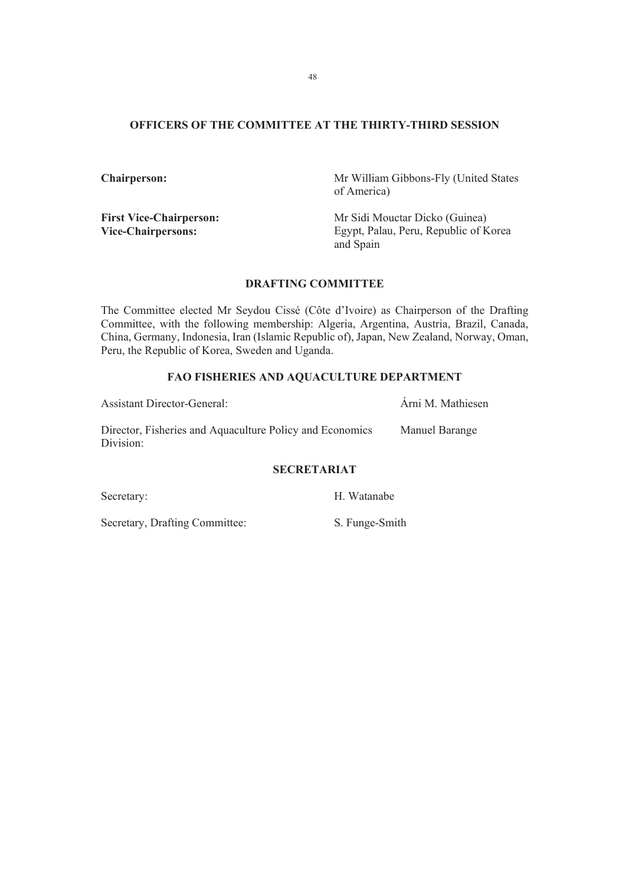# **OFFICERS OF THE COMMITTEE AT THE THIRTY-THIRD SESSION**

**Chairperson:** Mr William Gibbons-Fly (United States of America)

**First Vice-Chairperson:** Mr Sidi Mouctar Dicko (Guinea) **Vice-Chairpersons:** Egypt, Palau, Peru, Republic of Korea and Spain

# **DRAFTING COMMITTEE**

The Committee elected Mr Seydou Cissé (Côte d'Ivoire) as Chairperson of the Drafting Committee, with the following membership: Algeria, Argentina, Austria, Brazil, Canada, China, Germany, Indonesia, Iran (Islamic Republic of), Japan, New Zealand, Norway, Oman, Peru, the Republic of Korea, Sweden and Uganda.

# **FAO FISHERIES AND AQUACULTURE DEPARTMENT**

| <b>Assistant Director-General:</b>                                    | Árni M. Mathiesen |
|-----------------------------------------------------------------------|-------------------|
| Director, Fisheries and Aquaculture Policy and Economics<br>Division: | Manuel Barange    |

# **SECRETARIAT**

Secretary: H. Watanabe

Secretary, Drafting Committee: S. Funge-Smith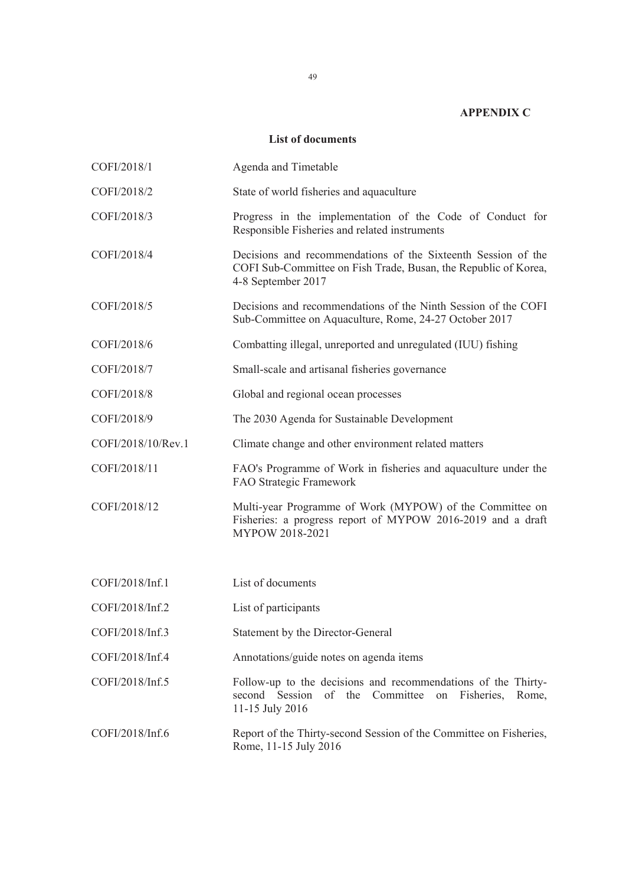# **APPENDIX C**

# **List of documents**

| COFI/2018/1        | Agenda and Timetable                                                                                                                                      |
|--------------------|-----------------------------------------------------------------------------------------------------------------------------------------------------------|
| COFI/2018/2        | State of world fisheries and aquaculture                                                                                                                  |
| COFI/2018/3        | Progress in the implementation of the Code of Conduct for<br>Responsible Fisheries and related instruments                                                |
| COFI/2018/4        | Decisions and recommendations of the Sixteenth Session of the<br>COFI Sub-Committee on Fish Trade, Busan, the Republic of Korea,<br>4-8 September 2017    |
| COFI/2018/5        | Decisions and recommendations of the Ninth Session of the COFI<br>Sub-Committee on Aquaculture, Rome, 24-27 October 2017                                  |
| COFI/2018/6        | Combatting illegal, unreported and unregulated (IUU) fishing                                                                                              |
| COFI/2018/7        | Small-scale and artisanal fisheries governance                                                                                                            |
| COFI/2018/8        | Global and regional ocean processes                                                                                                                       |
| COFI/2018/9        | The 2030 Agenda for Sustainable Development                                                                                                               |
| COFI/2018/10/Rev.1 | Climate change and other environment related matters                                                                                                      |
| COFI/2018/11       | FAO's Programme of Work in fisheries and aquaculture under the<br>FAO Strategic Framework                                                                 |
| COFI/2018/12       | Multi-year Programme of Work (MYPOW) of the Committee on<br>Fisheries: a progress report of MYPOW 2016-2019 and a draft<br>MYPOW 2018-2021                |
| COFI/2018/Inf.1    | List of documents                                                                                                                                         |
| COFI/2018/Inf.2    | List of participants                                                                                                                                      |
| COFI/2018/Inf.3    | Statement by the Director-General                                                                                                                         |
| COFI/2018/Inf.4    | Annotations/guide notes on agenda items                                                                                                                   |
| COFI/2018/Inf.5    | Follow-up to the decisions and recommendations of the Thirty-<br>Committee<br>Session<br>of the<br>on<br>Fisheries,<br>second<br>Rome,<br>11-15 July 2016 |
| COFI/2018/Inf.6    | Report of the Thirty-second Session of the Committee on Fisheries,<br>Rome, 11-15 July 2016                                                               |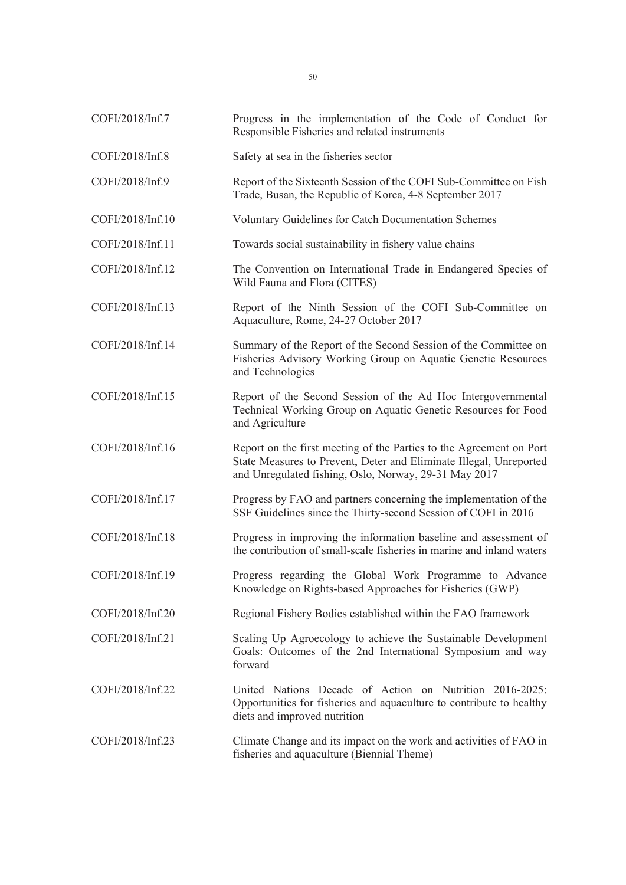| COFI/2018/Inf.7  | Progress in the implementation of the Code of Conduct for<br>Responsible Fisheries and related instruments                                                                                         |
|------------------|----------------------------------------------------------------------------------------------------------------------------------------------------------------------------------------------------|
| COFI/2018/Inf.8  | Safety at sea in the fisheries sector                                                                                                                                                              |
| COFI/2018/Inf.9  | Report of the Sixteenth Session of the COFI Sub-Committee on Fish<br>Trade, Busan, the Republic of Korea, 4-8 September 2017                                                                       |
| COFI/2018/Inf.10 | <b>Voluntary Guidelines for Catch Documentation Schemes</b>                                                                                                                                        |
| COFI/2018/Inf.11 | Towards social sustainability in fishery value chains                                                                                                                                              |
| COFI/2018/Inf.12 | The Convention on International Trade in Endangered Species of<br>Wild Fauna and Flora (CITES)                                                                                                     |
| COFI/2018/Inf.13 | Report of the Ninth Session of the COFI Sub-Committee on<br>Aquaculture, Rome, 24-27 October 2017                                                                                                  |
| COFI/2018/Inf.14 | Summary of the Report of the Second Session of the Committee on<br>Fisheries Advisory Working Group on Aquatic Genetic Resources<br>and Technologies                                               |
| COFI/2018/Inf.15 | Report of the Second Session of the Ad Hoc Intergovernmental<br>Technical Working Group on Aquatic Genetic Resources for Food<br>and Agriculture                                                   |
| COFI/2018/Inf.16 | Report on the first meeting of the Parties to the Agreement on Port<br>State Measures to Prevent, Deter and Eliminate Illegal, Unreported<br>and Unregulated fishing, Oslo, Norway, 29-31 May 2017 |
| COFI/2018/Inf.17 | Progress by FAO and partners concerning the implementation of the<br>SSF Guidelines since the Thirty-second Session of COFI in 2016                                                                |
| COFI/2018/Inf.18 | Progress in improving the information baseline and assessment of<br>the contribution of small-scale fisheries in marine and inland waters                                                          |
| COFI/2018/Inf.19 | Progress regarding the Global Work Programme to Advance<br>Knowledge on Rights-based Approaches for Fisheries (GWP)                                                                                |
| COFI/2018/Inf.20 | Regional Fishery Bodies established within the FAO framework                                                                                                                                       |
| COFI/2018/Inf.21 | Scaling Up Agroecology to achieve the Sustainable Development<br>Goals: Outcomes of the 2nd International Symposium and way<br>forward                                                             |
| COFI/2018/Inf.22 | United Nations Decade of Action on Nutrition 2016-2025:<br>Opportunities for fisheries and aquaculture to contribute to healthy<br>diets and improved nutrition                                    |
| COFI/2018/Inf.23 | Climate Change and its impact on the work and activities of FAO in<br>fisheries and aquaculture (Biennial Theme)                                                                                   |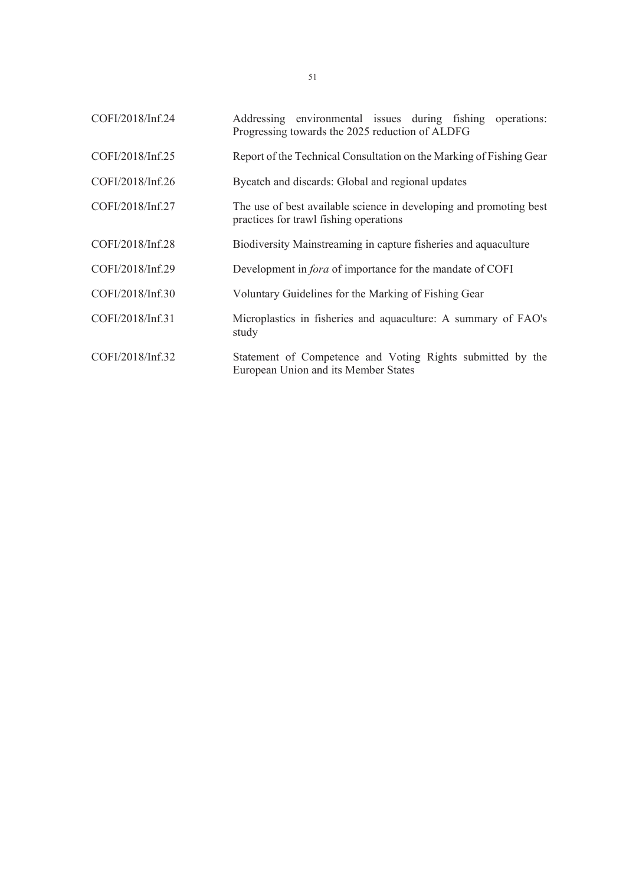| COFI/2018/Inf.24 | Addressing environmental issues during fishing operations:<br>Progressing towards the 2025 reduction of ALDFG |
|------------------|---------------------------------------------------------------------------------------------------------------|
| COFI/2018/Inf.25 | Report of the Technical Consultation on the Marking of Fishing Gear                                           |
| COFI/2018/Inf.26 | Bycatch and discards: Global and regional updates                                                             |
| COFI/2018/Inf.27 | The use of best available science in developing and promoting best<br>practices for trawl fishing operations  |
| COFI/2018/Inf.28 | Biodiversity Mainstreaming in capture fisheries and aquaculture                                               |
| COFI/2018/Inf.29 | Development in <i>fora</i> of importance for the mandate of COFI                                              |
| COFI/2018/Inf.30 | Voluntary Guidelines for the Marking of Fishing Gear                                                          |
| COFI/2018/Inf.31 | Microplastics in fisheries and aquaculture: A summary of FAO's<br>study                                       |
| COFI/2018/Inf.32 | Statement of Competence and Voting Rights submitted by the<br>European Union and its Member States            |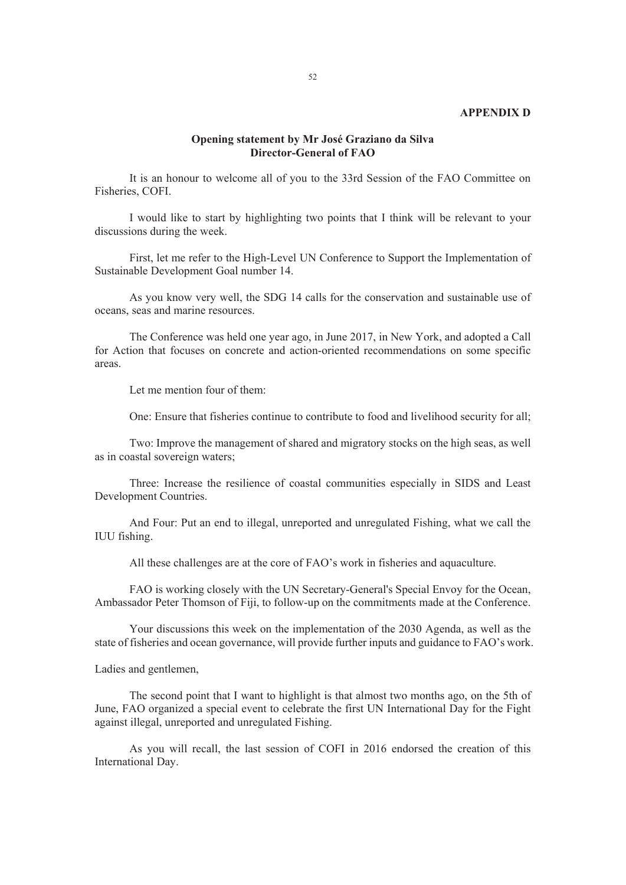### **APPENDIX D**

## **Opening statement by Mr José Graziano da Silva Director-General of FAO**

It is an honour to welcome all of you to the 33rd Session of the FAO Committee on Fisheries, COFI.

I would like to start by highlighting two points that I think will be relevant to your discussions during the week.

First, let me refer to the High-Level UN Conference to Support the Implementation of Sustainable Development Goal number 14.

As you know very well, the SDG 14 calls for the conservation and sustainable use of oceans, seas and marine resources.

The Conference was held one year ago, in June 2017, in New York, and adopted a Call for Action that focuses on concrete and action-oriented recommendations on some specific areas.

Let me mention four of them:

One: Ensure that fisheries continue to contribute to food and livelihood security for all;

Two: Improve the management of shared and migratory stocks on the high seas, as well as in coastal sovereign waters;

Three: Increase the resilience of coastal communities especially in SIDS and Least Development Countries.

And Four: Put an end to illegal, unreported and unregulated Fishing, what we call the IUU fishing.

All these challenges are at the core of FAO's work in fisheries and aquaculture.

FAO is working closely with the UN Secretary-General's Special Envoy for the Ocean, Ambassador Peter Thomson of Fiji, to follow-up on the commitments made at the Conference.

Your discussions this week on the implementation of the 2030 Agenda, as well as the state of fisheries and ocean governance, will provide further inputs and guidance to FAO's work.

Ladies and gentlemen,

The second point that I want to highlight is that almost two months ago, on the 5th of June, FAO organized a special event to celebrate the first UN International Day for the Fight against illegal, unreported and unregulated Fishing.

As you will recall, the last session of COFI in 2016 endorsed the creation of this International Day.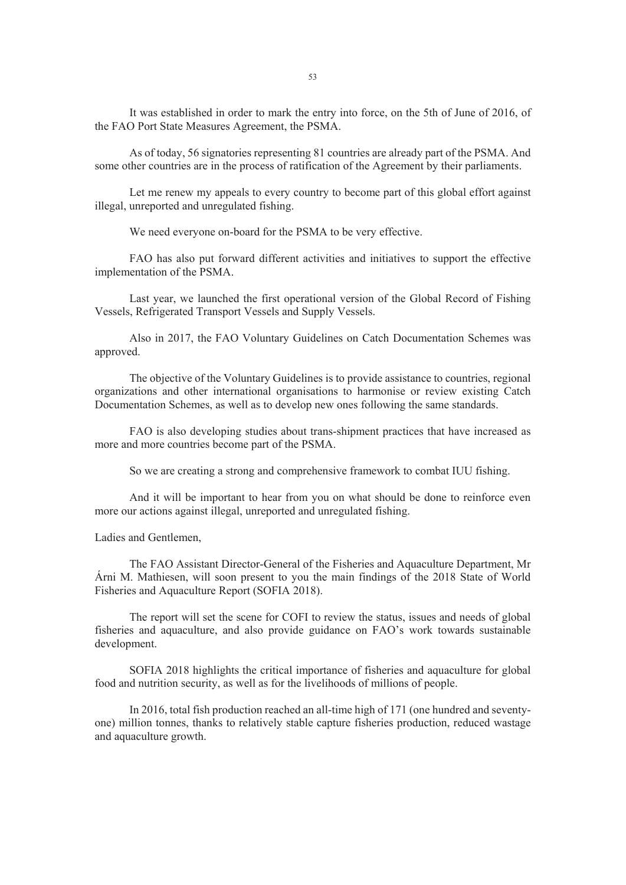It was established in order to mark the entry into force, on the 5th of June of 2016, of the FAO Port State Measures Agreement, the PSMA.

As of today, 56 signatories representing 81 countries are already part of the PSMA. And some other countries are in the process of ratification of the Agreement by their parliaments.

Let me renew my appeals to every country to become part of this global effort against illegal, unreported and unregulated fishing.

We need everyone on-board for the PSMA to be very effective.

FAO has also put forward different activities and initiatives to support the effective implementation of the PSMA.

Last year, we launched the first operational version of the Global Record of Fishing Vessels, Refrigerated Transport Vessels and Supply Vessels.

Also in 2017, the FAO Voluntary Guidelines on Catch Documentation Schemes was approved.

The objective of the Voluntary Guidelines is to provide assistance to countries, regional organizations and other international organisations to harmonise or review existing Catch Documentation Schemes, as well as to develop new ones following the same standards.

FAO is also developing studies about trans-shipment practices that have increased as more and more countries become part of the PSMA.

So we are creating a strong and comprehensive framework to combat IUU fishing.

And it will be important to hear from you on what should be done to reinforce even more our actions against illegal, unreported and unregulated fishing.

Ladies and Gentlemen,

The FAO Assistant Director-General of the Fisheries and Aquaculture Department, Mr Árni M. Mathiesen, will soon present to you the main findings of the 2018 State of World Fisheries and Aquaculture Report (SOFIA 2018).

The report will set the scene for COFI to review the status, issues and needs of global fisheries and aquaculture, and also provide guidance on FAO's work towards sustainable development.

SOFIA 2018 highlights the critical importance of fisheries and aquaculture for global food and nutrition security, as well as for the livelihoods of millions of people.

In 2016, total fish production reached an all-time high of 171 (one hundred and seventyone) million tonnes, thanks to relatively stable capture fisheries production, reduced wastage and aquaculture growth.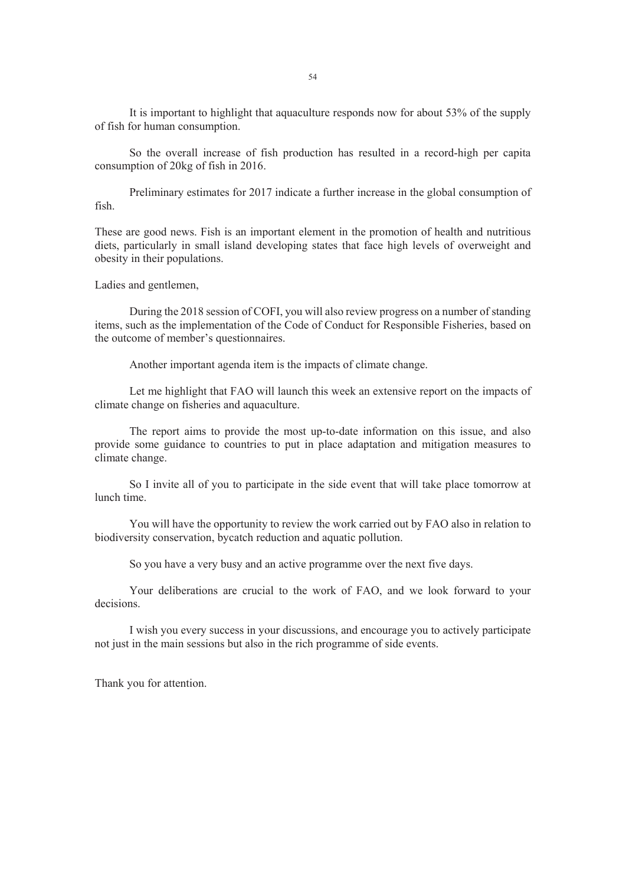It is important to highlight that aquaculture responds now for about 53% of the supply of fish for human consumption.

So the overall increase of fish production has resulted in a record-high per capita consumption of 20kg of fish in 2016.

Preliminary estimates for 2017 indicate a further increase in the global consumption of fish.

These are good news. Fish is an important element in the promotion of health and nutritious diets, particularly in small island developing states that face high levels of overweight and obesity in their populations.

Ladies and gentlemen,

During the 2018 session of COFI, you will also review progress on a number of standing items, such as the implementation of the Code of Conduct for Responsible Fisheries, based on the outcome of member's questionnaires.

Another important agenda item is the impacts of climate change.

Let me highlight that FAO will launch this week an extensive report on the impacts of climate change on fisheries and aquaculture.

The report aims to provide the most up-to-date information on this issue, and also provide some guidance to countries to put in place adaptation and mitigation measures to climate change.

So I invite all of you to participate in the side event that will take place tomorrow at lunch time.

You will have the opportunity to review the work carried out by FAO also in relation to biodiversity conservation, bycatch reduction and aquatic pollution.

So you have a very busy and an active programme over the next five days.

Your deliberations are crucial to the work of FAO, and we look forward to your decisions.

I wish you every success in your discussions, and encourage you to actively participate not just in the main sessions but also in the rich programme of side events.

Thank you for attention.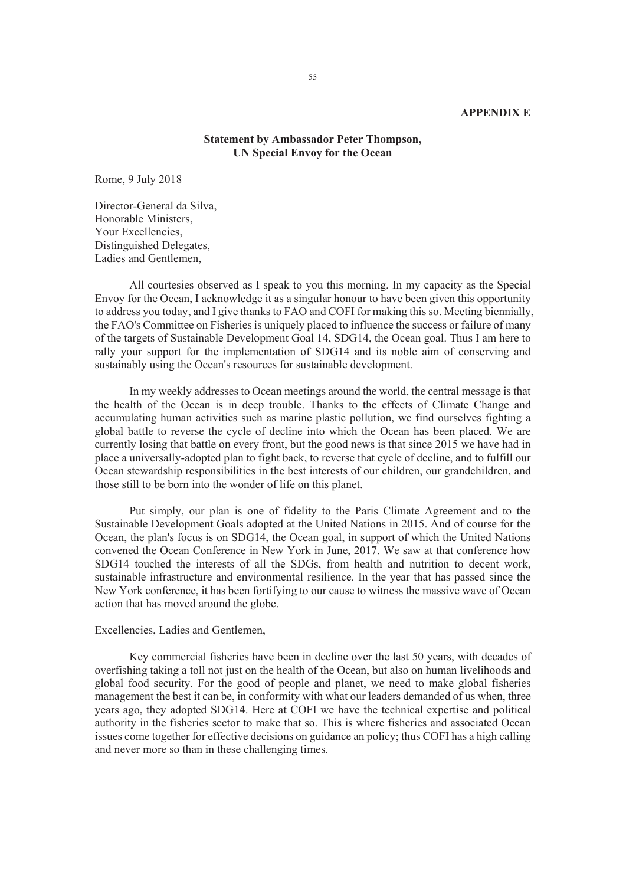## **APPENDIX E**

# **Statement by Ambassador Peter Thompson, UN Special Envoy for the Ocean**

Rome, 9 July 2018

Director-General da Silva, Honorable Ministers, Your Excellencies, Distinguished Delegates, Ladies and Gentlemen,

All courtesies observed as I speak to you this morning. In my capacity as the Special Envoy for the Ocean, I acknowledge it as a singular honour to have been given this opportunity to address you today, and I give thanks to FAO and COFI for making this so. Meeting biennially, the FAO's Committee on Fisheries is uniquely placed to influence the success or failure of many of the targets of Sustainable Development Goal 14, SDG14, the Ocean goal. Thus I am here to rally your support for the implementation of SDG14 and its noble aim of conserving and sustainably using the Ocean's resources for sustainable development.

In my weekly addresses to Ocean meetings around the world, the central message is that the health of the Ocean is in deep trouble. Thanks to the effects of Climate Change and accumulating human activities such as marine plastic pollution, we find ourselves fighting a global battle to reverse the cycle of decline into which the Ocean has been placed. We are currently losing that battle on every front, but the good news is that since 2015 we have had in place a universally-adopted plan to fight back, to reverse that cycle of decline, and to fulfill our Ocean stewardship responsibilities in the best interests of our children, our grandchildren, and those still to be born into the wonder of life on this planet.

Put simply, our plan is one of fidelity to the Paris Climate Agreement and to the Sustainable Development Goals adopted at the United Nations in 2015. And of course for the Ocean, the plan's focus is on SDG14, the Ocean goal, in support of which the United Nations convened the Ocean Conference in New York in June, 2017. We saw at that conference how SDG14 touched the interests of all the SDGs, from health and nutrition to decent work, sustainable infrastructure and environmental resilience. In the year that has passed since the New York conference, it has been fortifying to our cause to witness the massive wave of Ocean action that has moved around the globe.

# Excellencies, Ladies and Gentlemen,

Key commercial fisheries have been in decline over the last 50 years, with decades of overfishing taking a toll not just on the health of the Ocean, but also on human livelihoods and global food security. For the good of people and planet, we need to make global fisheries management the best it can be, in conformity with what our leaders demanded of us when, three years ago, they adopted SDG14. Here at COFI we have the technical expertise and political authority in the fisheries sector to make that so. This is where fisheries and associated Ocean issues come together for effective decisions on guidance an policy; thus COFI has a high calling and never more so than in these challenging times.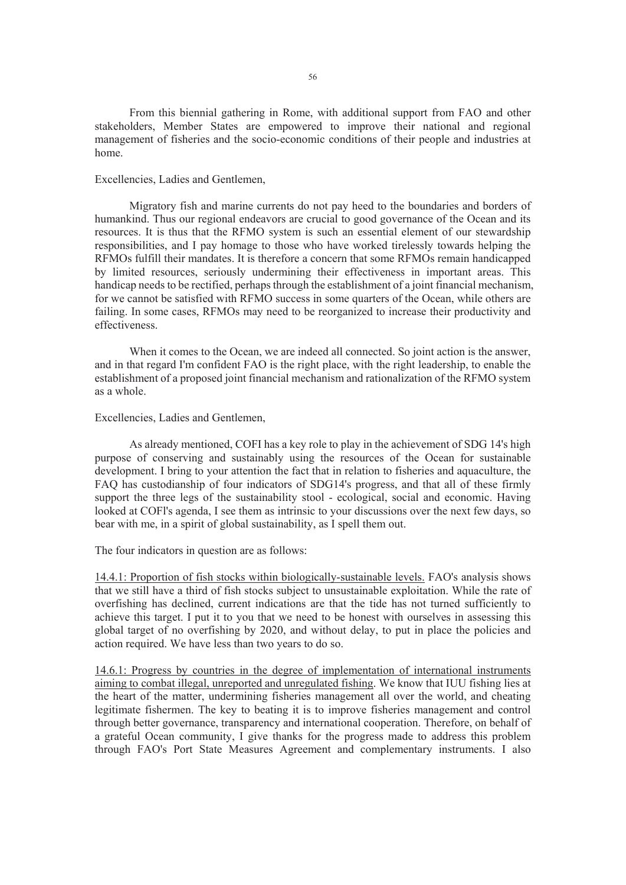From this biennial gathering in Rome, with additional support from FAO and other stakeholders, Member States are empowered to improve their national and regional management of fisheries and the socio-economic conditions of their people and industries at home.

### Excellencies, Ladies and Gentlemen,

Migratory fish and marine currents do not pay heed to the boundaries and borders of humankind. Thus our regional endeavors are crucial to good governance of the Ocean and its resources. It is thus that the RFMO system is such an essential element of our stewardship responsibilities, and I pay homage to those who have worked tirelessly towards helping the RFMOs fulfill their mandates. It is therefore a concern that some RFMOs remain handicapped by limited resources, seriously undermining their effectiveness in important areas. This handicap needs to be rectified, perhaps through the establishment of a joint financial mechanism, for we cannot be satisfied with RFMO success in some quarters of the Ocean, while others are failing. In some cases, RFMOs may need to be reorganized to increase their productivity and effectiveness.

When it comes to the Ocean, we are indeed all connected. So joint action is the answer, and in that regard I'm confident FAO is the right place, with the right leadership, to enable the establishment of a proposed joint financial mechanism and rationalization of the RFMO system as a whole.

### Excellencies, Ladies and Gentlemen,

As already mentioned, COFI has a key role to play in the achievement of SDG 14's high purpose of conserving and sustainably using the resources of the Ocean for sustainable development. I bring to your attention the fact that in relation to fisheries and aquaculture, the FAQ has custodianship of four indicators of SDG14's progress, and that all of these firmly support the three legs of the sustainability stool - ecological, social and economic. Having looked at COFl's agenda, I see them as intrinsic to your discussions over the next few days, so bear with me, in a spirit of global sustainability, as I spell them out.

The four indicators in question are as follows:

14.4.1: Proportion of fish stocks within biologically-sustainable levels. FAO's analysis shows that we still have a third of fish stocks subject to unsustainable exploitation. While the rate of overfishing has declined, current indications are that the tide has not turned sufficiently to achieve this target. I put it to you that we need to be honest with ourselves in assessing this global target of no overfishing by 2020, and without delay, to put in place the policies and action required. We have less than two years to do so.

14.6.1: Progress by countries in the degree of implementation of international instruments aiming to combat illegal, unreported and unregulated fishing. We know that IUU fishing lies at the heart of the matter, undermining fisheries management all over the world, and cheating legitimate fishermen. The key to beating it is to improve fisheries management and control through better governance, transparency and international cooperation. Therefore, on behalf of a grateful Ocean community, I give thanks for the progress made to address this problem through FAO's Port State Measures Agreement and complementary instruments. I also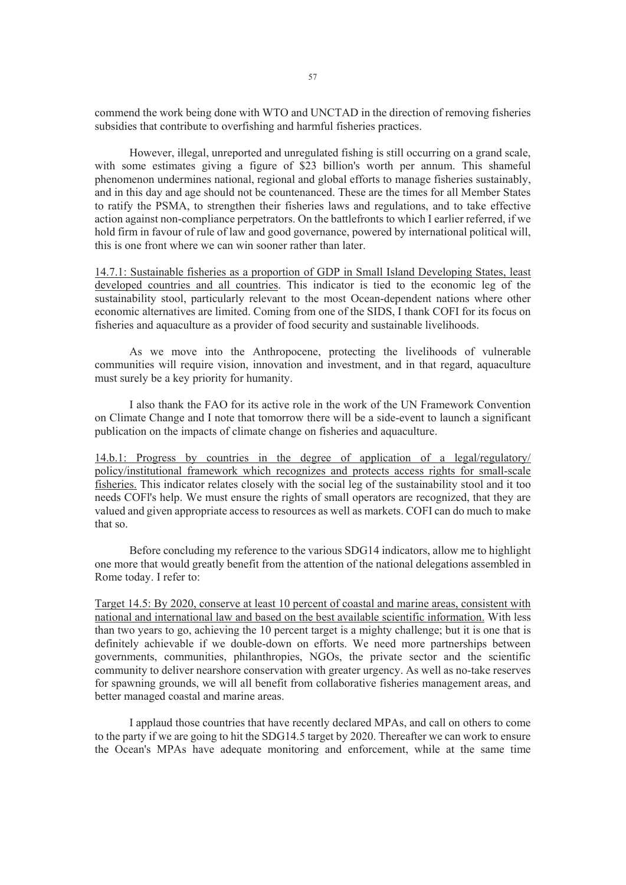commend the work being done with WTO and UNCTAD in the direction of removing fisheries subsidies that contribute to overfishing and harmful fisheries practices.

However, illegal, unreported and unregulated fishing is still occurring on a grand scale, with some estimates giving a figure of \$23 billion's worth per annum. This shameful phenomenon undermines national, regional and global efforts to manage fisheries sustainably, and in this day and age should not be countenanced. These are the times for all Member States to ratify the PSMA, to strengthen their fisheries laws and regulations, and to take effective action against non-compliance perpetrators. On the battlefronts to which I earlier referred, if we hold firm in favour of rule of law and good governance, powered by international political will, this is one front where we can win sooner rather than later.

14.7.1: Sustainable fisheries as a proportion of GDP in Small Island Developing States, least developed countries and all countries. This indicator is tied to the economic leg of the sustainability stool, particularly relevant to the most Ocean-dependent nations where other economic alternatives are limited. Coming from one of the SIDS, I thank COFI for its focus on fisheries and aquaculture as a provider of food security and sustainable livelihoods.

As we move into the Anthropocene, protecting the livelihoods of vulnerable communities will require vision, innovation and investment, and in that regard, aquaculture must surely be a key priority for humanity.

I also thank the FAO for its active role in the work of the UN Framework Convention on Climate Change and I note that tomorrow there will be a side-event to launch a significant publication on the impacts of climate change on fisheries and aquaculture.

14.b.1: Progress by countries in the degree of application of a legal/regulatory/ policy/institutional framework which recognizes and protects access rights for small-scale fisheries. This indicator relates closely with the social leg of the sustainability stool and it too needs COFl's help. We must ensure the rights of small operators are recognized, that they are valued and given appropriate access to resources as well as markets. COFI can do much to make that so.

Before concluding my reference to the various SDG14 indicators, allow me to highlight one more that would greatly benefit from the attention of the national delegations assembled in Rome today. I refer to:

Target 14.5: By 2020, conserve at least 10 percent of coastal and marine areas, consistent with national and international law and based on the best available scientific information. With less than two years to go, achieving the 10 percent target is a mighty challenge; but it is one that is definitely achievable if we double-down on efforts. We need more partnerships between governments, communities, philanthropies, NGOs, the private sector and the scientific community to deliver nearshore conservation with greater urgency. As well as no-take reserves for spawning grounds, we will all benefit from collaborative fisheries management areas, and better managed coastal and marine areas.

I applaud those countries that have recently declared MPAs, and call on others to come to the party if we are going to hit the SDG14.5 target by 2020. Thereafter we can work to ensure the Ocean's MPAs have adequate monitoring and enforcement, while at the same time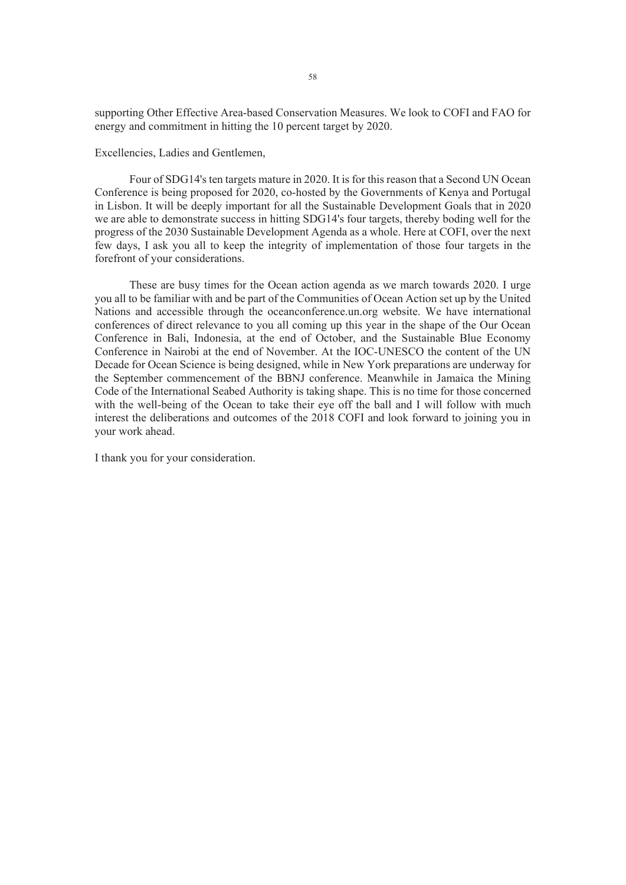supporting Other Effective Area-based Conservation Measures. We look to COFI and FAO for energy and commitment in hitting the 10 percent target by 2020.

Excellencies, Ladies and Gentlemen,

Four of SDG14's ten targets mature in 2020. It is for this reason that a Second UN Ocean Conference is being proposed for 2020, co-hosted by the Governments of Kenya and Portugal in Lisbon. It will be deeply important for all the Sustainable Development Goals that in 2020 we are able to demonstrate success in hitting SDG14's four targets, thereby boding well for the progress of the 2030 Sustainable Development Agenda as a whole. Here at COFI, over the next few days, I ask you all to keep the integrity of implementation of those four targets in the forefront of your considerations.

These are busy times for the Ocean action agenda as we march towards 2020. I urge you all to be familiar with and be part of the Communities of Ocean Action set up by the United Nations and accessible through the oceanconference.un.org website. We have international conferences of direct relevance to you all coming up this year in the shape of the Our Ocean Conference in Bali, Indonesia, at the end of October, and the Sustainable Blue Economy Conference in Nairobi at the end of November. At the IOC-UNESCO the content of the UN Decade for Ocean Science is being designed, while in New York preparations are underway for the September commencement of the BBNJ conference. Meanwhile in Jamaica the Mining Code of the International Seabed Authority is taking shape. This is no time for those concerned with the well-being of the Ocean to take their eve off the ball and I will follow with much interest the deliberations and outcomes of the 2018 COFI and look forward to joining you in your work ahead.

I thank you for your consideration.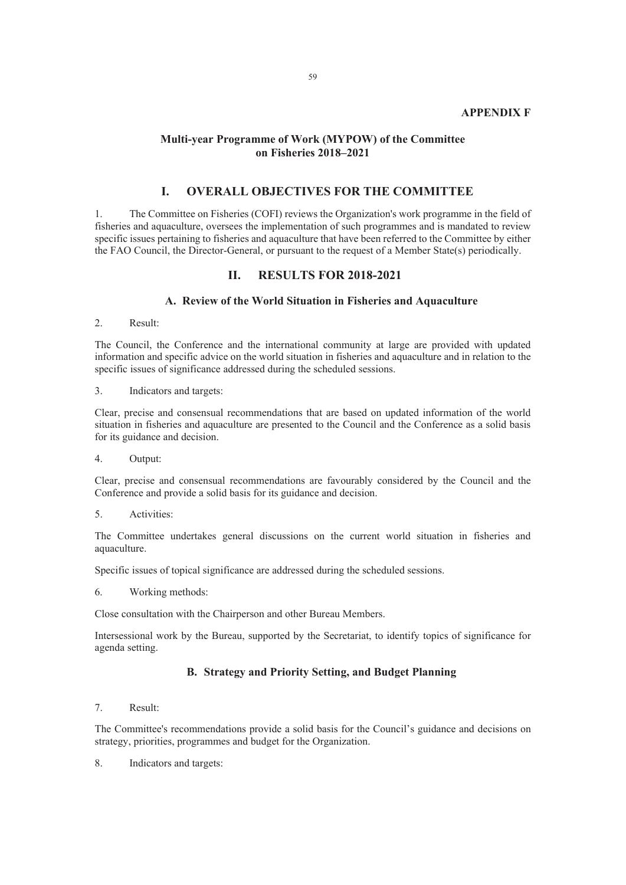# **Multi-year Programme of Work (MYPOW) of the Committee on Fisheries 2018–2021**

# **I. OVERALL OBJECTIVES FOR THE COMMITTEE**

1. The Committee on Fisheries (COFI) reviews the Organization's work programme in the field of fisheries and aquaculture, oversees the implementation of such programmes and is mandated to review specific issues pertaining to fisheries and aquaculture that have been referred to the Committee by either the FAO Council, the Director-General, or pursuant to the request of a Member State(s) periodically.

# **II. RESULTS FOR 2018-2021**

### **A. Review of the World Situation in Fisheries and Aquaculture**

### 2. Result:

The Council, the Conference and the international community at large are provided with updated information and specific advice on the world situation in fisheries and aquaculture and in relation to the specific issues of significance addressed during the scheduled sessions.

3. Indicators and targets:

Clear, precise and consensual recommendations that are based on updated information of the world situation in fisheries and aquaculture are presented to the Council and the Conference as a solid basis for its guidance and decision.

4. Output:

Clear, precise and consensual recommendations are favourably considered by the Council and the Conference and provide a solid basis for its guidance and decision.

### 5. Activities:

The Committee undertakes general discussions on the current world situation in fisheries and aquaculture.

Specific issues of topical significance are addressed during the scheduled sessions.

6. Working methods:

Close consultation with the Chairperson and other Bureau Members.

Intersessional work by the Bureau, supported by the Secretariat, to identify topics of significance for agenda setting.

# **B. Strategy and Priority Setting, and Budget Planning**

## 7. Result:

The Committee's recommendations provide a solid basis for the Council's guidance and decisions on strategy, priorities, programmes and budget for the Organization.

8. Indicators and targets: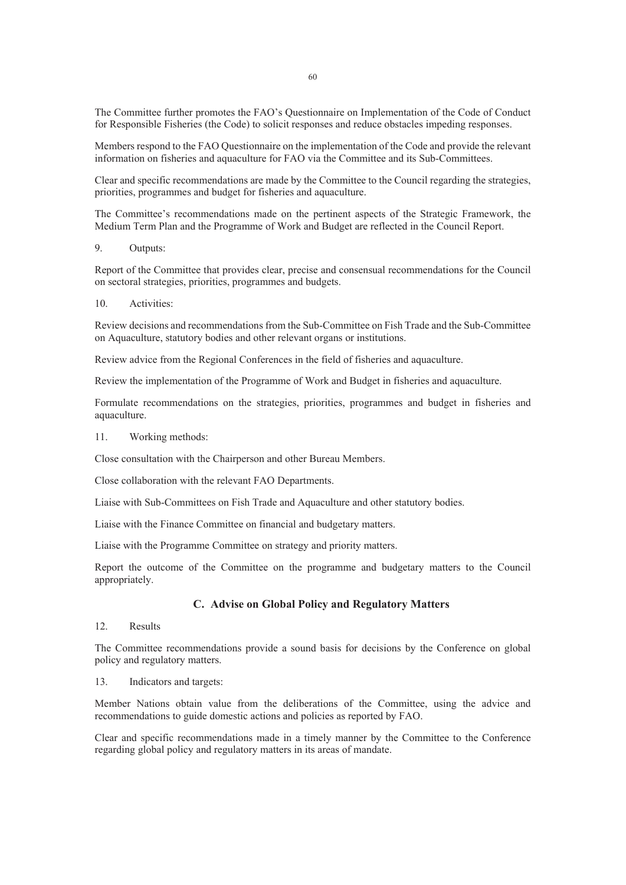The Committee further promotes the FAO's Questionnaire on Implementation of the Code of Conduct for Responsible Fisheries (the Code) to solicit responses and reduce obstacles impeding responses.

Members respond to the FAO Questionnaire on the implementation of the Code and provide the relevant information on fisheries and aquaculture for FAO via the Committee and its Sub-Committees.

Clear and specific recommendations are made by the Committee to the Council regarding the strategies, priorities, programmes and budget for fisheries and aquaculture.

The Committee's recommendations made on the pertinent aspects of the Strategic Framework, the Medium Term Plan and the Programme of Work and Budget are reflected in the Council Report.

9. Outputs:

Report of the Committee that provides clear, precise and consensual recommendations for the Council on sectoral strategies, priorities, programmes and budgets.

10. Activities:

Review decisions and recommendations from the Sub-Committee on Fish Trade and the Sub-Committee on Aquaculture, statutory bodies and other relevant organs or institutions.

Review advice from the Regional Conferences in the field of fisheries and aquaculture.

Review the implementation of the Programme of Work and Budget in fisheries and aquaculture.

Formulate recommendations on the strategies, priorities, programmes and budget in fisheries and aquaculture.

11. Working methods:

Close consultation with the Chairperson and other Bureau Members.

Close collaboration with the relevant FAO Departments.

Liaise with Sub-Committees on Fish Trade and Aquaculture and other statutory bodies.

Liaise with the Finance Committee on financial and budgetary matters.

Liaise with the Programme Committee on strategy and priority matters.

Report the outcome of the Committee on the programme and budgetary matters to the Council appropriately.

# **C. Advise on Global Policy and Regulatory Matters**

12. Results

The Committee recommendations provide a sound basis for decisions by the Conference on global policy and regulatory matters.

13. Indicators and targets:

Member Nations obtain value from the deliberations of the Committee, using the advice and recommendations to guide domestic actions and policies as reported by FAO.

Clear and specific recommendations made in a timely manner by the Committee to the Conference regarding global policy and regulatory matters in its areas of mandate.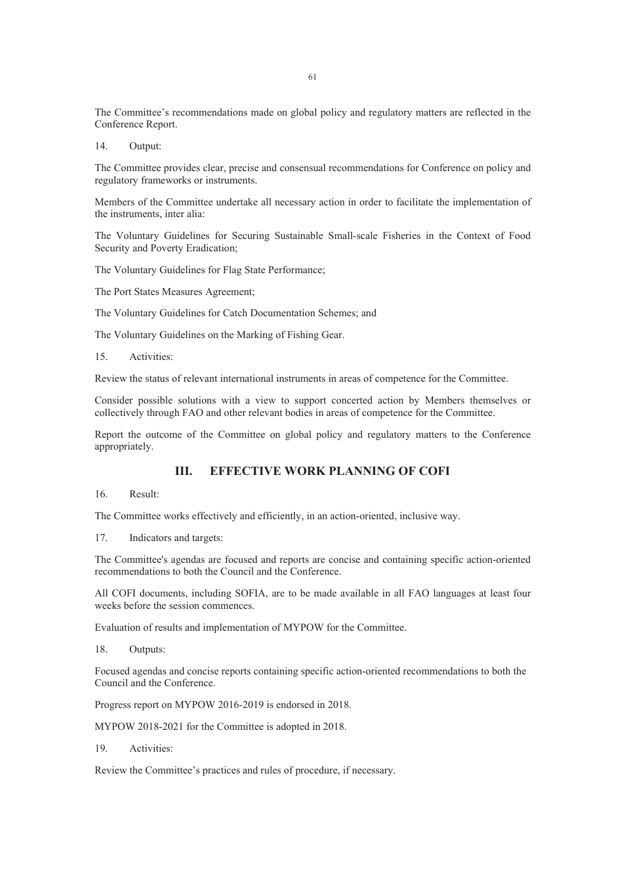The Committee's recommendations made on global policy and regulatory matters are reflected in the Conference Report.

14. Output:

The Committee provides clear, precise and consensual recommendations for Conference on policy and regulatory frameworks or instruments.

Members of the Committee undertake all necessary action in order to facilitate the implementation of the instruments, inter alia:

The Voluntary Guidelines for Securing Sustainable Small-scale Fisheries in the Context of Food Security and Poverty Eradication;

The Voluntary Guidelines for Flag State Performance;

The Port States Measures Agreement;

The Voluntary Guidelines for Catch Documentation Schemes; and

The Voluntary Guidelines on the Marking of Fishing Gear.

15. Activities:

Review the status of relevant international instruments in areas of competence for the Committee.

Consider possible solutions with a view to support concerted action by Members themselves or collectively through FAO and other relevant bodies in areas of competence for the Committee.

Report the outcome of the Committee on global policy and regulatory matters to the Conference appropriately.

# **III. EFFECTIVE WORK PLANNING OF COFI**

16. Result:

The Committee works effectively and efficiently, in an action-oriented, inclusive way.

17. Indicators and targets:

The Committee's agendas are focused and reports are concise and containing specific action-oriented recommendations to both the Council and the Conference.

All COFI documents, including SOFIA, are to be made available in all FAO languages at least four weeks before the session commences.

Evaluation of results and implementation of MYPOW for the Committee.

18. Outputs:

Focused agendas and concise reports containing specific action-oriented recommendations to both the Council and the Conference.

Progress report on MYPOW 2016-2019 is endorsed in 2018.

MYPOW 2018-2021 for the Committee is adopted in 2018.

19. Activities:

Review the Committee's practices and rules of procedure, if necessary.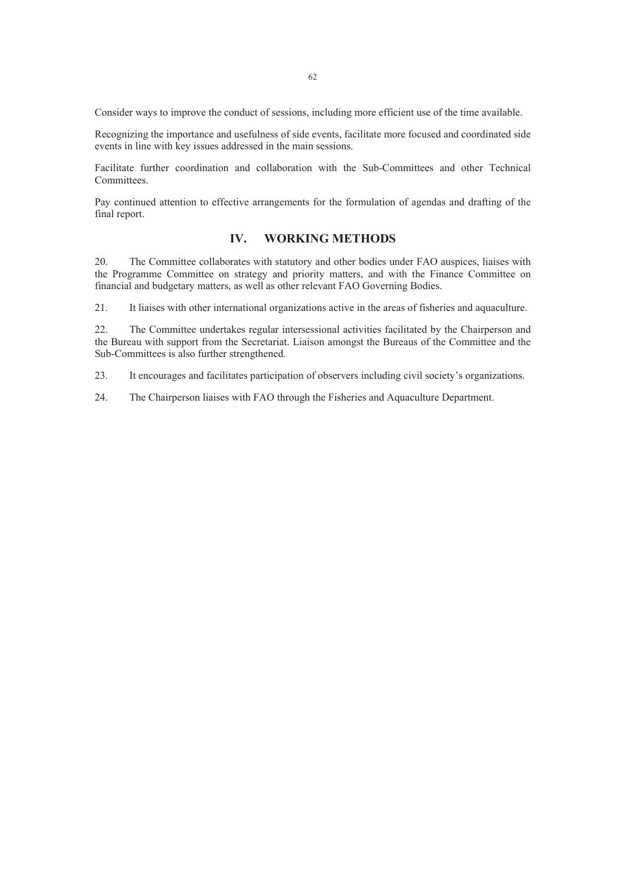Consider ways to improve the conduct of sessions, including more efficient use of the time available.

Recognizing the importance and usefulness of side events, facilitate more focused and coordinated side events in line with key issues addressed in the main sessions.

Facilitate further coordination and collaboration with the Sub-Committees and other Technical Committees.

Pay continued attention to effective arrangements for the formulation of agendas and drafting of the final report.

# **IV. WORKING METHODS**

20. The Committee collaborates with statutory and other bodies under FAO auspices, liaises with the Programme Committee on strategy and priority matters, and with the Finance Committee on financial and budgetary matters, as well as other relevant FAO Governing Bodies.

21. It liaises with other international organizations active in the areas of fisheries and aquaculture.

22. The Committee undertakes regular intersessional activities facilitated by the Chairperson and the Bureau with support from the Secretariat. Liaison amongst the Bureaus of the Committee and the Sub-Committees is also further strengthened.

23. It encourages and facilitates participation of observers including civil society's organizations.

24. The Chairperson liaises with FAO through the Fisheries and Aquaculture Department.